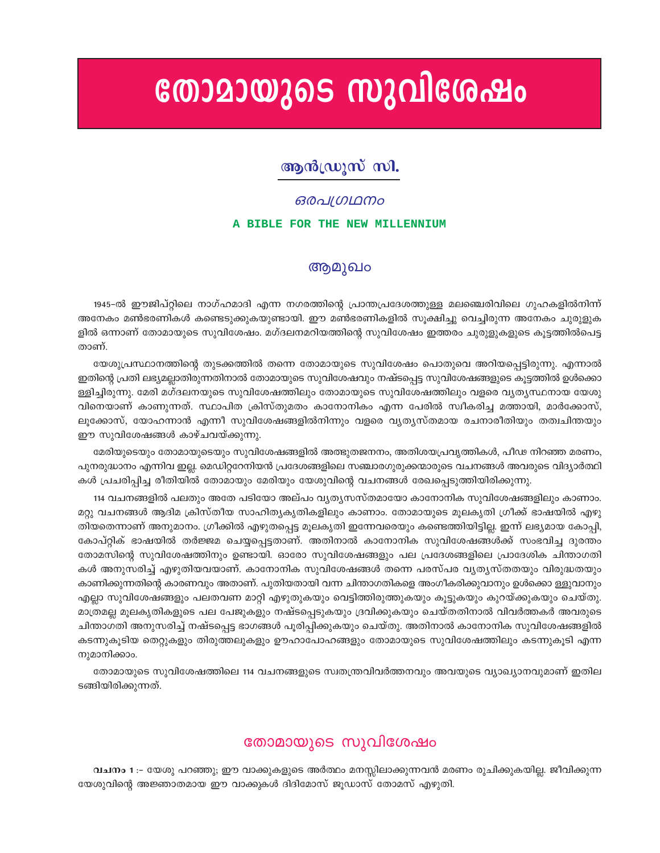# തോമായുടെ സുവിശേഷം

# ആൻഡ്രൂസ് സി.

#### *ഒരപഗ്രഥനം*

#### A BIBLE FOR THE NEW MILLENNIUM

## ആമുഖം

1945–ൽ ഈജിപ്റ്റിലെ നാഗ്ഹമാദി എന്ന നഗരത്തിന്റെ പ്രാന്തപ്രദേശത്തുള്ള മലഞ്ചെരിവിലെ ഗുഹകളിൽനിന്ന് അനേകം മൺഭരണികൾ കണ്ടെടുക്കുകയുണ്ടായി. ഈ മൺഭരണികളിൽ സൂക്ഷിച്ചു വെച്ചിരുന്ന അനേകം ചുരുളുക ളിൽ ഒന്നാണ് തോമായുടെ സുവിശേഷം. മഗ്ദലനമറിയത്തിന്റെ സുവിശേഷം ഇത്തരം ചുരുളുകളുടെ കൂട്ടത്തിൽപെട്ട താണ്.

യേശുപ്രസ്ഥാനത്തിന്റെ തുടക്കത്തിൽ തന്നെ തോമായുടെ സുവിശേഷം പൊതുവെ അറിയപ്പെട്ടിരുന്നു. എന്നാൽ ഇതിന്റെ പ്രതി ലഭ്യമല്ലാതിരുന്നതിനാൽ തോമായുടെ സുവിശേഷവും നഷ്ടപ്പെട്ട സുവിശേഷങ്ങളുടെ കൂട്ടത്തിൽ ഉൾക്കൊ ള്ളിച്ചിരുന്നു. മേരി മഗ്ദലനയുടെ സുവിശേഷത്തിലും തോമായുടെ സുവിശേഷത്തിലും വളരെ വ്യത്യസ്ഥനായ യേശു വിനെയാണ് കാണുന്നത്. സ്ഥാപിത ക്രിസ്തുമതം കാനോനികം എന്ന പേരിൽ സ്ഥീകരിച്ച മത്തായി, മാർക്കോസ്, ലുക്കോസ്, യോഹന്നാൻ എന്നീ സുവിശേഷങ്ങളിൽനിന്നും വളരെ വൃതൃസ്തമായ രചനാരീതിയും തത്വചിന്തയും ഈ സുവിശേഷങ്ങൾ കാഴ്ചവയ്ക്കുന്നു.

മേരിയുടെയും തോമായുടെയും സുവിശേഷങ്ങളിൽ അത്ഭുതജനനം, അതിശയപ്രവൃത്തികൾ, പീഢ നിറഞ്ഞ മരണം, പുനരുദ്ധാനം എന്നിവ ഇല്ല. മെഡിറ്ററേനിയൻ പ്രദേശങ്ങളിലെ സഞ്ചാരഗുരുക്കന്മാരുടെ വചനങ്ങൾ അവരുടെ വിദ്യാർത്ഥി കൾ പ്രചരിപ്പിച്ച രീതിയിൽ തോമായും മേരിയും യേശുവിന്റെ വചനങ്ങൾ രേഖപ്പെടുത്തിയിരിക്കുന്നു.

114 വചനങ്ങളിൽ പലതും അതേ പടിയോ അല്പം വൃതൃസസ്തമായോ കാനോനിക സുവിശേഷങ്ങളിലും കാണാം. മറ്റു വചനങ്ങൾ ആദിമ ക്രിസ്തീയ സാഹിത്യകൃതികളിലും കാണാം. തോമായുടെ മൂലകൃതി ഗ്രീക്ക് ഭാഷയിൽ എഴു തിയതെന്നാണ് അനുമാനം. ഗ്രീക്കിൽ എഴുതപ്പെട്ട മൂലകൃതി ഇന്നേവരെയും കണ്ടെത്തിയിട്ടില്ല. ഇന്ന് ലഭ്യമായ കോപ്പി, കോപ്റ്റിക് ഭാഷയിൽ തർജ്ജമ ചെയ്യപ്പെട്ടതാണ്. അതിനാൽ കാനോനിക സുവിശേഷങ്ങൾക്ക് സംഭവിച്ച ദുരന്തം തോമസിന്റെ സുവിശേഷത്തിനും ഉണ്ടായി. ഓരോ സുവിശേഷങ്ങളും പല പ്രദേശങ്ങളിലെ പ്രാദേശിക ചിന്താഗതി കൾ അനുസരിച്ച് എഴുതിയവയാണ്. കാനോനിക സുവിശേഷങ്ങൾ തന്നെ പരസ്പര വ്യതൃസ്തതയും വിരുദ്ധതയും കാണിക്കുന്നതിന്റെ കാരണവും അതാണ്. പുതിയതായി വന്ന ചിന്താഗതികളെ അംഗീകരിക്കുവാനും ഉൾക്കൊ ള്ളുവാനും എല്ലാ സുവിശേഷങ്ങളും പലതവണ മാറ്റി എഴുതുകയും വെട്ടിത്തിരുത്തുകയും കൂട്ടുകയും കുറയ്ക്കുകയും ചെയ്തു. മാത്രമല്ല മുലകൃതികളുടെ പല പേജുകളും നഷ്ടപ്പെടുകയും ദ്രവിക്കുകയും ചെയ്തതിനാൽ വിവർത്തകർ അവരുടെ ചിന്താഗതി അനുസരിച്ച് നഷ്ടപ്പെട്ട ഭാഗങ്ങൾ പൂരിപ്പിക്കുകയും ചെയ്തു. അതിനാൽ കാനോനിക സുവിശേഷങ്ങളിൽ കടന്നുകൂടിയ തെറ്റുകളും തിരുത്തലുകളും ഊഹാപോഹങ്ങളും തോമായുടെ സുവിശേഷത്തിലും കടന്നുകൂടി എന്ന നുമാനിക്കാം.

തോമായുടെ സുവിശേഷത്തിലെ 114 വചനങ്ങളുടെ സ്വതന്ത്രവിവർത്തനവും അവയുടെ വ്യാഖ്യാനവുമാണ് ഇതില ടങ്ങിയിരിക്കുന്നത്.

## തോമായുടെ സുവിശേഷം

വചനം 1 :– യേശു പറഞ്ഞു; ഈ വാക്കുകളുടെ അർത്ഥം മനസ്സിലാക്കുന്നവൻ മരണം രുചിക്കുകയില്ല. ജീവിക്കുന്ന യേശുവിന്റെ അജ്ഞാതമായ ഈ വാക്കുകൾ ദിദിമോസ് ജൂഡാസ് തോമസ് എഴുതി.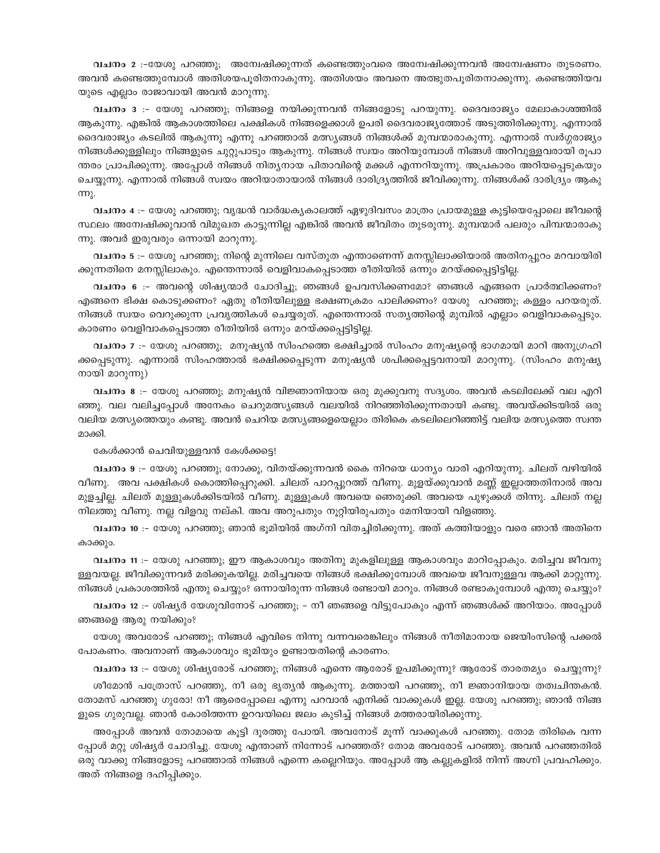വചനം 2 :-യേശു പറഞ്ഞു; അമ്പേഷിക്കുന്നത് കണ്ടെത്തുംവരെ അമ്പേഷിക്കുന്നവൻ അമ്പേഷണം തുടരണം. അവൻ കണ്ടെത്തുമ്പോൾ അതിശയപൂരിതനാകുന്നു. അതിശയം അവനെ അത്ഭുതപൂരിതനാക്കുന്നു. കണ്ടെത്തിയവ യുടെ എല്ലാം രാജാവായി അവൻ മാറുന്നു.

വചനം 3 :- യേശു പറഞ്ഞു; നിങ്ങളെ നയിക്കുന്നവൻ നിങ്ങളോടു പറയുന്നു. ദൈവരാജ്യം മേലാകാശത്തിൽ ആകുന്നു. എങ്കിൽ ആകാശത്തിലെ പക്ഷികൾ നിങ്ങളെക്കാൾ ഉപരി ദൈവരാജ്യത്തോട് അടുത്തിരിക്കുന്നു. എന്നാൽ ദൈവരാജ്യം കടലിൽ ആകുന്നു എന്നു പറഞ്ഞാൽ മത്സ്യങ്ങൾ നിങ്ങൾക്ക് മുമ്പന്മാരാകുന്നു. എന്നാൽ സ്വർഗ്ഗരാജ്യം നിങ്ങൾക്കുള്ളിലും നിങ്ങളുടെ ചുറ്റുപാടും ആകുന്നു. നിങ്ങൾ സ്വയം അറിയുമ്പോൾ നിങ്ങൾ അറിവുള്ളവരായി രൂപാ ന്തരം പ്രാപിക്കുന്നു. അപ്പോൾ നിങ്ങൾ നിത്യനായ പിതാവിന്റെ മക്കൾ എന്നറിയുന്നു. അപ്രകാരം അറിയപ്പെടുകയും ചെയ്യുന്നു. എന്നാൽ നിങ്ങൾ സ്വയം അറിയാതായാൽ നിങ്ങൾ ദാരിദ്ര്യത്തിൽ ജീവിക്കുന്നു. നിങ്ങൾക്ക് ദാരിദ്ര്യം ആകു  $mp<sub>1</sub>$ .

വചനം 4 :– യേശു പറഞ്ഞു; വൃദ്ധൻ വാർദ്ധകൃകാലത്ത് ഏഴുദിവസം മാത്രം പ്രായമുള്ള കുട്ടിയെപ്പോലെ ജീവന്റെ സ്ഥലം അന്വേഷിക്കുവാൻ വിമുഖത കാട്ടുന്നില്ല എങ്കിൽ അവൻ ജീവിതം തുടരുന്നു. മുമ്പന്മാർ പലരും പിമ്പന്മാരാകു ന്നു. അവർ ഇരുവരും ഒന്നായി മാറുന്നു.

വചനം 5 :– യേശു പറഞ്ഞു; നിന്റെ മുന്നിലെ വസ്തുത എന്താണെന്ന് മനസ്സിലാക്കിയാൽ അതിനപ്പുറം മറവായിരി ക്കുന്നതിനെ മനസ്സിലാകും. എത്തെന്നാൽ വെളിവാകപ്പെടാത്ത രീതിയിൽ ഒന്നും മറയ്ക്കപ്പെട്ടിട്ടില്ല.

വചനം 6 :- അവന്റെ ശിഷ്യന്മാർ ചോദിച്ചു; ഞങ്ങൾ ഉപവസിക്കണമോ? ഞങ്ങൾ എങ്ങനെ പ്രാർത്ഥിക്കണം? എങ്ങനെ ഭിക്ഷ കൊടുക്കണം? ഏതു രീതിയിലുള്ള ഭക്ഷണക്രമം പാലിക്കണം? യേശു പറഞ്ഞു; കള്ളം പറയരുത്. നിങ്ങൾ സ്വയം വെറുക്കുന്ന പ്രവൃത്തികൾ ചെയ്യരുത്. എന്തെന്നാൽ സതൃത്തിന്റെ മുമ്പിൽ എല്ലാം വെളിവാകപ്പെടും. കാരണം വെളിവാകപ്പെടാത്ത രീതിയിൽ ഒന്നും മറയ്ക്കപ്പെട്ടിട്ടില്ല.

വചനം 7 :- യേശു പറഞ്ഞു; മനുഷ്യൻ സിംഹത്തെ ഭക്ഷിച്ചാൽ സിംഹം മനുഷ്യന്റെ ഭാഗമായി മാറി അനുഗ്രഹി ക്കപ്പെടുന്നു. എന്നാൽ സിംഹത്താൽ ഭക്ഷിക്കപ്പെടുന്ന മനുഷ്യൻ ശപിക്കപ്പെട്ടവനായി മാറുന്നു. (സിംഹം മനുഷ്യ നായി മാറുന്നു)

വചനം 8 :- യേശു പറഞ്ഞു; മനുഷ്യൻ വിജ്ഞാനിയായ ഒരു മുക്കുവനു സദൃശം. അവൻ കടലിലേക്ക് വല എറി ഞ്ഞു. വല വലിച്ചപ്പോൾ അനേകം ചെറുമത്സ്യങ്ങൾ വലയിൽ നിറഞ്ഞിരിക്കുന്നതായി കണ്ടു. അവയ്ക്കിടയിൽ ഒരു വലിയ മത്സ്യത്തെയും കണ്ടു. അവൻ ചെറിയ മത്സ്യങ്ങളെയെല്ലാം തിരികെ കടലിലെറിഞ്ഞിട്ട് വലിയ മത്സ്യത്തെ സ്വന്ത മാക്കി.

കേൾക്കാൻ ചെവിയുള്ളവൻ കേൾക്കട്ടെ!

വചനം 9 :- യേശു പറഞ്ഞു; നോക്കൂ, വിതയ്ക്കുന്നവൻ കൈ നിറയെ ധാന്യം വാരി എറിയുന്നു. ചിലത് വഴിയിൽ വീണു. അവ പക്ഷികൾ കൊത്തിപ്പെറുക്കി. ചിലത് പാറപ്പുറത്ത് വീണു. മുളയ്ക്കുവാൻ മണ്ണ് ഇല്ലാത്തതിനാൽ അവ മുളച്ചില്ല. ചിലത് മുള്ളുകൾക്കിടയിൽ വീണു. മുള്ളുകൾ അവയെ ഞെരുക്കി. അവയെ പുഴുക്കൾ തിന്നു. ചിലത് നല്ല നിലത്തു വീണു. നല്ല വിളവു നല്കി. അവ അറുപതും നുറ്റിയിരുപതും മേനിയായി വിളഞ്ഞു.

വചനം 10 :– യേശു പറഞ്ഞു; ഞാൻ ഭൂമിയിൽ അഗ്നി വിതച്ചിരിക്കുന്നു. അത് കത്തിയാളും വരെ ഞാൻ അതിനെ കാക്കും.

വചനം 11 :– യേശു പറഞ്ഞു; ഈ ആകാശവും അതിനു മുകളിലുള്ള ആകാശവും മാറിപ്പോകും. മരിച്ചവ ജീവനു ള്ളവയല്ല. ജീവിക്കുന്നവർ മരിക്കുകയില്ല. മരിച്ചവയെ നിങ്ങൾ ഭക്ഷിക്കുമ്പോൾ അവയെ ജീവനുള്ളവ ആക്കി മാറ്റുന്നു. നിങ്ങൾ പ്രകാശത്തിൽ എന്തു ചെയ്യും? ഒന്നായിരുന്ന നിങ്ങൾ രണ്ടായി മാറും. നിങ്ങൾ രണ്ടാകുമ്പോൾ എന്തു ചെയ്യും?

വചനം 12 :– ശിഷ്യർ യേശുവിനോട് പറഞ്ഞു; – നീ ഞങ്ങളെ വിട്ടുപോകും എന്ന് ഞങ്ങൾക്ക് അറിയാം. അപ്പോൾ ഞങ്ങളെ ആരു നയിക്കും?

യേശു അവരോട് പറഞ്ഞു; നിങ്ങൾ എവിടെ നിന്നു വന്നവരെങ്കിലും നിങ്ങൾ നീതിമാനായ ജെയിംസിന്റെ പക്കൽ പോകണം. അവനാണ് ആകാശവും ഭൂമിയും ഉണ്ടായതിന്റെ കാരണം.

വചനം 13 :- യേശു ശിഷ്യരോട് പറഞ്ഞു; നിങ്ങൾ എന്നെ ആരോട് ഉപമിക്കുന്നു? ആരോട് താരതമ്യം ചെയ്യുന്നു?

ശീമോൻ പത്രോസ് പറഞ്ഞു, നീ ഒരു ഭൃതൃൻ ആകുന്നു. മത്തായി പറഞ്ഞു, നീ ജ്ഞാനിയായ തത്വചിന്തകൻ. തോമസ് പറഞ്ഞു ഗുരോ! നീ ആരെപ്പോലെ എന്നു പറവാൻ എനിക്ക് വാക്കുകൾ ഇല്ല. യേശു പറഞ്ഞു; ഞാൻ നിങ്ങ ളുടെ ഗുരുവല്ല. ഞാൻ കോരിത്തന്ന ഉറവയിലെ ജലം കുടിച്ച് നിങ്ങൾ മത്തരായിരിക്കുന്നു.

അപ്പോൾ അവൻ തോമായെ കൂട്ടി ദൂരത്തു പോയി. അവനോട് മൂന്ന് വാക്കുകൾ പറഞ്ഞു. തോമ തിരികെ വന്ന പ്പോൾ മറ്റു ശിഷ്യർ ചോദിച്ചു. യേശു എന്താണ് നിന്നോട് പറഞ്ഞത്? തോമ അവരോട് പറഞ്ഞു. അവൻ പറഞ്ഞതിൽ ഒരു വാക്കു നിങ്ങളോടു പറഞ്ഞാൽ നിങ്ങൾ എന്നെ കല്ലെറിയും. അപ്പോൾ ആ കല്ലുകളിൽ നിന്ന് അഗ്നി പ്രവഹിക്കും. അത് നിങ്ങളെ ദഹിപ്പിക്കും.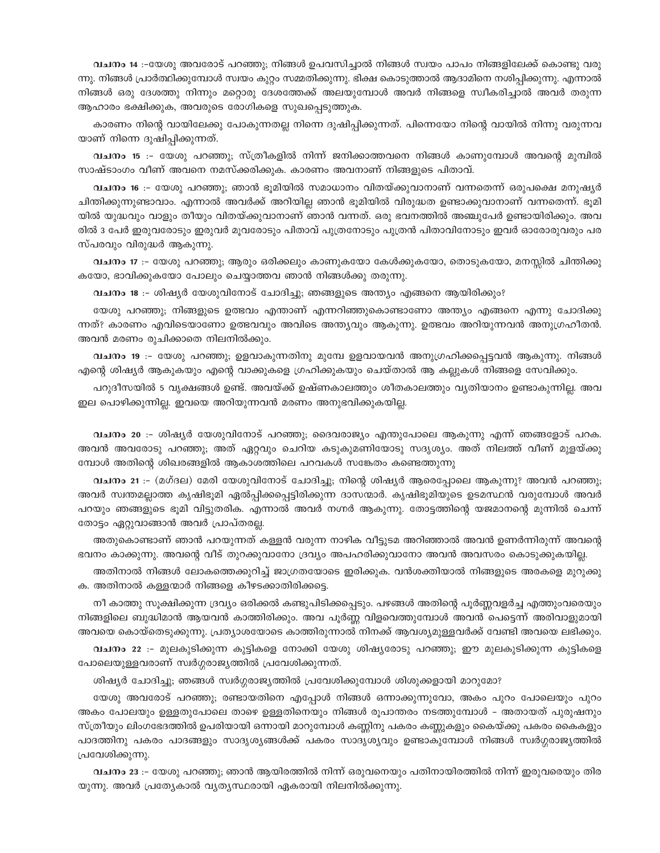**വചനം 1**4 :−യേശു അവരോട് പറഞ്ഞു; നിങ്ങൾ ഉപവസിച്ചാൽ നിങ്ങൾ സ്വയം പാപം നിങ്ങളിലേക്ക് കൊണ്ടു വരു ന്നു. നിങ്ങൾ പ്രാർത്ഥിക്കുമ്പോൾ സ്വയം കുറ്റം സമ്മതിക്കുന്നു. ഭിക്ഷ കൊടുത്താൽ ആദാമിനെ നശിപ്പിക്കുന്നു. എന്നാൽ നിങ്ങൾ ഒരു ദേശത്തു നിന്നും മറ്റൊരു ദേശത്തേക്ക് അലയുമ്പോൾ അവർ നിങ്ങളെ സ്ഥീകരിച്ചാൽ അവർ തരുന്ന ആഹാരം ഭക്ഷിക്കുക, അവരുടെ രോഗികളെ സുഖപ്പെടുത്തുക.

കാരണം നിന്റെ വായിലേക്കു പോകുന്നതല്ല നിന്നെ ദുഷിപ്പിക്കുന്നത്. പിന്നെയോ നിന്റെ വായിൽ നിന്നു വരുന്നവ യാണ് നിന്നെ ദുഷിപ്പിക്കുന്നത്.

**വചനം 15** :− യേശു പറഞ്ഞു; സ്ത്രീകളിൽ നിന്ന് ജനിക്കാത്തവനെ നിങ്ങൾ കാണുമ്പോൾ അവന്റെ മുമ്പിൽ സാഷ്ടാംഗം വീണ് അവനെ നമസ്ക്കരിക്കുക. കാരണം അവനാണ് നിങ്ങളുടെ പിതാവ്.

**വചനം 16** :– യേശു പറഞ്ഞു; ഞാൻ ഭൂമിയിൽ സമാധാനം വിതയ്ക്കുവാനാണ് വന്നതെന്ന് ഒരുപക്ഷെ മനുഷ്യർ ചിന്തിക്കുന്നുണ്ടാവാം. എന്നാൽ അവർക്ക് അറിയില്ല ഞാൻ ഭൂമിയിൽ വിരുദ്ധത ഉണ്ടാക്കുവാനാണ് വന്നതെന്ന്. ഭൂമി യിൽ യുദ്ധവും വാളും തീയും വിതയ്ക്കുവാനാണ് ഞാൻ വന്നത്. ഒരു ഭവനത്തിൽ അഞ്ചുപേർ ഉണ്ടായിരിക്കും. അവ രിൽ 3 പേർ ഇരുവരോടും ഇരുവർ മൂവരോടും പിതാവ് പുത്രനോടും പുത്രൻ പിതാവിനോടും ഇവർ ഓരോരുവരും പര സ്പരവും വിരുദ്ധർ ആകുന്നു.

**വചനം 17** :– യേശു പറഞ്ഞു; ആരും ഒരിക്കലും കാണുകയോ കേൾക്കുകയോ, തൊടുകയോ, മനസ്സിൽ ചിന്തിക്കു കയോ, ഭാവിക്കുകയോ പോലും ചെയ്യാത്തവ ഞാൻ നിങ്ങൾക്കു തരുന്നു.

**വചനം 18** :– ശിഷ്യർ യേശുവിനോട് ചോദിച്ചു; ഞങ്ങളുടെ അന്ത്യം എങ്ങനെ ആയിരിക്കും?

്യേശു പറഞ്ഞു; നിങ്ങളുടെ ഉത്ഭവം എന്താണ് എന്നറിഞ്ഞുകൊണ്ടാണോ അന്ത്യം എങ്ങനെ എന്നു ചോദിക്കു ന്നത്? കാരണം എവിടെയാണോ ഉത്ഭവവും അവിടെ അന്ത്യവും ആകുന്നു. ഉത്ഭവം അറിയുന്നവൻ അനുഗ്രഹീതൻ. അവൻ മരണം രുചിക്കാതെ നിലനിൽക്കും.

**വചനം 19** :– യേശു പറഞ്ഞു; ഉളവാകുന്നതിനു മുമ്പേ ഉളവായവൻ അനുഗ്രഹിക്കപ്പെട്ടവൻ ആകുന്നു. നിങ്ങൾ എന്റെ ശിഷ്യർ ആകുകയും എന്റെ വാക്കുകളെ ഗ്രഹിക്കുകയും ചെയ്താൽ ആ കല്ലുകൾ നിങ്ങളെ സേവിക്കും.

പറുദീസയിൽ 5 വൃക്ഷങ്ങൾ ഉണ്ട്. അവയ്ക്ക് ഉഷ്ണകാലത്തും ശീതകാലത്തും വൃതിയാനം ഉണ്ടാകുന്നില്ല. അവ ഇല പൊഴിക്കുന്നില്ല. ഇവയെ അറിയുന്നവൻ മരണം അനുഭവിക്കുകയില്ല.

**വചനം 20** :– ശിഷ്യർ യേശുവിനോട് പറഞ്ഞു; ദൈവരാജ്യം എന്തുപോലെ ആകുന്നു എന്ന് ഞങ്ങളോട് പറക. അവൻ അവരോടു പറഞ്ഞു; അത് ഏറ്റവും ചെറിയ കടുകുമണിയോടു സദൃശ്യം. അത് നിലത്ത് വീണ് മുളയ്ക്കു സ്വോൾ അതിന്റെ ശിഖരങ്ങളിൽ ആകാശത്തിലെ പറവകൾ സങ്കേതം കണ്ടെത്തുന്നു

**വചനം 21** :– (മഗ്ദല) മേരി യേശുവിനോട് ചോദിച്ചു; നിന്റെ ശിഷ്യർ ആരെപ്പോലെ ആകുന്നു? അവൻ പറഞ്ഞു; അവർ സ്വന്തമല്ലാത്ത കൃഷിഭൂമി ഏൽപ്പിക്കപ്പെട്ടിരിക്കുന്ന ദാസന്മാർ. കൃഷിഭൂമിയുടെ ഉടമസ്ഥൻ വരുമ്പോൾ അവർ പറയും ഞങ്ങളുടെ ഭൂമി വിട്ടുതരിക. എന്നാൽ അവർ നഗ്നർ ആകുന്നു. തോട്ടത്തിന്റെ യജമാനന്റെ മുന്നിൽ ചെന്ന് തോട്ടം ഏറ്റുവാങ്ങാൻ അവർ പ്രാപ്തരല്ല.

അതുകൊണ്ടാണ് ഞാൻ പറയുന്നത് കള്ളൻ വരുന്ന നാഴിക വീട്ടുടമ അറിഞ്ഞാൽ അവൻ ഉണർന്നിരുന്ന് അവന്റെ ഭവനം കാക്കുന്നു. അവന്റെ വീട് തുറക്കുവാനോ ദ്രവ്യം അപഹരിക്കുവാനോ അവൻ അവസരം കൊടുക്കുകയില്ല.

അതിനാൽ നിങ്ങൾ ലോകത്തെക്കുറിച്ച് ജാഗ്രതയോടെ ഇരിക്കുക. വൻശക്തിയാൽ നിങ്ങളുടെ അരകളെ മുറുക്കു ക. അതിനാൽ കള്ളന്മാർ നിങ്ങളെ കീഴടക്കാതിരിക്കട്ടെ.

നീ കാത്തു സൂക്ഷിക്കുന്ന ദ്രവ്യം ഒരിക്കൽ കണ്ടുപിടിക്കപ്പെടും. പഴങ്ങൾ അതിന്റെ പൂർണ്ണവളർച്ച എത്തുംവരെയും നിങ്ങളിലെ ബുദ്ധിമാൻ ആയവൻ കാത്തിരിക്കും. അവ പൂർണ്ണ വിളവെത്തുമ്പോൾ അവൻ പെട്ടെന്ന് അരിവാളുമായി അവയെ കൊയ്തെടുക്കുന്നു. പ്രത്യാശയോടെ കാത്തിരുന്നാൽ നിനക്ക് ആവശ്യമുള്ളവർക്ക് വേണ്ടി അവയെ ലഭിക്കും.

**വചനം 22** :− മുലകുടിക്കുന്ന കുട്ടികളെ നോക്കി യേശു ശിഷ്യരോടു പറഞ്ഞു; ഈ മുലകുടിക്കുന്ന കുട്ടികളെ പോലെയുള്ളവരാണ് സ്വർഗ്ഗരാജ്യത്തിൽ പ്രവേശിക്കുന്നത്.

ശിഷ്യർ ചോദിച്ചു; ഞങ്ങൾ സ്വർഗ്ഗരാജ്യത്തിൽ പ്രവേശിക്കുമ്പോൾ ശിശുക്കളായി മാറുമോ?

യേശു അവരോട് പറഞ്ഞു; രണ്ടായതിനെ എപ്പോൾ നിങ്ങൾ ഒന്നാക്കുന്നുവോ, അകം പുറം പോലെയും പുറം അകം പോലയും ഉള്ളതുപോലെ താഴെ ഉള്ളതിനെയും നിങ്ങൾ രുപാന്തരം നടത്തുമ്പോൾ − അതായത് പുരുഷനും സ്ത്രീയും ലിംഗഭേദത്തിൽ ഉപരിയായി ഒന്നായി മാറുമ്പോൾ കണ്ണിനു പകരം കണ്ണുകളും കൈയ്ക്കു പകരം കൈകളും പാദത്തിനു പകരം പാദങ്ങളും സാദൃശൃങ്ങൾക്ക് പകരം സാദൃശ്യവും ഉണ്ടാകുമ്പോൾ നിങ്ങൾ സ്വർഗ്ഗരാജ്യത്തിൽ ്പ്പവേശിക്കുന്നു.

**വചനം 23** :− യേശു പറഞ്ഞു; ഞാൻ ആയിരത്തിൽ നിന്ന് ഒരുവനെയും പതിനായിരത്തിൽ നിന്ന് ഇരുവരെയും തിര യുന്നു. അവർ പ്രത്യേകാൽ വ്യത്യസ്ഥരായി ഏകരായി നിലനിൽക്കുന്നു.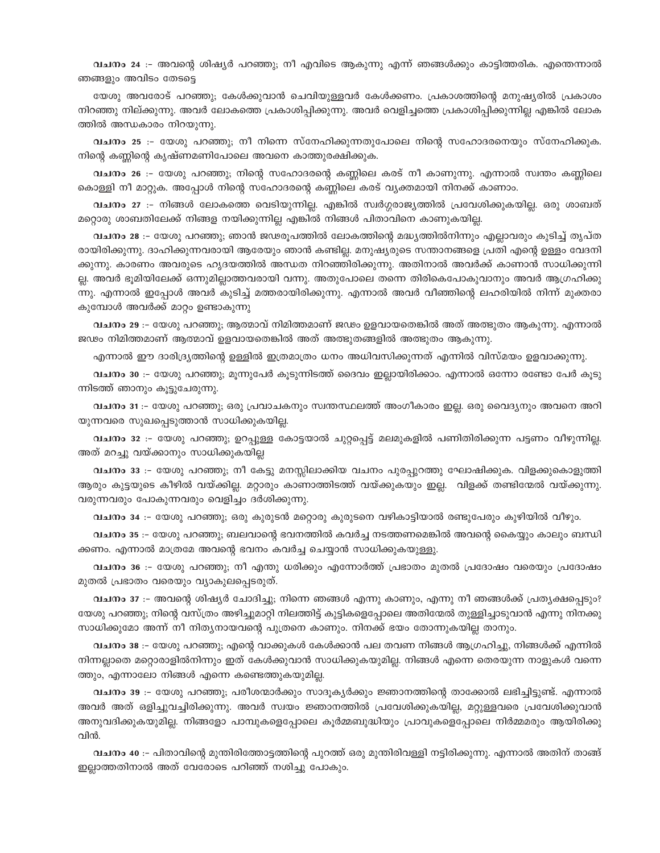വചനം 24 :- അവന്റെ ശിഷ്യർ പറഞ്ഞു; നീ എവിടെ ആകുന്നു എന്ന് ഞങ്ങൾക്കും കാട്ടിത്തരിക. എന്തെന്നാൽ ഞങ്ങളും അവിടം തേടട്ടെ

യേശു അവരോട് പറഞ്ഞു; കേൾക്കുവാൻ ചെവിയുള്ളവർ കേൾക്കണം. പ്രകാശത്തിന്റെ മനുഷ്യരിൽ പ്രകാശം നിറഞ്ഞു നില്ക്കുന്നു. അവർ ലോകത്തെ പ്രകാശിപ്പിക്കുന്നു. അവർ വെളിച്ചത്തെ പ്രകാശിപ്പിക്കുന്നില്ല എങ്കിൽ ലോക ത്തിൽ അന്ധകാരം നിറയുന്നു.

വചനം 25 :- യേശു പറഞ്ഞു; നീ നിന്നെ സ്നേഹിക്കുന്നതുപോലെ നിന്റെ സഹോദരനെയും സ്നേഹിക്കുക. നിന്റെ കണ്ണിന്റെ കൃഷ്ണമണിപോലെ അവനെ കാത്തുരക്ഷിക്കുക.

വചനം 26 :– യേശു പറഞ്ഞു; നിന്റെ സഹോദരന്റെ കണ്ണിലെ കരട് നീ കാണുന്നു. എന്നാൽ സ്വന്തം കണ്ണിലെ കൊള്ളി നീ മാറ്റുക. അപ്പോൾ നിന്റെ സഹോദരന്റെ കണ്ണിലെ കരട് വൃക്തമായി നിനക്ക് കാണാം.

വചനം 27 :- നിങ്ങൾ ലോകത്തെ വെടിയുന്നില്ല. എങ്കിൽ സ്വർഗ്ഗരാജ്യത്തിൽ പ്രവേശിക്കുകയില്ല. ഒരു ശാബത് മറ്റൊരു ശാബതിലേക്ക് നിങ്ങള നയിക്കുന്നില്ല എങ്കിൽ നിങ്ങൾ പിതാവിനെ കാണുകയില്ല.

വചനം 28 :– യേശു പറഞ്ഞു; ഞാൻ ജഢരുപത്തിൽ ലോകത്തിന്റെ മദ്ധ്യത്തിൽനിന്നും എല്ലാവരും കുടിച്ച് തൃപ്ത രായിരിക്കുന്നു. ദാഹിക്കുന്നവരായി ആരേയും ഞാൻ കണ്ടില്ല. മനുഷ്യരുടെ സന്താനങ്ങളെ പ്രതി എന്റെ ഉള്ളം വേദനി ക്കുന്നു. കാരണം അവരുടെ ഹൃദയത്തിൽ അന്ധത നിറഞ്ഞിരിക്കുന്നു. അതിനാൽ അവർക്ക് കാണാൻ സാധിക്കുന്നി ല്ല. അവർ ഭൂമിയിലേക്ക് ഒന്നുമില്ലാത്തവരായി വന്നു. അതുപോലെ തന്നെ തിരികെപോകുവാനും അവർ ആഗ്രഹിക്കു ന്നു. എന്നാൽ ഇപ്പോൾ അവർ കുടിച്ച് മത്തരായിരിക്കുന്നു. എന്നാൽ അവർ വീഞ്ഞിന്റെ ലഹരിയിൽ നിന്ന് മുക്തരാ കുമ്പോൾ അവർക്ക് മാറ്റം ഉണ്ടാകുന്നു

വചനം 29 :– യേശു പറഞ്ഞു; ആത്മാവ് നിമിത്തമാണ് ജഢം ഉളവായതെങ്കിൽ അത് അത്ഭുതം ആകുന്നു. എന്നാൽ ജഢം നിമിത്തമാണ് ആത്മാവ് ഉളവായതെങ്കിൽ അത് അത്ഭുതങ്ങളിൽ അത്ഭുതം ആകുന്നു.

എന്നാൽ ഈ ദാരിദ്ര്യത്തിന്റെ ഉള്ളിൽ ഇത്രമാത്രം ധനം അധിവസിക്കുന്നത് എന്നിൽ വിസ്മയം ഉളവാക്കുന്നു.

വചനം 30 :– യേശു പറഞ്ഞു; മൂന്നുപേർ കൂടുന്നിടത്ത് ദൈവം ഇല്ലായിരിക്കാം. എന്നാൽ ഒന്നോ രണ്ടോ പേർ കൂടു ന്നിടത്ത് ഞാനും കൂട്ടുചേരുന്നു.

വചനം 31 :- യേശു പറഞ്ഞു; ഒരു പ്രവാചകനും സ്വന്തസ്ഥലത്ത് അംഗീകാരം ഇല്ല. ഒരു വൈദൃനും അവനെ അറി യുന്നവരെ സുഖപ്പെടുത്താൻ സാധിക്കുകയില്ല.

വചനം 32 :– യേശു പറഞ്ഞു; ഉറപ്പുള്ള കോട്ടയാൽ ചുറ്റപ്പെട്ട് മലമുകളിൽ പണിതിരിക്കുന്ന പട്ടണം വീഴുന്നില്ല. അത് മറച്ചു വയ്ക്കാനും സാധിക്കുകയില്ല

വചനം 33 :- യേശു പറഞ്ഞു; നീ കേട്ടു മനസ്സിലാക്കിയ വചനം പുരപ്പുറത്തു ഘോഷിക്കുക. വിളക്കുകൊളുത്തി ആരും കുട്ടയുടെ കീഴിൽ വയ്ക്കില്ല. മറ്റാരും കാണാത്തിടത്ത് വയ്ക്കുകയും ഇല്ല. വിളക്ക് തണ്ടിന്മേൽ വയ്ക്കുന്നു. വരുന്നവരും പോകുന്നവരും വെളിച്ചം ദർശിക്കുന്നു.

വചനം 34 :– യേശു പറഞ്ഞു; ഒരു കുരുടൻ മറ്റൊരു കുരുടനെ വഴികാട്ടിയാൽ രണ്ടുപേരും കുഴിയിൽ വീഴും.

വചനം 35 :– യേശു പറഞ്ഞു; ബലവാന്റെ ഭവനത്തിൽ കവർച്ച നടത്തണമെങ്കിൽ അവന്റെ കൈയ്യും കാലും ബന്ധി ക്കണം. എന്നാൽ മാത്രമേ അവന്റെ ഭവനം കവർച്ച ചെയ്യാൻ സാധിക്കുകയുള്ളു.

വചനം 36 :- യേശു പറഞ്ഞു; നീ എന്തു ധരിക്കും എന്നോർത്ത് പ്രഭാതം മുതൽ പ്രദോഷം വരെയും പ്രദോഷം മുതൽ പ്രഭാതം വരെയും വ്യാകുലപ്പെടരുത്.

വചനം 37 :– അവന്റെ ശിഷ്യർ ചോദിച്ചു; നിന്നെ ഞങ്ങൾ എന്നു കാണും, എന്നു നീ ഞങ്ങൾക്ക് പ്രത്യക്ഷപ്പെടും? യേശു പറഞ്ഞു; നിന്റെ വസ്ത്രം അഴിച്ചുമാറ്റി നിലത്തിട്ട് കുട്ടികളെപ്പോലെ അതിന്മേൽ തുള്ളിച്ചാടുവാൻ എന്നു നിനക്കു സാധിക്കുമോ അന്ന് നീ നിത്യനായവന്റെ പുത്രനെ കാണും. നിനക്ക് ഭയം തോന്നുകയില്ല താനും.

വചനം 38 :– യേശു പറഞ്ഞു; എന്റെ വാക്കുകൾ കേൾക്കാൻ പല തവണ നിങ്ങൾ ആഗ്രഹിച്ചു, നിങ്ങൾക്ക് എന്നിൽ നിന്നല്ലാതെ മറ്റൊരാളിൽനിന്നും ഇത് കേൾക്കുവാൻ സാധിക്കുകയുമില്ല. നിങ്ങൾ എന്നെ തെരയുന്ന നാളുകൾ വന്നെ ത്തും, എന്നാലോ നിങ്ങൾ എന്നെ കണ്ടെത്തുകയുമില്ല.

വചനം 39 :– യേശു പറഞ്ഞു; പരീശന്മാർക്കും സാദൂകൃർക്കും ജ്ഞാനത്തിന്റെ താക്കോൽ ലഭിച്ചിട്ടുണ്ട്. എന്നാൽ അവർ അത് ഒളിച്ചുവച്ചിരിക്കുന്നു. അവർ സ്വയം ജ്ഞാനത്തിൽ പ്രവേശിക്കുകയില്ല, മറ്റുള്ളവരെ പ്രവേശിക്കുവാൻ അനുവദിക്കുകയുമില്ല. നിങ്ങളോ പാമ്പുകളെപ്പോലെ കൂർമ്മബുദ്ധിയും പ്രാവുകളെപ്പോലെ നിർമ്മമരും ആയിരിക്കു വിൻ.

വചനം 40 :– പിതാവിന്റെ മുന്തിരിത്തോട്ടത്തിന്റെ പുറത്ത് ഒരു മുന്തിരിവള്ളി നട്ടിരിക്കുന്നു. എന്നാൽ അതിന് താങ്ങ് ഇല്ലാത്തതിനാൽ അത് വേരോടെ പറിഞ്ഞ് നശിച്ചു പോകും.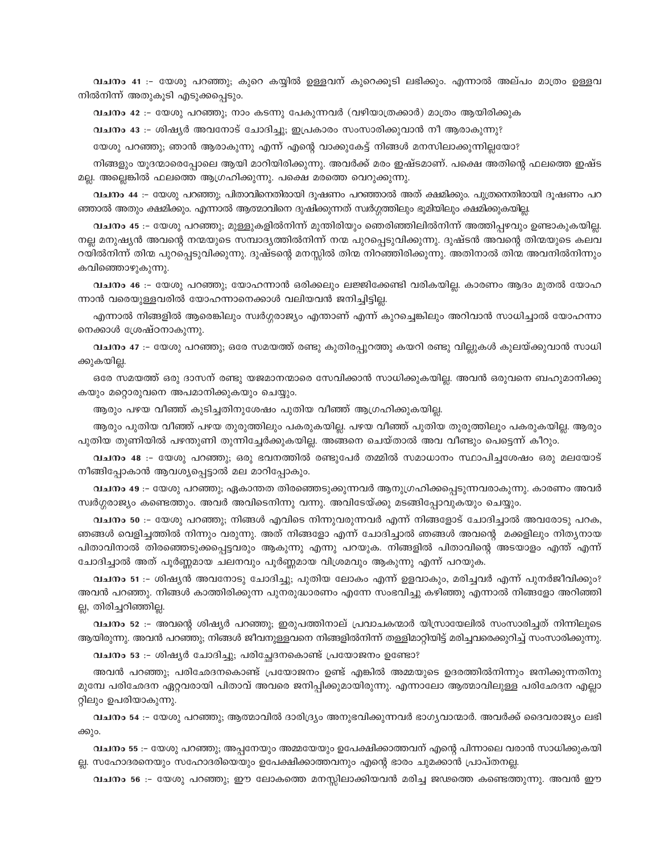വചനം 41 :- യേശു പറഞ്ഞു; കുറെ കയ്യിൽ ഉള്ളവന് കുറെക്കൂടി ലഭിക്കും. എന്നാൽ അല്പം മാത്രം ഉള്ളവ നിൽനിന്ന് അതുകൂടി എടുക്കപ്പെടും.

വചനം 42 :- യേശു പറഞ്ഞു; നാം കടന്നു പേകുന്നവർ (വഴിയാത്രക്കാർ) മാത്രം ആയിരിക്കുക

വചനം 43 :- ശിഷ്യർ അവനോട് ചോദിച്ചു; ഇപ്രകാരം സംസാരിക്കുവാൻ നീ ആരാകുന്നു?

യേശു പറഞ്ഞു; ഞാൻ ആരാകുന്നു എന്ന് എന്റെ വാക്കുകേട്ട് നിങ്ങൾ മനസിലാക്കുന്നില്ലയോ?

നിങ്ങളും യൂദന്മാരെപ്പോലെ ആയി മാറിയിരിക്കുന്നു. അവർക്ക് മരം ഇഷ്ടമാണ്. പക്ഷെ അതിന്റെ ഫലത്തെ ഇഷ്ട മല്ല. അല്ലെങ്കിൽ ഫലത്തെ ആഗ്രഹിക്കുന്നു. പക്ഷെ മരത്തെ വെറുക്കുന്നു.

വചനം 44 :– യേശു പറഞ്ഞു; പിതാവിനെതിരായി ദൂഷണം പറഞ്ഞാൽ അത് ക്ഷമിക്കും. പുത്രനെതിരായി ദൂഷണം പറ ഞ്ഞാൽ അതും ക്ഷമിക്കും. എന്നാൽ ആത്മാവിനെ ദുഷിക്കുന്നത് സ്വർഗ്ഗത്തിലും ഭൂമിയിലും ക്ഷമിക്കുകയില്ല.

വചനം 45 :– യേശു പറഞ്ഞു; മുള്ളുകളിൽനിന്ന് മുന്തിരിയും ഞെരിഞ്ഞിലിൽനിന്ന് അത്തിപ്പഴവും ഉണ്ടാകുകയില്ല. . നല്ല മനുഷ്യൻ അവന്റെ നന്മയുടെ സമ്പാദ്യത്തിൽനിന്ന് നന്മ പുറപ്പെടുവിക്കുന്നു. ദുഷ്ടൻ അവന്റെ തിന്മയുടെ കലവ റയിൽനിന്ന് തിന്മ പുറപ്പെടുവിക്കുന്നു. ദുഷ്ടന്റെ മനസ്സിൽ തിന്മ നിറഞ്ഞിരിക്കുന്നു. അതിനാൽ തിന്മ അവനിൽനിന്നും കവിഞ്ഞൊഴുകുന്നു.

വചനം 46 :- യേശു പറഞ്ഞു; യോഹന്നാൻ ഒരിക്കലും ലജ്ജിക്കേണ്ടി വരികയില്ല. കാരണം ആദം മുതൽ യോഹ ന്നാൻ വരെയുള്ളവരിൽ യോഹന്നാനെക്കാൾ വലിയവൻ ജനിച്ചിട്ടില്ല.

എന്നാൽ നിങ്ങളിൽ ആരെങ്കിലും സ്വർഗ്ഗരാജ്യം എന്താണ് എന്ന് കുറച്ചെങ്കിലും അറിവാൻ സാധിച്ചാൽ യോഹന്നാ നെക്കാൾ ശ്രേഷ്ഠനാകുന്നു.

വചനം 47 :– യേശു പറഞ്ഞു; ഒരേ സമയത്ത് രണ്ടു കുതിരപ്പുറത്തു കയറി രണ്ടു വില്ലുകൾ കുലയ്ക്കുവാൻ സാധി ക്കുകയില്ല.

ഒരേ സമയത്ത് ഒരു ദാസന് രണ്ടു യജമാനന്മാരെ സേവിക്കാൻ സാധിക്കുകയില്ല. അവൻ ഒരുവനെ ബഹുമാനിക്കു കയും മറ്റൊരുവനെ അപമാനിക്കുകയും ചെയ്യും.

ആരും പഴയ വീഞ്ഞ് കുടിച്ചതിനുശേഷം പുതിയ വീഞ്ഞ് ആഗ്രഹിക്കുകയില്ല.

ആരും പുതിയ വീഞ്ഞ് പഴയ തുരുത്തിലും പകരുകയില്ല. പഴയ വീഞ്ഞ് പുതിയ തുരുത്തിലും പകരുകയില്ല. ആരും പുതിയ തുണിയിൽ പഴന്തുണി തുന്നിച്ചേർക്കുകയില്ല. അങ്ങനെ ചെയ്താൽ അവ വീണ്ടും പെട്ടെന്ന് കീറും.

വചനം 48 :- യേശു പറഞ്ഞു; ഒരു ഭവനത്തിൽ രണ്ടുപേർ തമ്മിൽ സമാധാനം സ്ഥാപിച്ചശേഷം ഒരു മലയോട് നീങ്ങിപ്പോകാൻ ആവശ്യപ്പെട്ടാൽ മല മാറിപ്പോകും.

വചനം 49 :– യേശു പറഞ്ഞു; ഏകാന്തത തിരഞ്ഞെടുക്കുന്നവർ ആനുഗ്രഹിക്കപ്പെടുന്നവരാകുന്നു. കാരണം അവർ സ്വർഗ്ഗരാജ്യം കണ്ടെത്തും. അവർ അവിടെനിന്നു വന്നു. അവിടേയ്ക്കു മടങ്ങിപ്പോവുകയും ചെയ്യും.

വചനം 50 :– യേശു പറഞ്ഞു; നിങ്ങൾ എവിടെ നിന്നുവരുന്നവർ എന്ന് നിങ്ങളോട് ചോദിച്ചാൽ അവരോടു പറക, ഞങ്ങൾ വെളിച്ചത്തിൽ നിന്നും വരുന്നു. അത് നിങ്ങളോ എന്ന് ചോദിച്ചാൽ ഞങ്ങൾ അവന്റെ മക്കളിലും നിത്യനായ പിതാവിനാൽ തിരഞ്ഞെടുക്കപ്പെട്ടവരും ആകുന്നു എന്നു പറയുക. നിങ്ങളിൽ പിതാവിന്റെ അടയാളം എന്ത് എന്ന് ചോദിച്ചാൽ അത് പൂർണ്ണമായ ചലനവും പൂർണ്ണമായ വിശ്രമവും ആകുന്നു എന്ന് പറയുക.

വചനം 51 :- ശിഷ്യൻ അവനോടു ചോദിച്ചു; പുതിയ ലോകം എന്ന് ഉളവാകും, മരിച്ചവർ എന്ന് പുനർജീവിക്കും? അവൻ പറഞ്ഞു. നിങ്ങൾ കാത്തിരിക്കുന്ന പുനരുദ്ധാരണം എന്നേ സംഭവിച്ചു കഴിഞ്ഞു എന്നാൽ നിങ്ങളോ അറിഞ്ഞി ല്ല, തിരിച്ചറിഞ്ഞില്ല.

്വചനം 52 :– അവന്റെ ശിഷ്യർ പറഞ്ഞു; ഇരുപത്തിനാല് പ്രവാചകന്മാർ യിസ്രായേലിൽ സംസാരിച്ചത് നിന്നിലൂടെ ആയിരുന്നു. അവൻ പറഞ്ഞു; നിങ്ങൾ ജീവനുള്ളവനെ നിങ്ങളിൽനിന്ന് തള്ളിമാറ്റിയിട്ട് മരിച്ചവരെക്കുറിച്ച് സംസാരിക്കുന്നു.

വചനം 53 :- ശിഷ്യർ ചോദിച്ചു; പരിച്ഛേദനകൊണ്ട് പ്രയോജനം ഉണ്ടോ?

അവൻ പറഞ്ഞു; പരിഛേദനകൊണ്ട് പ്രയോജനം ഉണ്ട് എങ്കിൽ അമ്മയുടെ ഉദരത്തിൽനിന്നും ജനിക്കുന്നതിനു മുമ്പേ പരിഛേദന ഏറ്റവരായി പിതാവ് അവരെ ജനിപ്പിക്കുമായിരുന്നു. എന്നാലോ ആത്മാവിലുള്ള പരിഛേദന എല്ലാ റ്റിലും ഉപരിയാകുന്നു.

വചനം 54 :– യേശു പറഞ്ഞു; ആത്മാവിൽ ദാരിദ്ര്യം അനുഭവിക്കുന്നവർ ഭാഗ്യവാന്മാർ. അവർക്ക് ദൈവരാജ്യം ലഭി ക്കും.

വചനം 55 :– യേശു പറഞ്ഞു; അപ്പനേയും അമ്മയേയും ഉപേക്ഷിക്കാത്തവന് എന്റെ പിന്നാലെ വരാൻ സാധിക്കുകയി ല്ല. സഹോദരനെയും സഹോദരിയെയും ഉപേക്ഷിക്കാത്തവനും എന്റെ ഭാരം ചുമക്കാൻ പ്രാപ്തനല്ല.

വചനം 56 :– യേശു പറഞ്ഞു; ഈ ലോകത്തെ മനസ്സിലാക്കിയവൻ മരിച്ച ജഢത്തെ കണ്ടെത്തുന്നു. അവൻ ഈ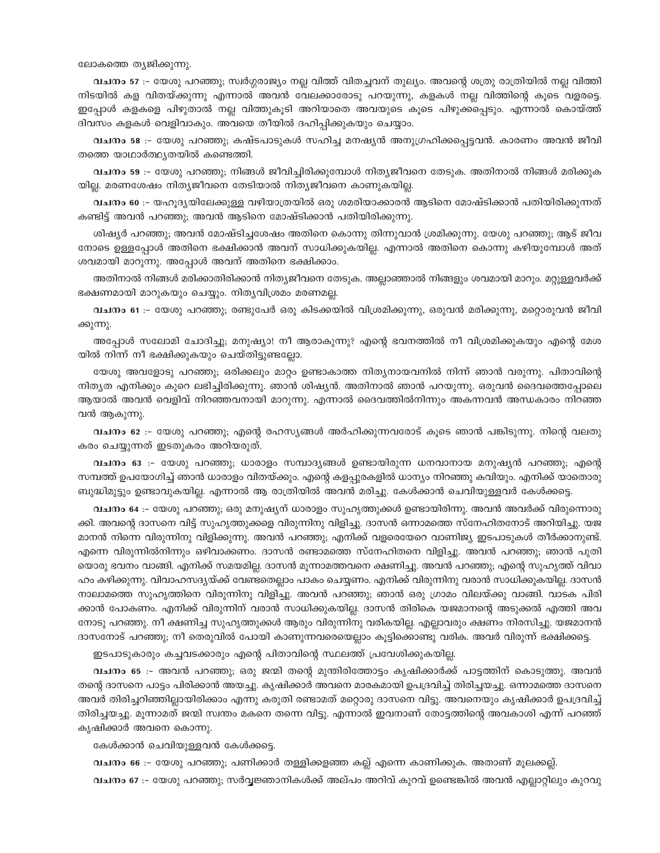#### ലോകത്തെ തൃജിക്കുന്നു.

വചനം 57 :– യേശു പറഞ്ഞു; സ്വർഗ്ഗരാജ്യം നല്ല വിത്ത് വിതച്ചവന് തുല്യം. അവന്റെ ശത്രു രാത്രിയിൽ നല്ല വിത്തി നിടയിൽ കള വിതയ്ക്കുന്നു എന്നാൽ അവൻ വേലക്കാരോടു പറയുന്നു, കളകൾ നല്ല വിത്തിന്റെ കൂടെ വളരട്ടെ. ഇപ്പോൾ കളകളെ പിഴുതാൽ നല്ല വിത്തുകുടി അറിയാതെ അവയുടെ കുടെ പിഴുക്കപ്പെടും. എന്നാൽ കൊയ്ത്ത് ദിവസം കളകൾ വെളിവാകും. അവയെ തീയിൽ ദഹിപ്പിക്കുകയും ചെയ്യാം.

വചനം 58 :- യേശു പറഞ്ഞു; കഷ്ടപാടുകൾ സഹിച്ച മനഷ്യൻ അനുഗ്രഹിക്കപ്പെട്ടവൻ. കാരണം അവൻ ജീവി തത്തെ യാഥാർത്ഥ്യതയിൽ കണ്ടെത്തി.

വചനം 59 :- യേശു പറഞ്ഞു; നിങ്ങൾ ജീവിച്ചിരിക്കുമ്പോൾ നിത്യജീവനെ തേടുക. അതിനാൽ നിങ്ങൾ മരിക്കുക യില്ല. മരണശേഷം നിത്യജീവനെ തേടിയാൽ നിത്യജീവനെ കാണുകയില്ല.

്വചനം 60 :– യഹൂദ്യയിലേക്കുള്ള വഴിയാത്രയിൽ ഒരു ശമരിയാക്കാരൻ ആടിനെ മോഷ്ടിക്കാൻ പതിയിരിക്കുന്നത് കണ്ടിട്ട് അവൻ പറഞ്ഞു; അവൻ ആടിനെ മോഷ്ടിക്കാൻ പതിയിരിക്കുന്നു.

ശിഷ്യർ പറഞ്ഞു; അവൻ മോഷ്ടിച്ചശേഷം അതിനെ കൊന്നു തിന്നുവാൻ ശ്രമിക്കുന്നു. യേശു പറഞ്ഞു; ആട് ജീവ നോടെ ഉള്ളപ്പോൾ അതിനെ ഭക്ഷിക്കാൻ അവന് സാധിക്കുകയില്ല. എന്നാൽ അതിനെ കൊന്നു കഴിയുമ്പോൾ അത് ശവമായി മാറുന്നു. അപ്പോൾ അവന് അതിനെ ഭക്ഷിക്കാം.

അതിനാൽ നിങ്ങൾ മരിക്കാതിരിക്കാൻ നിതൃജീവനെ തേടുക. അല്ലാഞ്ഞാൽ നിങ്ങളും ശവമായി മാറും. മറ്റുള്ളവർക്ക് ഭക്ഷണമായി മാറുകയും ചെയ്യും. നിതൃവിശ്രമം മരണമല്ല.

്വചനം 61 :– യേശു പറഞ്ഞു; രണ്ടുപേർ ഒരു കിടക്കയിൽ വിശ്രമിക്കുന്നു, ഒരുവൻ മരിക്കുന്നു, മറ്റൊരുവൻ ജീവി ക്കുന്നു.

അപ്പോൾ സലോമി ചോദിച്ചു; മനുഷ്യാ! നീ ആരാകുന്നു? എന്റെ ഭവനത്തിൽ നീ വിശ്രമിക്കുകയും എന്റെ മേശ യിൽ നിന്ന് നീ ഭക്ഷിക്കുകയും ചെയ്തിട്ടുണ്ടല്ലോ.

യേശു അവളോടു പറഞ്ഞു; ഒരിക്കലും മാറ്റം ഉണ്ടാകാത്ത നിതൃനായവനിൽ നിന്ന് ഞാൻ വരുന്നു. പിതാവിന്റെ നിതൃത എനിക്കും കുറെ ലഭിച്ചിരിക്കുന്നു. ഞാൻ ശിഷ്യൻ. അതിനാൽ ഞാൻ പറയുന്നു. ഒരുവൻ ദൈവത്തെപ്പോലെ ആയാൽ അവൻ വെളിവ് നിറഞ്ഞവനായി മാറുന്നു. എന്നാൽ ദൈവത്തിൽനിന്നും അകന്നവൻ അന്ധകാരം നിറഞ്ഞ വൻ ആകുന്നു.

വചനം 62 :– യേശു പറഞ്ഞു; എന്റെ രഹസ്യങ്ങൾ അർഹിക്കുന്നവരോട് കൂടെ ഞാൻ പങ്കിടുന്നു. നിന്റെ വലതു കരം ചെയ്യുന്നത് ഇടതുകരം അറിയരുത്.

വചനം 63 :- യേശു പറഞ്ഞു; ധാരാളം സമ്പാദ്യങ്ങൾ ഉണ്ടായിരുന്ന ധനവാനായ മനുഷ്യൻ പറഞ്ഞു; എന്റെ സമ്പത്ത് ഉപയോഗിച്ച് ഞാൻ ധാരാളം വിതയ്ക്കും. എന്റെ കളപ്പുരകളിൽ ധാന്യം നിറഞ്ഞു കവിയും. എനിക്ക് യാതൊരു ബുദ്ധിമുട്ടും ഉണ്ടാവുകയില്ല. എന്നാൽ ആ രാത്രിയിൽ അവൻ മരിച്ചു. കേൾക്കാൻ ചെവിയുള്ളവർ കേൾക്കട്ടെ.

വചനം 64 :– യേശു പറഞ്ഞു; ഒരു മനുഷ്യന് ധാരാളം സുഹൃത്തുക്കൾ ഉണ്ടായിരിന്നു. അവൻ അവർക്ക് വിരുന്നൊരു ക്കി. അവന്റെ ദാസനെ വിട്ട് സുഹൃത്തുക്കളെ വിരുന്നിനു വിളിച്ചു. ദാസൻ ഒന്നാമത്തെ സ്നേഹിതനോട് അറിയിച്ചു. യജ മാനൻ നിന്നെ വിരുന്നിനു വിളിക്കുന്നു. അവൻ പറഞ്ഞു; എനിക്ക് വളരെയേറെ വാണിജ്യ ഇടപാടുകൾ തീർക്കാനുണ്ട്. എന്നെ വിരുന്നിൽനിന്നും ഒഴിവാക്കണം. ദാസൻ രണ്ടാമത്തെ സ്നേഹിതനെ വിളിച്ചു. അവൻ പറഞ്ഞു; ഞാൻ പുതി യൊരു ഭവനം വാങ്ങി. എനിക്ക് സമയമില്ല. ദാസൻ മൂന്നാമത്തവനെ ക്ഷണിച്ചു. അവൻ പറഞ്ഞു; എന്റെ സുഹൃത്ത് വിവാ ഹം കഴിക്കുന്നു. വിവാഹസദ്യയ്ക്ക് വേണ്ടതെല്ലാം പാകം ചെയ്യണം. എനിക്ക് വിരുന്നിനു വരാൻ സാധിക്കുകയില്ല. ദാസൻ നാലാമത്തെ സുഹൃത്തിനെ വിരുന്നിനു വിളിച്ചു. അവൻ പറഞ്ഞു; ഞാൻ ഒരു ഗ്രാമം വിലയ്ക്കു വാങ്ങി. വാടക പിരി ക്കാൻ പോകണം. എനിക്ക് വിരുന്നിന് വരാൻ സാധിക്കുകയില്ല. ദാസൻ തിരികെ യജമാനന്റെ അടുക്കൽ എത്തി അവ നോടു പറഞ്ഞു. നീ ക്ഷണിച്ച സുഹൃത്തുക്കൾ ആരും വിരുന്നിനു വരികയില്ല. എല്ലാവരും ക്ഷണം നിരസിച്ചു. യജമാനൻ ദാസനോട് പറഞ്ഞു; നീ തെരുവിൽ പോയി കാണുന്നവരെയെല്ലാം കൂട്ടിക്കൊണ്ടു വരിക. അവർ വിരുന്ന് ഭക്ഷിക്കട്ടെ.

ഇടപാടുകാരും കച്ചവടക്കാരും എന്റെ പിതാവിന്റെ സ്ഥലത്ത് പ്രവേശിക്കുകയില്ല.

വചനം 65 :– അവൻ പറഞ്ഞു; ഒരു ജന്മി തന്റെ മുന്തിരിത്തോട്ടം കൃഷിക്കാർക്ക് പാട്ടത്തിന് കൊടുത്തു. അവൻ തന്റെ ദാസനെ പാട്ടം പിരിക്കാൻ അയച്ചു. കൃഷിക്കാർ അവനെ മാരകമായി ഉപദ്രവിച്ച് തിരിച്ചയച്ചു. ഒന്നാമത്തെ ദാസനെ അവർ തിരിച്ചറിഞ്ഞില്ലായിരിക്കാം എന്നു കരുതി രണ്ടാമത് മറ്റൊരു ദാസനെ വിട്ടു. അവനെയും കൃഷിക്കാർ ഉപദ്രവിച്ച് തിരിച്ചയച്ചു. മൂന്നാമത് ജന്മി സ്വന്തം മകനെ തന്നെ വിട്ടു. എന്നാൽ ഇവനാണ് തോട്ടത്തിന്റെ അവകാശി എന്ന് പറഞ്ഞ് കൃഷിക്കാർ അവനെ കൊന്നു.

കേൾക്കാൻ ചെവിയുള്ളവൻ കേൾക്കട്ടെ.

വചനം 66 :- യേശു പറഞ്ഞു; പണിക്കാർ തള്ളിക്കളഞ്ഞ കല്ല് എന്നെ കാണിക്കുക. അതാണ് മൂലക്കല്ല്. വചനം 67 :- യേശു പറഞ്ഞു; സർവ്വജ്ഞാനികൾക്ക് അല്പം അറിവ് കുറവ് ഉണ്ടെങ്കിൽ അവൻ എല്ലാറ്റിലും കുറവു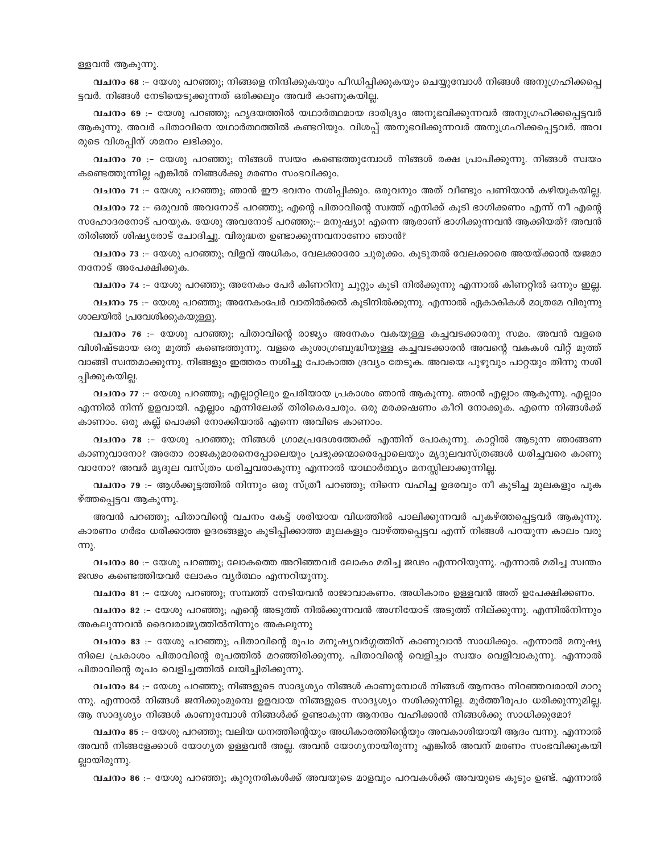ള്ളവൻ ആകുന്നു.

വചനം 68 :– യേശു പറഞ്ഞു; നിങ്ങളെ നിന്ദിക്കുകയും പീഡിപ്പിക്കുകയും ചെയ്യുമ്പോൾ നിങ്ങൾ അനുഗ്രഹിക്കപ്പെ ട്ടവർ. നിങ്ങൾ നേടിയെടുക്കുന്നത് ഒരിക്കലും അവർ കാണുകയില്ല.

വചനം 69 :- യേശു പറഞ്ഞു; ഹൃദയത്തിൽ യഥാർത്ഥമായ ദാരിദ്ര്യം അനുഭവിക്കുന്നവർ അനുഗ്രഹിക്കപ്പെട്ടവർ ആകുന്നു. അവർ പിതാവിനെ യഥാർത്ഥത്തിൽ കണ്ടറിയും. വിശപ്പ് അനുഭവിക്കുന്നവർ അനുഗ്രഹിക്കപ്പെട്ടവർ. അവ രുടെ വിശപ്പിന് ശമനം ലഭിക്കും.

വചനം 70 :– യേശു പറഞ്ഞു; നിങ്ങൾ സ്വയം കണ്ടെത്തുമ്പോൾ നിങ്ങൾ രക്ഷ പ്രാപിക്കുന്നു. നിങ്ങൾ സ്വയം കണ്ടെത്തുന്നില്ല എങ്കിൽ നിങ്ങൾക്കു മരണം സംഭവിക്കും.

വചനം 71 :– യേശു പറഞ്ഞു; ഞാൻ ഈ ഭവനം നശിപ്പിക്കും. ഒരുവനും അത് വീണ്ടും പണിയാൻ കഴിയുകയില്ല.

വചനം 72 :- ഒരുവൻ അവനോട് പറഞ്ഞു; എന്റെ പിതാവിന്റെ സ്വത്ത് എനിക്ക് കൂടി ഭാഗിക്കണം എന്ന് നീ എന്റെ സഹോദരനോട് പറയുക. യേശു അവനോട് പറഞ്ഞു:– മനുഷ്യാ! എന്നെ ആരാണ് ഭാഗിക്കുന്നവൻ ആക്കിയത്? അവൻ തിരിഞ്ഞ് ശിഷ്യരോട് ചോദിച്ചു. വിരുദ്ധത ഉണ്ടാക്കുന്നവനാണോ ഞാൻ?

വചനം 73 :- യേശു പറഞ്ഞു; വിളവ് അധികം, വേലക്കാരോ ചുരുക്കം. കൂടുതൽ വേലക്കാരെ അയയ്ക്കാൻ യജമാ നനോട് അപേക്ഷിക്കുക.

വചനം 74 :– യേശു പറഞ്ഞു; അനേകം പേർ കിണറിനു ചുറ്റും കൂടി നിൽക്കുന്നു എന്നാൽ കിണറ്റിൽ ഒന്നും ഇല്ല. വചനം 75 :– യേശു പറഞ്ഞു; അനേകംപേർ വാതിൽക്കൽ കൂടിനിൽക്കുന്നു. എന്നാൽ ഏകാകികൾ മാത്രമേ വിരുന്നു ശാലയിൽ പ്രവേശിക്കുകയുള്ളു.

വചനം 76 :- യേശു പറഞ്ഞു; പിതാവിന്റെ രാജ്യം അനേകം വകയുള്ള കച്ചവടക്കാരനു സമം. അവൻ വളരെ വിശിഷ്ടമായ ഒരു മുത്ത് കണ്ടെത്തുന്നു. വളരെ കുശാഗ്രബുദ്ധിയുള്ള കച്ചവടക്കാരൻ അവന്റെ വകകൾ വിറ്റ് മുത്ത് വാങ്ങി സ്വന്തമാക്കുന്നു. നിങ്ങളും ഇത്തരം നശിച്ചു പോകാത്ത ദ്രവ്യം തേടുക. അവയെ പുഴുവും പാറ്റയും തിന്നു നശി പ്പിക്കുകയില്ല.

വചനം 77 :– യേശു പറഞ്ഞു; എല്ലാറ്റിലും ഉപരിയായ പ്രകാശം ഞാൻ ആകുന്നു. ഞാൻ എല്ലാം ആകുന്നു. എല്ലാം എന്നിൽ നിന്ന് ഉളവായി. എല്ലാം എന്നിലേക്ക് തിരികെചേരും. ഒരു മരക്കഷണം കീറി നോക്കുക. എന്നെ നിങ്ങൾക്ക് കാണാം. ഒരു കല്ല് പൊക്കി നോക്കിയാൽ എന്നെ അവിടെ കാണാം.

വചനം 78 :- യേശു പറഞ്ഞു; നിങ്ങൾ ഗ്രാമപ്രദേശത്തേക്ക് എന്തിന് പോകുന്നു. കാറ്റിൽ ആടുന്ന ഞാങ്ങണ കാണുവാനോ? അതോ രാജകുമാരനെപ്പോലെയും പ്രഭുക്കന്മാരെപ്പോലെയും മൃദുലവസ്ത്രങ്ങൾ ധരിച്ചവരെ കാണു വാനോ? അവർ മൃദുല വസ്ത്രം ധരിച്ചവരാകുന്നു എന്നാൽ യാഥാർത്ഥ്യം മനസ്സിലാക്കുന്നില്ല.

വചനം 79 :- ആൾക്കൂട്ടത്തിൽ നിന്നും ഒരു സ്ത്രീ പറഞ്ഞു; നിന്നെ വഹിച്ച ഉദരവും നീ കുടിച്ച മുലകളും പുക ഴ്ത്തപ്പെട്ടവ ആകുന്നു.

അവൻ പറഞ്ഞു; പിതാവിന്റെ വചനം കേട്ട് ശരിയായ വിധത്തിൽ പാലിക്കുന്നവർ പുകഴ്ത്തപ്പെട്ടവർ ആകുന്നു. കാരണം ഗർഭം ധരിക്കാത്ത ഉദരങ്ങളും കുടിപ്പിക്കാത്ത മുലകളും വാഴ്ത്തപ്പെട്ടവ എന്ന് നിങ്ങൾ പറയുന്ന കാലം വരു <u>m</u>).

വചനം 80 :– യേശു പറഞ്ഞു; ലോകത്തെ അറിഞ്ഞവർ ലോകം മരിച്ച ജഢം എന്നറിയുന്നു. എന്നാൽ മരിച്ച സ്വന്തം ജഢം കണ്ടെത്തിയവർ ലോകം വ്യർത്ഥം എന്നറിയുന്നു.

വചനം 81 :– യേശു പറഞ്ഞു; സമ്പത്ത് നേടിയവൻ രാജാവാകണം. അധികാരം ഉള്ളവൻ അത് ഉപേക്ഷിക്കണം.

വചനം 82 :- യേശു പറഞ്ഞു; എന്റെ അടുത്ത് നിൽക്കുന്നവൻ അഗ്നിയോട് അടുത്ത് നില്ക്കുന്നു. എന്നിൽനിന്നും അകലുന്നവൻ ദൈവരാജ്യത്തിൽനിന്നും അകലുന്നു

വചനം 83 :– യേശു പറഞ്ഞു; പിതാവിന്റെ രൂപം മനുഷ്യവർഗ്ഗത്തിന് കാണുവാൻ സാധിക്കും. എന്നാൽ മനുഷ്യ നിലെ പ്രകാശം പിതാവിന്റെ രൂപത്തിൽ മറഞ്ഞിരിക്കുന്നു. പിതാവിന്റെ വെളിച്ചം സ്വയം വെളിവാകുന്നു. എന്നാൽ പിതാവിന്റെ രൂപം വെളിച്ചത്തിൽ ലയിച്ചിരിക്കുന്നു.

വചനം 84 :– യേശു പറഞ്ഞു; നിങ്ങളുടെ സാദൃശ്യം നിങ്ങൾ കാണുമ്പോൾ നിങ്ങൾ ആനന്ദം നിറഞ്ഞവരായി മാറു ന്നു. എന്നാൽ നിങ്ങൾ ജനിക്കുംമുമ്പെ ഉളവായ നിങ്ങളുടെ സാദൃശ്യം നശിക്കുന്നില്ല. മൂർത്തീരൂപം ധരിക്കുന്നുമില്ല. ആ സാദൃശ്യം നിങ്ങൾ കാണുമ്പോൾ നിങ്ങൾക്ക് ഉണ്ടാകുന്ന ആനന്ദം വഹിക്കാൻ നിങ്ങൾക്കു സാധിക്കുമോ?

വചനം 85 :– യേശു പറഞ്ഞു; വലിയ ധനത്തിന്റെയും അധികാരത്തിന്റെയും അവകാശിയായി ആദം വന്നു. എന്നാൽ അവൻ നിങ്ങളേക്കാൾ യോഗ്യത ഉള്ളവൻ അല്ല. അവൻ യോഗ്യനായിരുന്നു എങ്കിൽ അവന് മരണം സംഭവിക്കുകയി ല്ലായിരുന്നു.

വചനം 86 :– യേശു പറഞ്ഞു; കുറുനരികൾക്ക് അവയുടെ മാളവും പറവകൾക്ക് അവയുടെ കൂടും ഉണ്ട്. എന്നാൽ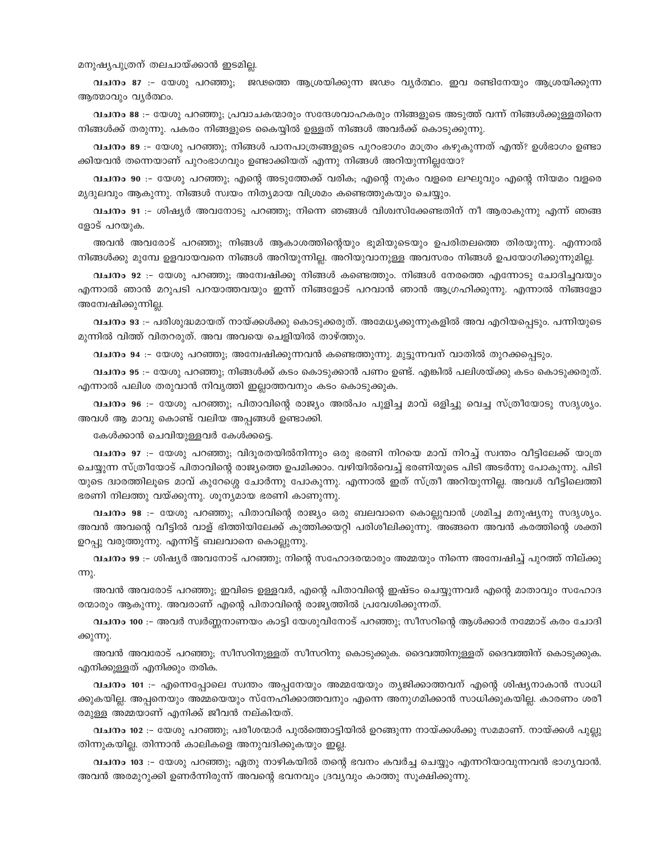#### മനുഷ്യപുത്രന് തലചായ്ക്കാൻ ഇടമില്ല.

വചനം 87 :- യേശു പറഞ്ഞു; ജഢത്തെ ആശ്രയിക്കുന്ന ജഢം വൃർത്ഥം. ഇവ രണ്ടിനേയും ആശ്രയിക്കുന്ന ആത്മാവും വൃർത്ഥം.

്വചനം 88 :– യേശു പറഞ്ഞു; പ്രവാചകന്മാരും സന്ദേശവാഹകരും നിങ്ങളുടെ അടുത്ത് വന്ന് നിങ്ങൾക്കുള്ളതിനെ നിങ്ങൾക്ക് തരുന്നു. പകരം നിങ്ങളുടെ കൈയ്യിൽ ഉള്ളത് നിങ്ങൾ അവർക്ക് കൊടുക്കുന്നു.

വചനം 89 :– യേശു പറഞ്ഞു; നിങ്ങൾ പാനപാത്രങ്ങളുടെ പുറംഭാഗം മാത്രം കഴുകുന്നത് എന്ത്? ഉൾഭാഗം ഉണ്ടാ ക്കിയവൻ തന്നെയാണ് പുറംഭാഗവും ഉണ്ടാക്കിയത് എന്നു നിങ്ങൾ അറിയുന്നില്ലയോ?

വചനം 90 :- യേശു പറഞ്ഞു; എന്റെ അടുത്തേക്ക് വരിക; എന്റെ നുകം വളരെ ലഘുവും എന്റെ നിയമം വളരെ മൃദുലവും ആകുന്നു. നിങ്ങൾ സ്വയം നിത്യമായ വിശ്രമം കണ്ടെത്തുകയും ചെയ്യും.

വചനം 91 :- ശിഷ്യർ അവനോടു പറഞ്ഞു; നിന്നെ ഞങ്ങൾ വിശ്വസിക്കേണ്ടതിന് നീ ആരാകുന്നു എന്ന് ഞങ്ങ ളോട് പറയുക.

അവൻ അവരോട് പറഞ്ഞു; നിങ്ങൾ ആകാശത്തിന്റെയും ഭൂമിയുടെയും ഉപരിതലത്തെ തിരയുന്നു. എന്നാൽ നിങ്ങൾക്കു മുമ്പേ ഉളവായവനെ നിങ്ങൾ അറിയുന്നില്ല. അറിയുവാനുള്ള അവസരം നിങ്ങൾ ഉപയോഗിക്കുന്നുമില്ല.

വചനം 92 :- യേശു പറഞ്ഞു; അമ്പേഷിക്കു നിങ്ങൾ കണ്ടെത്തും. നിങ്ങൾ നേരത്തെ എന്നോടു ചോദിച്ചവയും എന്നാൽ ഞാൻ മറുപടി പറയാത്തവയും ഇന്ന് നിങ്ങളോട് പറവാൻ ഞാൻ ആഗ്രഹിക്കുന്നു. എന്നാൽ നിങ്ങളോ അന്വേഷിക്കുന്നില്ല.

വചനം 93 :– പരിശുദ്ധമായത് നായ്ക്കൾക്കു കൊടുക്കരുത്. അമേധ്യക്കുന്നുകളിൽ അവ എറിയപ്പെടും. പന്നിയുടെ മുന്നിൽ വിത്ത് വിതറരുത്. അവ അവയെ ചെളിയിൽ താഴ്ത്തും.

വചനം 94 :– യേശു പറഞ്ഞു; അന്വേഷിക്കുന്നവൻ കണ്ടെത്തുന്നു. മുട്ടുന്നവന് വാതിൽ തുറക്കപ്പെടും.

വചനം 95 :– യേശു പറഞ്ഞു; നിങ്ങൾക്ക് കടം കൊടുക്കാൻ പണം ഉണ്ട്. എങ്കിൽ പലിശയ്ക്കു കടം കൊടുക്കരുത്. എന്നാൽ പലിശ തരുവാൻ നിവൃത്തി ഇല്ലാത്തവനും കടം കൊടുക്കുക.

വചനം 96 :- യേശു പറഞ്ഞു; പിതാവിന്റെ രാജ്യം അൽപം പുളിച്ച മാവ് ഒളിച്ചു വെച്ച സ്ത്രീയോടു സദൃശ്യം. അവൾ ആ മാവു കൊണ്ട് വലിയ അപ്പങ്ങൾ ഉണ്ടാക്കി.

കേൾക്കാൻ ചെവിയുള്ളവർ കേൾക്കട്ടെ.

വചനം 97 :- യേശു പറഞ്ഞു; വിദൂരതയിൽനിന്നും ഒരു ഭരണി നിറയെ മാവ് നിറച്ച് സ്വന്തം വീട്ടിലേക്ക് യാത്ര ചെയ്യുന്ന സ്ത്രീയോട് പിതാവിന്റെ രാജ്യത്തെ ഉപമിക്കാം. വഴിയിൽവെച്ച് ഭരണിയുടെ പിടി അടർന്നു പോകുന്നു. പിടി യുടെ ദ്വാരത്തിലൂടെ മാവ് കുറേശ്ശെ ചോർന്നു പോകുന്നു. എന്നാൽ ഇത് സ്ത്രീ അറിയുന്നില്ല. അവൾ വീട്ടിലെത്തി ഭരണി നിലത്തു വയ്ക്കുന്നു. ശൂന്യമായ ഭരണി കാണുന്നു.

വചനം 98 :- യേശു പറഞ്ഞു; പിതാവിന്റെ രാജ്യം ഒരു ബലവാനെ കൊല്ലുവാൻ ശ്രമിച്ച മനുഷ്യനു സദൃശ്യം. അവൻ അവന്റെ വീട്ടിൽ വാള് ഭിത്തിയിലേക്ക് കുത്തിക്കയറ്റി പരിശീലിക്കുന്നു. അങ്ങനെ അവൻ കരത്തിന്റെ ശക്തി ഉറപ്പു വരുത്തുന്നു. എന്നിട്ട് ബലവാനെ കൊല്ലുന്നു.

്വചനം 99 :– ശിഷ്യർ അവനോട് പറഞ്ഞു; നിന്റെ സഹോദരന്മാരും അമ്മയും നിന്നെ അന്വേഷിച്ച് പുറത്ത് നില്ക്കു  $mp.$ 

അവൻ അവരോട് പറഞ്ഞു; ഇവിടെ ഉള്ളവർ, എന്റെ പിതാവിന്റെ ഇഷ്ടം ചെയ്യുന്നവർ എന്റെ മാതാവും സഹോദ രന്മാരും ആകുന്നു. അവരാണ് എന്റെ പിതാവിന്റെ രാജ്യത്തിൽ പ്രവേശിക്കുന്നത്.

്വചനം 100 :– അവർ സ്വർണ്ണനാണയം കാട്ടി യേശുവിനോട് പറഞ്ഞു; സീസറിന്റെ ആൾക്കാർ നമ്മോട് കരം ചോദി ക്കുന്നു.

അവൻ അവരോട് പറഞ്ഞു; സീസറിനുള്ളത് സീസറിനു കൊടുക്കുക. ദൈവത്തിനുള്ളത് ദൈവത്തിന് കൊടുക്കുക. എനിക്കുള്ളത് എനിക്കും തരിക.

വചനം 101 :- എന്നെപ്പോലെ സ്വന്തം അപ്പനേയും അമ്മയേയും തൃജിക്കാത്തവന് എന്റെ ശിഷ്യനാകാൻ സാധി ക്കുകയില്ല. അപ്പനെയും അമ്മയെയും സ്നേഹിക്കാത്തവനും എന്നെ അനുഗമിക്കാൻ സാധിക്കുകയില്ല. കാരണം ശരീ രമുള്ള അമ്മയാണ് എനിക്ക് ജീവൻ നല്കിയത്.

വചനം 102 :– യേശു പറഞ്ഞു; പരീശന്മാർ പുൽത്തൊട്ടിയിൽ ഉറങ്ങുന്ന നായ്ക്കൾക്കു സമമാണ്. നായ്ക്കൾ പുല്ലു തിന്നുകയില്ല. തിന്നാൻ കാലികളെ അനുവദിക്കുകയും ഇല്ല.

വചനം 103 :– യേശു പറഞ്ഞു; ഏതു നാഴികയിൽ തന്റെ ഭവനം കവർച്ച ചെയ്യും എന്നറിയാവുന്നവൻ ഭാഗൃവാൻ. അവൻ അരമുറുക്കി ഉണർന്നിരുന്ന് അവന്റെ ഭവനവും ദ്രവ്യവും കാത്തു സൂക്ഷിക്കുന്നു.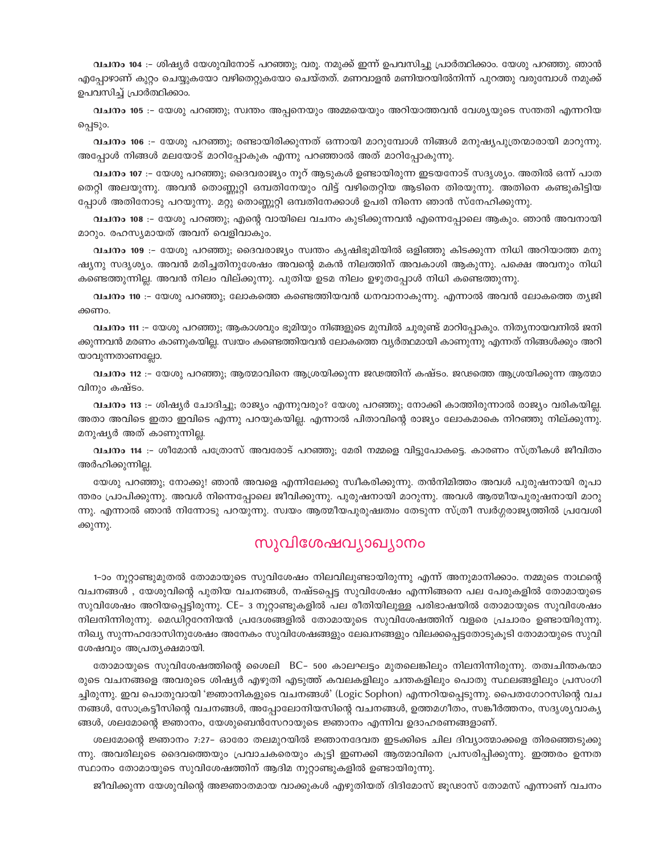വചനം 104 :– ശിഷ്യർ യേശുവിനോട് പറഞ്ഞു; വരൂ. നമുക്ക് ഇന്ന് ഉപവസിച്ചു പ്രാർത്ഥിക്കാം. യേശു പറഞ്ഞു. ഞാൻ എപ്പോഴാണ് കുറ്റം ചെയ്യുകയോ വഴിതെറ്റുകയോ ചെയ്തത്. മണവാളൻ മണിയറയിൽനിന്ന് പുറത്തു വരുമ്പോൾ നമുക്ക് ഉപവസിച്ച് പ്രാർത്ഥിക്കാം.

വചനം 105 :- യേശു പറഞ്ഞു; സ്വന്തം അപ്പനെയും അമ്മയെയും അറിയാത്തവൻ വേശ്യയുടെ സന്തതി എന്നറിയ പ്പെടും.

വചനം 106 :- യേശു പറഞ്ഞു; രണ്ടായിരിക്കുന്നത് ഒന്നായി മാറുമ്പോൾ നിങ്ങൾ മനുഷ്യപുത്രന്മാരായി മാറുന്നു. അപ്പോൾ നിങ്ങൾ മലയോട് മാറിപ്പോകുക എന്നു പറഞ്ഞാൽ അത് മാറിപ്പോകുന്നു.

വചനം 107 :- യേശു പറഞ്ഞു; ദൈവരാജ്യം നൂറ് ആടുകൾ ഉണ്ടായിരുന്ന ഇടയനോട് സദൃശ്യം. അതിൽ ഒന്ന് പാത തെറ്റി അലയുന്നു. അവൻ തൊണ്ണൂറ്റി ഒമ്പതിനേയും വിട്ട് വഴിതെറ്റിയ ആടിനെ തിരയുന്നു. അതിനെ കണ്ടുകിട്ടിയ പ്പോൾ അതിനോടു പറയുന്നു. മറ്റു തൊണ്ണൂറ്റി ഒമ്പതിനേക്കാൾ ഉപരി നിന്നെ ഞാൻ സ്നേഹിക്കുന്നു.

വചനം 108 :– യേശു പറഞ്ഞു; എന്റെ വായിലെ വചനം കുടിക്കുന്നവൻ എന്നെപ്പോലെ ആകും. ഞാൻ അവനായി മാറും. രഹസ്യമായത് അവന് വെളിവാകും.

വചനം 109 :– യേശു പറഞ്ഞു; ദൈവരാജ്യം സ്വന്തം കൃഷിഭൂമിയിൽ ഒളിഞ്ഞു കിടക്കുന്ന നിധി അറിയാത്ത മനു ഷ്യനു സദൃശ്യം. അവൻ മരിച്ചതിനുശേഷം അവന്റെ മകൻ നിലത്തിന് അവകാശി ആകുന്നു. പക്ഷെ അവനും നിധി കണ്ടെത്തുന്നില്ല. അവൻ നിലം വില്ക്കുന്നു. പുതിയ ഉടമ നിലം ഉഴുതപ്പോൾ നിധി കണ്ടെത്തുന്നു.

വചനം 110 :– യേശു പറഞ്ഞു; ലോകത്തെ കണ്ടെത്തിയവൻ ധനവാനാകുന്നു. എന്നാൽ അവൻ ലോകത്തെ തൃജി ക്കണം.

്വചനം 111 :– യേശു പറഞ്ഞു; ആകാശവും ഭൂമിയും നിങ്ങളുടെ മുമ്പിൽ ചുരുണ്ട് മാറിപ്പോകും. നിതൃനായവനിൽ ജനി ക്കുന്നവൻ മരണം കാണുകയില്ല. സ്വയം കണ്ടെത്തിയവൻ ലോകത്തെ വൃർത്ഥമായി കാണുന്നു എന്നത് നിങ്ങൾക്കും അറി യാവുന്നതാണല്ലോ.

വചനം 112 :- യേശു പറഞ്ഞു; ആത്മാവിനെ ആശ്രയിക്കുന്ന ജഢത്തിന് കഷ്ടം. ജഢത്തെ ആശ്രയിക്കുന്ന ആത്മാ വിനും കഷ്ടം.

്വചനം 113 :– ശിഷ്യർ ചോദിച്ചു; രാജ്യം എന്നുവരും? യേശു പറഞ്ഞു; നോക്കി കാത്തിരുന്നാൽ രാജ്യം വരികയില്ല. അതാ അവിടെ ഇതാ ഇവിടെ എന്നു പറയുകയില്ല. എന്നാൽ പിതാവിന്റെ രാജ്യം ലോകമാകെ നിറഞ്ഞു നില്ക്കുന്നു. മനുഷ്യർ അത് കാണുന്നില്ല.

വചനം 114 :- ശീമോൻ പത്രോസ് അവരോട് പറഞ്ഞു; മേരി നമ്മളെ വിട്ടുപോകട്ടെ. കാരണം സ്ത്രീകൾ ജീവിതം അർഹിക്കുന്നില.

യേശു പറഞ്ഞു; നോക്കു! ഞാൻ അവളെ എന്നിലേക്കു സ്വീകരിക്കുന്നു. തൻനിമിത്തം അവൾ പുരുഷനായി രുപാ ന്തരം പ്രാപിക്കുന്നു. അവൾ നിന്നെപ്പോലെ ജീവിക്കുന്നു. പുരുഷനായി മാറുന്നു. അവൾ ആത്മീയപുരുഷനായി മാറു ന്നു. എന്നാൽ ഞാൻ നിന്നോടു പറയുന്നു. സ്വയം ആത്മീയപുരുഷ്വത്വം തേടുന്ന സ്ത്രീ സ്വർഗ്ഗരാജ്യത്തിൽ പ്രവേശി ക്കുന്നു.

## സുവിശേഷവ്യാഖ്യാനം

1–ാം നൂറ്റാണ്ടുമുതൽ തോമായുടെ സുവിശേഷം നിലവിലുണ്ടായിരുന്നു എന്ന് അനുമാനിക്കാം. നമ്മുടെ നാഥന്റെ വചനങ്ങൾ , യേശുവിന്റെ പുതിയ വചനങ്ങൾ, നഷ്ടപ്പെട്ട സുവിശേഷം എന്നിങ്ങനെ പല പേരുകളിൽ തോമായുടെ സുവിശേഷം അറിയപ്പെട്ടിരുന്നു. CE- 3 നൂറ്റാണ്ടുകളിൽ പല രീതിയിലുള്ള പരിഭാഷയിൽ തോമായുടെ സുവിശേഷം നിലനിന്നിരുന്നു. മെഡിറ്ററേനിയൻ പ്രദേശങ്ങളിൽ തോമായുടെ സുവിശേഷത്തിന് വളരെ പ്രചാരം ഉണ്ടായിരുന്നു. നിഖ്യ സുന്നഹദോസിനുശേഷം അനേകം സുവിശേഷങ്ങളും ലേഖനങ്ങളും വിലക്കപ്പെട്ടതോടുകൂടി തോമായുടെ സുവി ശേഷവും അപ്രതൃക്ഷമായി.

തോമായുടെ സുവിശേഷത്തിന്റെ ശൈലി BC– 500 കാലഘട്ടം മുതലെങ്കിലും നിലനിന്നിരുന്നു. തത്വചിന്തകന്മാ രുടെ വചനങ്ങളെ അവരുടെ ശിഷ്യർ എഴുതി എടുത്ത് കവലകളിലും ചന്തകളിലും പൊതു സ്ഥലങ്ങളിലും പ്രസംഗി ച്ചിരുന്നു. ഇവ പൊതുവായി 'ജ്ഞാനികളുടെ വചനങ്ങൾ' (Logic Sophon) എന്നറിയപ്പെടുന്നു. പൈതഗോറസിന്റെ വച നങ്ങൾ, സോക്രട്ടീസിന്റെ വചനങ്ങൾ, അപ്പോലോനിയസിന്റെ വചനങ്ങൾ, ഉത്തമഗീതം, സങ്കീർത്തനം, സദൃശൃവാകൃ ങ്ങൾ, ശലമോന്റെ ജ്ഞാനം, യേശുബെൻസേറായുടെ ജ്ഞാനം എന്നിവ ഉദാഹരണങ്ങളാണ്.

ശലമോന്റെ ജ്ഞാനം 7:27- ഓരോ തലമുറയിൽ ജ്ഞാനദേവത ഇടക്കിടെ ചില ദിവ്യാത്മാക്കളെ തിരഞ്ഞെടുക്കു ന്നു. അവരിലൂടെ ദൈവത്തെയും പ്രവാചകരെയും കൂട്ടി ഇണക്കി ആത്മാവിനെ പ്രസരിപ്പിക്കുന്നു. ഇത്തരം ഉന്നത സ്ഥാനം തോമായുടെ സുവിശേഷത്തിന് ആദിമ നൂറ്റാണ്ടുകളിൽ ഉണ്ടായിരുന്നു.

ജീവിക്കുന്ന യേശുവിന്റെ അജ്ഞാതമായ വാക്കുകൾ എഴുതിയത് ദിദിമോസ് ജൂഢാസ് തോമസ് എന്നാണ് വചനം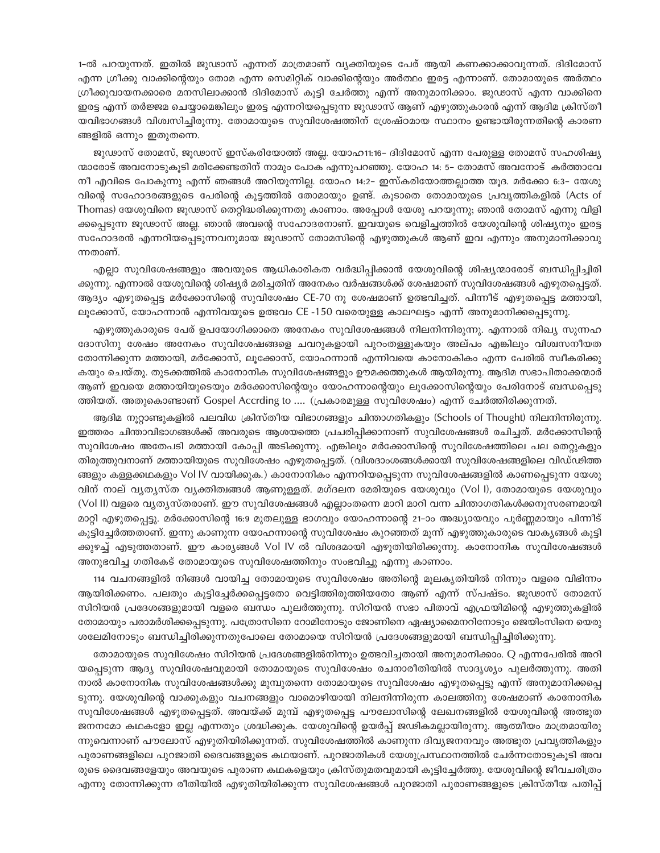1-ൽ പറയുന്നത്. ഇതിൽ ജുഢാസ് എന്നത് മാത്രമാണ് വ്യക്തിയുടെ പേര് ആയി കണക്കാക്കാവുന്നത്. ദിദിമോസ് എന്ന ഗ്രീക്കു വാക്കിന്റെയും തോമ എന്ന സെമിറ്റിക് വാക്കിന്റെയും അർത്ഥം ഇരട്ട എന്നാണ്. തോമായുടെ അർത്ഥം ഗ്രീക്കുവായനക്കാരെ മനസിലാക്കാൻ ദിദിമോസ് കൂട്ടി ചേർത്തു എന്ന് അനുമാനിക്കാം. ജുഢാസ് എന്ന വാക്കിനെ ഇരട്ട എന്ന് തർജ്ജമ ചെയ്യാമെങ്കിലും ഇരട്ട എന്നറിയപ്പെടുന്ന ജുഢാസ് ആണ് എഴുത്തുകാരൻ എന്ന് ആദിമ ക്രിസ്തീ യവിഭാഗങ്ങൾ വിശ്വസിച്ചിരുന്നു. തോമായുടെ സുവിശേഷത്തിന് ശ്രേഷ്ഠമായ സ്ഥാനം ഉണ്ടായിരുന്നതിന്റെ കാരണ ങ്ങളിൽ ഒന്നും ഇതുതന്നെ.

ജുഢാസ് തോമസ്, ജൂഢാസ് ഇസ്കരിയോത്ത് അല്ല. യോഹ11:16– ദിദിമോസ് എന്ന പേരുള്ള തോമസ് സഹശിഷ്യ ന്മാരോട് അവനോടുകുടി മരിക്കേണ്ടതിന് നാമും പോക എന്നുപറഞ്ഞു. യോഹ 14: 5– തോമസ് അവനോട് കർത്താവേ നീ എവിടെ പോകുന്നു എന്ന് ഞങ്ങൾ അറിയുന്നില്ല. യോഹ 14:2– ഇസ്കരിയോത്തല്ലാത്ത യുദ. മർക്കോ 6:3– യേശു വിന്റെ സഹോദരങ്ങളുടെ പേരിന്റെ കൂട്ടത്തിൽ തോമായും ഉണ്ട്. കൂടാതെ തോമായുടെ പ്രവൃത്തികളിൽ (Acts of Thomas) യേശുവിനെ ജൂഢാസ് തെറ്റിദ്ധരിക്കുന്നതു കാണാം. അപ്പോൾ യേശു പറയുന്നു; ഞാൻ തോമസ് എന്നു വിളി ക്കപ്പെടുന്ന ജൂഢാസ് അല്ല. ഞാൻ അവന്റെ സഹോദരനാണ്. ഇവയുടെ വെളിച്ചത്തിൽ യേശുവിന്റെ ശിഷ്യനും ഇരട്ട സഹോദരൻ എന്നറിയപ്പെടുന്നവനുമായ ജുഢാസ് തോമസിന്റെ എഴുത്തുകൾ ആണ് ഇവ എന്നും അനുമാനിക്കാവു ന്നതാണ്.

എല്ലാ സുവിശേഷങ്ങളും അവയുടെ ആധികാരികത വർദ്ധിപ്പിക്കാൻ യേശുവിന്റെ ശിഷ്യന്മാരോട് ബന്ധിപ്പിച്ചിരി ക്കുന്നു. എന്നാൽ യേശുവിന്റെ ശിഷ്യർ മരിച്ചതിന് അനേകം വർഷങ്ങൾക്ക് ശേഷമാണ് സുവിശേഷങ്ങൾ എഴുതപ്പെട്ടത്. ആദ്യം എഴുതപ്പെട്ട മർക്കോസിന്റെ സുവിശേഷം CE-70 നൂ ശേഷമാണ് ഉത്ഭവിച്ചത്. പിന്നീട് എഴുതപ്പെട്ട മത്തായി, ലൂക്കോസ്, യോഹന്നാൻ എന്നിവയുടെ ഉത്ഭവം CE -150 വരെയുള്ള കാലഘട്ടം എന്ന് അനുമാനിക്കപ്പെടുന്നു.

എഴുത്തുകാരുടെ പേര് ഉപയോഗിക്കാതെ അനേകം സുവിശേഷങ്ങൾ നിലനിന്നിരുന്നു. എന്നാൽ നിഖ്യ സുന്നഹ ദോസിനു ശേഷം അനേകം സുവിശേഷങ്ങളെ ചവറുകളായി പുറംതള്ളുകയും അല്പം എങ്കിലും വിശ്വസനീയത തോന്നിക്കുന്ന മത്തായി, മർക്കോസ്, ലൂക്കോസ്, യോഹന്നാൻ എന്നിവയെ കാനോകികം എന്ന പേരിൽ സ്ഥീകരിക്കു കയും ചെയ്തു. തുടക്കത്തിൽ കാനോനിക സുവിശേഷങ്ങളും ഊമക്കത്തുകൾ ആയിരുന്നു. ആദിമ സഭാപിതാക്കന്മാർ ആണ് ഇവയെ മത്തായിയുടെയും മർക്കോസിന്റെയും യോഹന്നാന്റെയും ലുക്കോസിന്റെയും പേരിനോട് ബന്ധപ്പെടു ത്തിയത്. അതുകൊണ്ടാണ് Gospel Accrding to .... (പ്രകാരമുള്ള സുവിശേഷം) എന്ന് ചേർത്തിരിക്കുന്നത്.

ആദിമ നുറ്റാണ്ടുകളിൽ പലവിധ ക്രിസ്തീയ വിഭാഗങ്ങളും ചിന്താഗതികളും (Schools of Thought) നിലനിന്നിരുന്നു. ഇത്തരം ചിന്താവിഭാഗങ്ങൾക്ക് അവരുടെ ആശയത്തെ പ്രചരിപ്പിക്കാനാണ് സുവിശേഷങ്ങൾ രചിച്ചത്. മർക്കോസിന്റെ സുവിശേഷം അതേപടി മത്തായി കോപ്പി അടിക്കുന്നു. എങ്കിലും മർക്കോസിന്റെ സുവിശേഷത്തിലെ പല തെറ്റുകളും തിരുത്തുവനാണ് മത്തായിയുടെ സുവിശേഷം എഴുതപ്പെട്ടത്. (വിശദാംശങ്ങൾക്കായി സുവിശേഷങ്ങളിലെ വിഡ്ഢിത്ത ങ്ങളും കള്ളക്കഥകളും Vol IV വായിക്കുക.) കാനോനികം എന്നറിയപ്പെടുന്ന സുവിശേഷങ്ങളിൽ കാണപ്പെടുന്ന യേശു വിന് നാല് വ്യത്യസ്ത വ്യക്തിത്വങ്ങൾ ആണുള്ളത്. മഗ്ദലന മേരിയുടെ യേശുവും (Vol I), തോമായുടെ യേശുവും (Vol II) വളരെ വ്യത്യസ്തരാണ്. ഈ സുവിശേഷങ്ങൾ എല്ലാംതന്നെ മാറി മാറി വന്ന ചിന്താഗതികൾക്കനുസരണമായി മാറ്റി എഴുതപ്പെട്ടു. മർക്കോസിന്റെ 16:9 മുതലുള്ള ഭാഗവും യോഹന്നാന്റെ 21–ാം അദ്ധ്യായവും പൂർണ്ണമായും പിന്നീട് കൂട്ടിച്ചേർത്തതാണ്. ഇന്നു കാണുന്ന യോഹന്നാന്റെ സുവിശേഷം കുറഞ്ഞത് മൂന്ന് എഴുത്തുകാരുടെ വാക്യങ്ങൾ കൂട്ടി ക്കുഴച്ച് എടുത്തതാണ്. ഈ കാര്യങ്ങൾ Vol IV ൽ വിശദമായി എഴുതിയിരിക്കുന്നു. കാനോനിക സുവിശേഷങ്ങൾ അനുഭവിച്ച ഗതികേട് തോമായുടെ സുവിശേഷത്തിനും സംഭവിച്ചു എന്നു കാണാം.

114 വചനങ്ങളിൽ നിങ്ങൾ വായിച്ച തോമായുടെ സുവിശേഷം അതിന്റെ മൂലകൃതിയിൽ നിന്നും വളരെ വിഭിന്നം ആയിരിക്കണം. പലതും കുട്ടിച്ചേർക്കപ്പെട്ടതോ വെട്ടിത്തിരുത്തിയതോ ആണ് എന്ന് സ്പഷ്ടം. ജുഢാസ് തോമസ് സിറിയൻ പ്രദേശങ്ങളുമായി വളരെ ബന്ധം പുലർത്തുന്നു. സിറിയൻ സഭാ പിതാവ് എഫ്രയിമിന്റെ എഴുത്തുകളിൽ തോമായും പരാമർശിക്കപ്പെടുന്നു. പത്രോസിനെ റോമിനോടും ജോണിനെ ഏഷ്യാമൈനറിനോടും ജെയിംസിനെ യെരു ശലേമിനോടും ബന്ധിച്ചിരിക്കുന്നതുപോലെ തോമായെ സിറിയൻ പ്രദേശങ്ങളുമായി ബന്ധിപ്പിച്ചിരിക്കുന്നു.

തോമായുടെ സുവിശേഷം സിറിയൻ പ്രദേശങ്ങളിൽനിന്നും ഉത്ഭവിച്ചതായി അനുമാനിക്കാം. Q എന്നപേരിൽ അറി യപ്പെടുന്ന ആദ്യ സുവിശേഷവുമായി തോമായുടെ സുവിശേഷം രചനാരീതിയിൽ സാദൃശ്യം പുലർത്തുന്നു. അതി നാൽ കാനോനിക സുവിശേഷങ്ങൾക്കു മുമ്പുതന്നെ തോമായുടെ സുവിശേഷം എഴുതപ്പെട്ടു എന്ന് അനുമാനിക്കപ്പെ ടുന്നു. യേശുവിന്റെ വാക്കുകളും വചനങ്ങളും വാമൊഴിയായി നിലനിന്നിരുന്ന കാലത്തിനു ശേഷമാണ് കാനോനിക സുവിശേഷങ്ങൾ എഴുതപ്പെട്ടത്. അവയ്ക്ക് മുമ്പ് എഴുതപ്പെട്ട പൗലോസിന്റെ ലേഖനങ്ങളിൽ യേശുവിന്റെ അത്ഭുത ജനനമോ കഥകളോ ഇല്ല എന്നതും ശ്രദ്ധിക്കുക. യേശുവിന്റെ ഉയർപ്പ് ജഢികമല്ലായിരുന്നു. ആത്മീയം മാത്രമായിരു ന്നുവെന്നാണ് പൗലോസ് എഴുതിയിരിക്കുന്നത്. സുവിശേഷത്തിൽ കാണുന്ന ദിവ്യജനനവും അത്ഭുത പ്രവൃത്തികളും പുരാണങ്ങളിലെ പുറജാതി ദൈവങ്ങളുടെ കഥയാണ്. പുറജാതികൾ യേശുപ്രസ്ഥാനത്തിൽ ചേർന്നതോടുകൂടി അവ രുടെ ദൈവങ്ങളേയും അവയുടെ പുരാണ കഥകളെയും ക്രിസ്തുമതവുമായി കൂട്ടിച്ചേർത്തു. യേശുവിന്റെ ജീവചരിത്രം എന്നു തോന്നിക്കുന്ന രീതിയിൽ എഴുതിയിരിക്കുന്ന സുവിശേഷങ്ങൾ പുറജാതി പുരാണങ്ങളുടെ ക്രിസ്തീയ പതിപ്പ്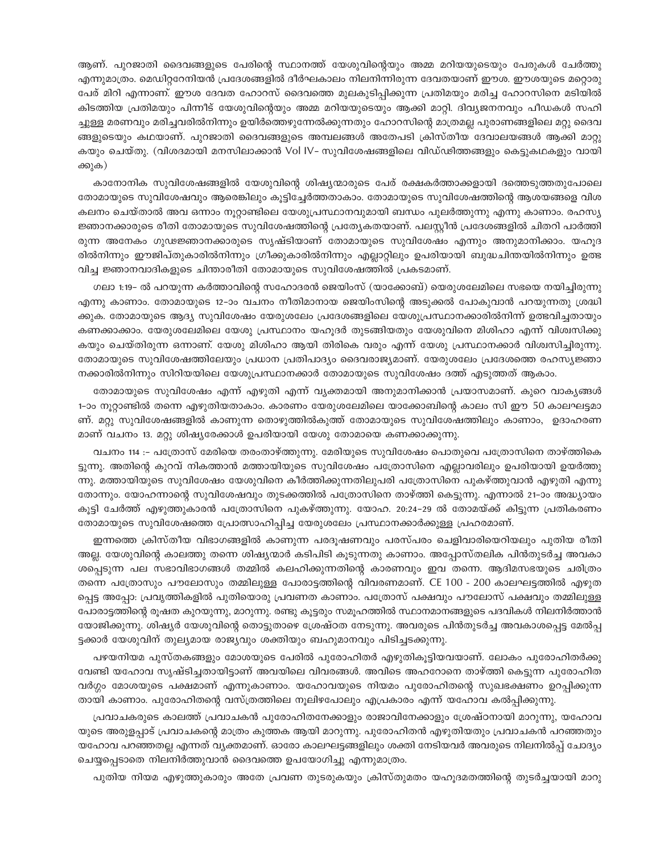ആണ്. പുറജാതി ദൈവങ്ങളുടെ പേരിന്റെ സ്ഥാനത്ത് യേശുവിന്റെയും അമ്മ മറിയയുടെയും പേരുകൾ ചേർത്തു എന്നുമാത്രം. മെഡിറ്ററേനിയൻ പ്രദേശങ്ങളിൽ ദീർഘകാലം നിലനിന്നിരുന്ന ദേവതയാണ് ഈശ. ഈശയുടെ മറ്റൊരു പേര് മിറി എന്നാണ്. ഈശ ദേവത ഹോറസ് ദൈവത്തെ മുലകുടിപ്പിക്കുന്ന പ്രതിമയും മരിച്ച ഹോറസിനെ മടിയിൽ കിടത്തിയ പ്രതിമയും പിന്നീട് യേശുവിന്റെയും അമ്മ മറിയയുടെയും ആക്കി മാറ്റി. ദിവ്യജനനവും പീഡകൾ സഹി ച്ചുള്ള മരണവും മരിച്ചവരിൽനിന്നും ഉയിർത്തെഴുന്നേൽക്കുന്നതും ഹോറസിന്റെ മാത്രമല്ല പുരാണങ്ങളിലെ മറ്റു ദൈവ ങ്ങളുടെയും കഥയാണ്. പുറജാതി ദൈവങ്ങളുടെ അമ്പലങ്ങൾ അതേപടി ക്രിസ്തീയ ദേവാലയങ്ങൾ ആക്കി മാറ്റു കയും ചെയ്തു. (വിശദമായി മനസിലാക്കാൻ Vol IV- സുവിശേഷങ്ങളിലെ വിഡ്ഢിത്തങ്ങളും കെട്ടുകഥകളും വായി ക്കുക)

കാനോനിക സുവിശേഷങ്ങളിൽ യേശുവിന്റെ ശിഷ്യന്മാരുടെ പേര് രക്ഷകർത്താക്കളായി ദത്തെടുത്തതുപോലെ തോമായുടെ സുവിശേഷവും ആരെങ്കിലും കുട്ടിച്ചേർത്തതാകാം. തോമായുടെ സുവിശേഷത്തിന്റെ ആശയങ്ങളെ വിശ കലനം ചെയ്താൽ അവ ഒന്നാം നൂറ്റാണ്ടിലെ യേശുപ്രസ്ഥാനവുമായി ബന്ധം പുലർത്തുന്നു എന്നു കാണാം. രഹസ്യ ജ്ഞാനക്കാരുടെ രീതി തോമായുടെ സുവിശേഷത്തിന്റെ പ്രത്യേകതയാണ്. പലസ്കീൻ പ്രദേശങ്ങളിൽ ചിതറി പാർത്തി രുന്ന അനേകം ഗുഢജ്ഞാനക്കാരുടെ സൃഷ്ടിയാണ് തോമായുടെ സുവിശേഷം എന്നും അനുമാനിക്കാം. യഹൂദ രിൽനിന്നും ഈജിപ്തുകാരിൽനിന്നും ഗ്രീക്കുകാരിൽനിന്നും എല്ലാറ്റിലും ഉപരിയായി ബുദ്ധചിന്തയിൽനിന്നും ഉത്ഭ വിച്ച ജ്ഞാനവാദികളുടെ ചിന്താരീതി തോമായുടെ സുവിശേഷത്തിൽ പ്രകടമാണ്.

ഗലാ 1:19– ൽ പറയുന്ന കർത്താവിന്റെ സഹോദരൻ ജെയിംസ് (യാക്കോബ്) യെരുശലേമിലെ സഭയെ നയിച്ചിരുന്നു എന്നു കാണാം. തോമായുടെ 12–ാം വചനം നീതിമാനായ ജെയിംസിന്റെ അടുക്കൽ പോകുവാൻ പറയുന്നതു ശ്രദ്ധി ക്കുക. തോമായുടെ ആദ്യ സുവിശേഷം യേരുശലേം പ്രദേശങ്ങളിലെ യേശുപ്രസ്ഥാനക്കാരിൽനിന്ന് ഉത്ഭവിച്ചതായും കണക്കാക്കാം. യേരുശലേമിലെ യേശു പ്രസ്ഥാനം യഹൂദർ തുടങ്ങിയതും യേശുവിനെ മിശിഹാ എന്ന് വിശ്വസിക്കു കയും ചെയ്തിരുന്ന ഒന്നാണ്. യേശു മിശിഹാ ആയി തിരികെ വരും എന്ന് യേശു പ്രസ്ഥാനക്കാർ വിശ്വസിച്ചിരുന്നു. തോമായുടെ സുവിശേഷത്തിലേയും പ്രധാന പ്രതിപാദ്യം ദൈവരാജ്യമാണ്. യേരുശലേം പ്രദേശത്തെ രഹസ്യജ്ഞാ നക്കാരിൽനിന്നും സിറിയയിലെ യേശുപ്രസ്ഥാനക്കാർ തോമായുടെ സുവിശേഷം ദത്ത് എടുത്തത് ആകാം.

തോമായുടെ സുവിശേഷം എന്ന് എഴുതി എന്ന് വ്യക്തമായി അനുമാനിക്കാൻ പ്രയാസമാണ്. കുറെ വാകൃങ്ങൾ 1-ാം നൂറ്റാണ്ടിൽ തന്നെ എഴുതിയതാകാം. കാരണം യേരുശലേമിലെ യാക്കോബിന്റെ കാലം സി ഈ 50 കാലഘട്ടമാ ണ്. മറ്റു സുവിശേഷങ്ങളിൽ കാണുന്ന തൊഴുത്തിൽകുത്ത് തോമായുടെ സുവിശേഷത്തിലും കാണാം, ഉദാഹരണ മാണ് വചനം 13. മറ്റു ശിഷ്യരേക്കാൾ ഉപരിയായി യേശു തോമായെ കണക്കാക്കുന്നു.

വചനം 114 :– പത്രോസ് മേരിയെ തരംതാഴ്ത്തുന്നു. മേരിയുടെ സുവിശേഷം പൊതുവെ പത്രോസിനെ താഴ്ത്തികെ ട്ടുന്നു. അതിന്റെ കുറവ് നികത്താൻ മത്തായിയുടെ സുവിശേഷം പത്രോസിനെ എല്ലാവരിലും ഉപരിയായി ഉയർത്തു ന്നു. മത്തായിയുടെ സുവിശേഷം യേശുവിനെ കീർത്തിക്കുന്നതിലുപരി പത്രോസിനെ പുകഴ്ത്തുവാൻ എഴുതി എന്നു തോന്നും. യോഹന്നാന്റെ സുവിശേഷവും തുടക്കത്തിൽ പത്രോസിനെ താഴ്ത്തി കെട്ടുന്നു. എന്നാൽ 21–ാം അദ്ധ്യായം കൂട്ടി ചേർത്ത് എഴുത്തുകാരൻ പത്രോസിനെ പുകഴ്ത്തുന്നു. യോഹ. 20:24–29 ൽ തോമയ്ക്ക് കിട്ടുന്ന പ്രതികരണം തോമായുടെ സുവിശേഷത്തെ പ്രോത്സാഹിപ്പിച്ച യേരുശലേം പ്രസ്ഥാനക്കാർക്കുള്ള പ്രഹരമാണ്.

ഇന്നത്തെ ക്രിസ്തീയ വിഭാഗങ്ങളിൽ കാണുന്ന പരദൂഷണവും പരസ്പരം ചെളിവാരിയെറിയലും പുതിയ രീതി അല്ല. യേശുവിന്റെ കാലത്തു തന്നെ ശിഷ്യന്മാർ കടിപിടി കൂടുന്നതു കാണാം. അപ്പോസ്തലിക പിൻതുടർച്ച അവകാ ശപ്പെടുന്ന പല സഭാവിഭാഗങ്ങൾ തമ്മിൽ കലഹിക്കുന്നതിന്റെ കാരണവും ഇവ തന്നെ. ആദിമസഭയുടെ ചരിത്രം തന്നെ പത്രോസും പൗലോസും തമ്മിലുള്ള പോരാട്ടത്തിന്റെ വിവരണമാണ്. CE 100 - 200 കാലഘട്ടത്തിൽ എഴുത പ്പെട്ട അപ്പോ: പ്രവൃത്തികളിൽ പുതിയൊരു പ്രവണത കാണാം. പത്രോസ് പക്ഷവും പൗലോസ് പക്ഷവും തമ്മിലുള്ള പോരാട്ടത്തിന്റെ രൂഷത കുറയുന്നു, മാറുന്നു. രണ്ടു കൂട്ടരും സമൂഹത്തിൽ സ്ഥാനമാനങ്ങളുടെ പദവികൾ നിലനിർത്താൻ യോജിക്കുന്നു. ശിഷ്യർ യേശുവിന്റെ തൊട്ടുതാഴെ ശ്രേഷ്ഠത നേടുന്നു. അവരുടെ പിൻതുടർച്ച അവകാശപ്പെട്ട മേൽപ്പ ട്ടക്കാർ യേശുവിന് തുല്യമായ രാജ്യവും ശക്തിയും ബഹുമാനവും പിടിച്ചടക്കുന്നു.

പഴയനിയമ പുസ്തകങ്ങളും മോശയുടെ പേരിൽ പുരോഹിതർ എഴുതികൂട്ടിയവയാണ്. ലോകം പുരോഹിതർക്കു വേണ്ടി യഹോവ സൃഷ്ടിച്ചതായിട്ടാണ് അവയിലെ വിവരങ്ങൾ. അവിടെ അഹറോനെ താഴ്ത്തി കെട്ടുന്ന പുരോഹിത വർഗ്ഗം മോശയുടെ പക്ഷമാണ് എന്നുകാണാം. യഹോവയുടെ നിയമം പുരോഹിതന്റെ സുഖഭക്ഷണം ഉറപ്പിക്കുന്ന തായി കാണാം. പുരോഹിതന്റെ വസ്ത്രത്തിലെ നൂലിഴപോലും എപ്രകാരം എന്ന് യഹോവ കൽപ്പിക്കുന്നു.

പ്രവാചകരുടെ കാലത്ത് പ്രവാചകൻ പുരോഹിതനേക്കാളും രാജാവിനേക്കാളും ശ്രേഷ്ഠനായി മാറുന്നു, യഹോവ യുടെ അരുളപ്പാട് പ്രവാചകന്റെ മാത്രം കുത്തക ആയി മാറുന്നു. പുരോഹിതൻ എഴുതിയതും പ്രവാചകൻ പറഞ്ഞതും യഹോവ പറഞ്ഞതല്ല എന്നത് വ്യക്തമാണ്. ഓരോ കാലഘട്ടങ്ങളിലും ശക്തി നേടിയവർ അവരുടെ നിലനിൽപ്പ് ചോദ്യം ചെയ്യപ്പെടാതെ നിലനിർത്തുവാൻ ദൈവത്തെ ഉപയോഗിച്ചു എന്നുമാത്രം.

പുതിയ നിയമ എഴുത്തുകാരും അതേ പ്രവണ തുടരുകയും ക്രിസ്തുമതം യഹൂദമതത്തിന്റെ തുടർച്ചയായി മാറു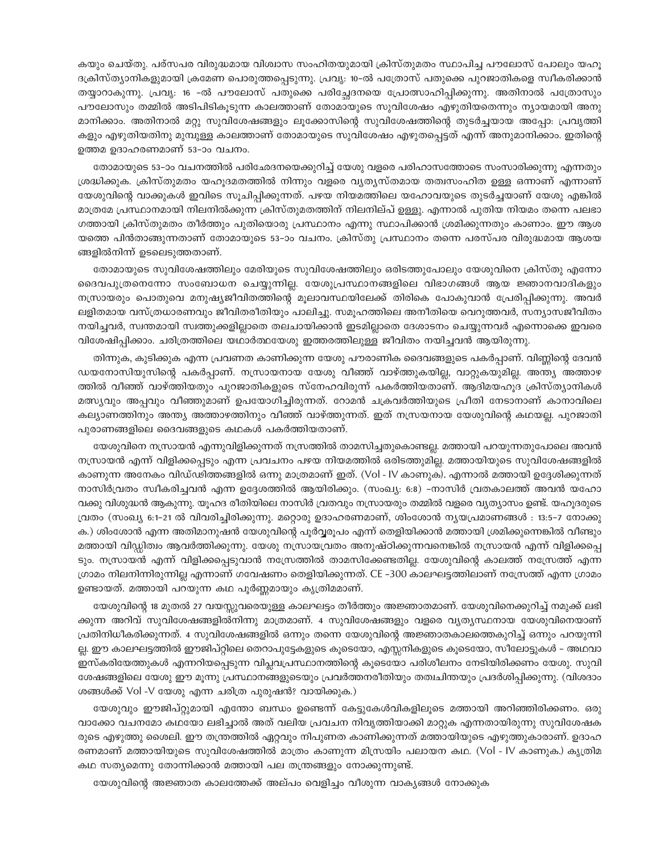കയും ചെയ്തു. പര്സപര വിരുദ്ധമായ വിശ്വാസ സംഹിതയുമായി ക്രിസ്തുമതം സ്ഥാപിച്ച പൗലോസ് പോലും യഹൂ ദക്രിസ്ത്യാനികളുമായി ക്രമേണ പൊരുത്തപ്പെടുന്നു. പ്രവ്യൂ: 10–ൽ പത്രോസ് പതുക്കെ പുറജാതികളെ സ്വീകരിക്കാൻ തയ്യാറാകുന്നു. പ്രവൃ. 16 –ൽ പൗലോസ് പതുക്കെ പരിച്ചേദനയെ പ്രോത്സാഹിപ്പിക്കുന്നു. അതിനാൽ പത്രോസും പൗലോസും തമ്മിൽ അടിപിടികൂടുന്ന കാലത്താണ് തോമായുടെ സുവിശേഷം എഴുതിയതെന്നും ന്യായമായി അനു മാനിക്കാം. അതിനാൽ മറ്റു സുവിശേഷങ്ങളും ലൂക്കോസിന്റെ സുവിശേഷത്തിന്റെ തുടർച്ചയായ അപ്പോ: പ്രവൃത്തി കളും എഴുതിയതിനു മുമ്പുള്ള കാലത്താണ് തോമായുടെ സുവിശേഷം എഴുതപ്പെട്ടത് എന്ന് അനുമാനിക്കാം. ഇതിന്റെ ഉത്തമ ഉദാഹരണമാണ് 53–ാം വചനം.

തോമായുടെ 53–ാം വചനത്തിൽ പരിഛേദനയെക്കുറിച്ച് യേശു വളരെ പരിഹാസത്തോടെ സംസാരിക്കുന്നു എന്നതും ശ്രദ്ധിക്കുക. ക്രിസ്തുമതം യഹുദമതത്തിൽ നിന്നും വളരെ വ്യത്യസ്തമായ തത്വസംഹിത ഉള്ള ഒന്നാണ് എന്നാണ് യേശുവിന്റെ വാക്കുകൾ ഇവിടെ സൂചിപ്പിക്കുന്നത്. പഴയ നിയമത്തിലെ യഹോവയുടെ തുടർച്ചയാണ് യേശു എങ്കിൽ മാത്രമേ പ്രസ്ഥാനമായി നിലനിൽക്കുന്ന ക്രിസ്തുമതത്തിന് നിലനില്പ് ഉള്ളു. എന്നാൽ പുതിയ നിയമം തന്നെ പലഭാ ഗത്തായി ക്രിസ്തുമതം തീർത്തും പുതിയൊരു പ്രസ്ഥാനം എന്നു സ്ഥാപിക്കാൻ ശ്രമിക്കുന്നതും കാണാം. ഈ ആശ യത്തെ പിൻതാങ്ങുന്നതാണ് തോമായുടെ 53–ാം വചനം. ക്രിസ്തു പ്രസ്ഥാനം തന്നെ പരസ്പര വിരുദ്ധമായ ആശയ ങ്ങളിൽനിന്ന് ഉടലെടുത്തതാണ്.

തോമായുടെ സുവിശേഷത്തിലും മേരിയുടെ സുവിശേഷത്തിലും ഒരിടത്തുപോലും യേശുവിനെ ക്രിസ്തു എന്നോ ദൈവപുത്രനെന്നോ സംബോധന ചെയ്യുന്നില്ല. യേശുപ്രസ്ഥാനങ്ങളിലെ വിഭാഗങ്ങൾ ആയ ജ്ഞാനവാദികളും നസ്രായരും പൊതുവെ മനുഷ്യജീവിതത്തിന്റെ മൂലാവസ്ഥയിലേക്ക് തിരികെ പോകുവാൻ പ്രേരിപ്പിക്കുന്നു. അവർ ലളിതമായ വസ്ത്രധാരണവും ജീവിതരീതിയും പാലിച്ചു. സമൂഹത്തിലെ അനീതിയെ വെറുത്തവർ, സന്യാസജീവിതം നയിച്ചവർ, സ്വന്തമായി സ്വത്തുക്കളില്ലാതെ തലചായിക്കാൻ ഇടമില്ലാതെ ദേശാടനം ചെയ്യുന്നവർ എന്നൊക്കെ ഇവരെ വിശേഷിപ്പിക്കാം. ചരിത്രത്തിലെ യഥാർത്ഥയേശു ഇത്തരത്തിലുള്ള ജീവിതം നയിച്ചവൻ ആയിരുന്നു.

തിന്നുക, കുടിക്കുക എന്ന പ്രവണത കാണിക്കുന്ന യേശു പൗരാണിക ദൈവങ്ങളുടെ പകർപ്പാണ്. വിണ്ണിന്റെ ദേവൻ ഡയനോസിയുസിന്റെ പകർപ്പാണ്. നസ്രായനായ യേശു വീഞ്ഞ് വാഴ്ത്തുകയില്ല, വാറ്റുകയുമില്ല. അന്ത്യ അത്താഴ ത്തിൽ വീഞ്ഞ് വാഴ്ത്തിയതും പുറജാതികളുടെ സ്നേഹവിരുന്ന് പകർത്തിയതാണ്. ആദിമയഹുദ ക്രിസ്ത്യാനികൾ മത്സ്യവും അപ്പവും വീഞ്ഞുമാണ് ഉപയോഗിച്ചിരുന്നത്. റോമൻ ചക്രവർത്തിയുടെ പ്രീതി നേടാനാണ് കാനാവിലെ കല്യാണത്തിനും അന്ത്യ അത്താഴത്തിനും വീഞ്ഞ് വാഴ്ത്തുന്നത്. ഇത് നസ്രയനായ യേശുവിന്റെ കഥയല്ല. പുറജാതി പുരാണങ്ങളിലെ ദൈവങ്ങളുടെ കഥകൾ പകർത്തിയതാണ്.

യേശുവിനെ നസ്രായൻ എന്നുവിളിക്കുന്നത് നസ്രത്തിൽ താമസിച്ചതുകൊണ്ടല്ല. മത്തായി പറയുന്നതുപോലെ അവൻ നസ്രായൻ എന്ന് വിളിക്കപ്പെടും എന്ന പ്രവചനം പഴയ നിയമത്തിൽ ഒരിടത്തുമില്ല. മത്തായിയുടെ സുവിശേഷങ്ങളിൽ കാണുന്ന അനേകം വിഡ്ഢിത്തങ്ങളിൽ ഒന്നു മാത്രമാണ് ഇത്. (Vol - IV കാണുക). എന്നാൽ മത്തായി ഉദ്ദേശിക്കുന്നത് നാസിർവ്രതം സ്വീകരിച്ചവൻ എന്ന ഉദ്ദേശത്തിൽ ആയിരിക്കും. (സംഖ്യ: 6:8) -നാസിർ വ്രതകാലത്ത് അവൻ യഹോ വക്കു വിശുദ്ധൻ ആകുന്നു. യൂഹദ രീതിയിലെ നാസിർ വ്രതവും നസ്രായരും തമ്മിൽ വളരെ വ്യത്യാസം ഉണ്ട്. യഹൂദരുടെ വ്രതം (സംഖ്യ 6:1-21 ൽ വിവരിച്ചിരിക്കുന്നു. മറ്റൊരു ഉദാഹരണമാണ്, ശിംശോൻ ന്യയപ്രമാണങ്ങൾ : 13:5-7 നോക്കു ക.) ശിംശോൻ എന്ന അതിമാനുഷൻ യേശുവിന്റെ പൂർവ്വരൂപം എന്ന് തെളിയിക്കാൻ മത്തായി ശ്രമിക്കുന്നെങ്കിൽ വീണ്ടും മത്തായി വിഡ്ഡിത്വം ആവർത്തിക്കുന്നു. യേശു നസ്രായവ്രതം അനുഷ്ഠിക്കുന്നവനെങ്കിൽ നസ്രായൻ എന്ന് വിളിക്കപ്പെ ടും. നസ്രായൻ എന്ന് വിളിക്കപ്പെടുവാൻ നസ്രേത്തിൽ താമസിക്കേണ്ടതില്ല. യേശുവിന്റെ കാലത്ത് നസ്രേത്ത് എന്ന ഗ്രാമം നിലനിന്നിരുന്നില്ല എന്നാണ് ഗവേഷണം തെളിയിക്കുന്നത്. CE –300 കാലഘട്ടത്തിലാണ് നസ്ത്രേത്ത് എന്ന ഗ്രാമം ഉണ്ടായത്. മത്തായി പറയുന്ന കഥ പൂർണ്ണമായും കൃത്രിമമാണ്.

യേശുവിന്റെ 18 മുതൽ 27 വയസ്സുവരെയുള്ള കാലഘട്ടം തീർത്തും അജ്ഞാതമാണ്. യേശുവിനെക്കുറിച്ച് നമുക്ക് ലഭി ക്കുന്ന അറിവ് സുവിശേഷങ്ങളിൽനിന്നു മാത്രമാണ്. 4 സുവിശേഷങ്ങളും വളരെ വ്യത്യസ്ഥനായ യേശുവിനെയാണ് പ്രതിനിധീകരിക്കുന്നത്. 4 സുവിശേഷങ്ങളിൽ ഒന്നും തന്നെ യേശുവിന്റെ അജ്ഞാതകാലത്തെകുറിച്ച് ഒന്നും പറയുന്നി ല്ല. ഈ കാലഘട്ടത്തിൽ ഈജിപ്റ്റിലെ തെറാപുട്ടേകളുടെ കൂടെയോ, എസ്സനികളുടെ കൂടെയോ, സീലോട്ടുകൾ – അഥവാ ഇസ്കരിയേത്തുകൾ എന്നറിയപ്പെടുന്ന വിപ്ലവപ്രസ്ഥാനത്തിന്റെ കൂടെയോ പരിശീലനം നേടിയിരിക്കണം യേശു. സുവി ശേഷങ്ങളിലെ യേശു ഈ മൂന്നു പ്രസ്ഥാനങ്ങളുടെയും പ്രവർത്തനരീതിയും തത്വചിന്തയും പ്രദർശിപ്പിക്കുന്നു. (വിശദാം ശങ്ങൾക്ക് Vol -V യേശു എന്ന ചരിത്ര പുരുഷൻ? വായിക്കുക.)

യേശുവും ഈജിപ്റ്റുമായി എന്തോ ബന്ധം ഉണ്ടെന്ന് കേട്ടുകേൾവികളിലൂടെ മത്തായി അറിഞ്ഞിരിക്കണം. ഒരു വാക്കോ വചനമോ കഥയോ ലഭിച്ചാൽ അത് വലിയ പ്രവചന നിവൃത്തിയാക്കി മാറ്റുക എന്നതായിരുന്നു സുവിശേഷക രുടെ എഴുത്തു ശൈലി. ഈ തന്ത്രത്തിൽ ഏറ്റവും നിപുണത കാണിക്കുന്നത് മത്തായിയുടെ എഴുത്തുകാരാണ്. ഉദാഹ രണമാണ് മത്തായിയുടെ സുവിശേഷത്തിൽ മാത്രം കാണുന്ന മിസ്രയിം പലായന കഥ. (Vol - IV കാണുക.) കൃത്രിമ കഥ സത്യമെന്നു തോന്നിക്കാൻ മത്തായി പല തന്ത്രങ്ങളും നോക്കുന്നുണ്ട്.

യേശുവിന്റെ അജ്ഞാത കാലത്തേക്ക് അല്പം വെളിച്ചം വീശുന്ന വാകൃങ്ങൾ നോക്കുക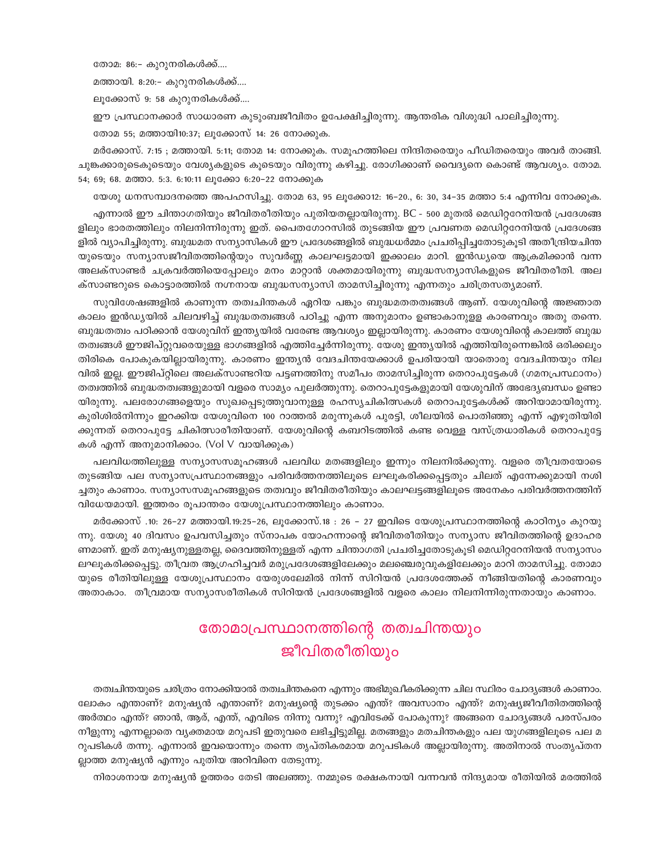തോമ: 86:- കുറുനരികൾക്ക്....

മത്തായി. 8:20:- കുറുനരികൾക്ക്....

ലൂക്കോസ് 9: 58 കുറുനരികൾക്ക്....

ഈ പ്രസ്ഥാനക്കാർ സാധാരണ കുടുംബജീവിതം ഉപേക്ഷിച്ചിരുന്നു. ആന്തരിക വിശുദ്ധി പാലിച്ചിരുന്നു.

തോമ 55; മത്തായി10:37; ലൂക്കോസ് 14: 26 നോക്കുക.

മർക്കോസ്. 7:15 ; മത്തായി. 5:11; തോമ 14: നോക്കുക. സമൂഹത്തിലെ നിന്ദിതരെയും പീഡിതരെയും അവർ താങ്ങി. ചുങ്കക്കാരുടെകൂടെയും വേശ്യകളുടെ കൂടെയും വിരുന്നു കഴിച്ചു. രോഗിക്കാണ് വൈദ്യനെ കൊണ്ട് ആവശ്യം. തോമ. 54; 69; 68. മത്താ. 5:3. 6:10:11 ലൂക്കോ 6:20-22 നോക്കുക

യേശു ധനസമ്പാദനത്തെ അപഹസിച്ചു. തോമ 63, 95 ലൂക്കോ12: 16–20., 6: 30, 34–35 മത്താ 5:4 എന്നിവ നോക്കുക.

എന്നാൽ ഈ ചിന്താഗതിയും ജീവിതരീതിയും പുതിയതല്ലായിരുന്നു. BC - 500 മുതൽ മെഡിറ്ററേനിയൻ പ്രദേശങ്ങ ളിലും ഭാരതത്തിലും നിലനിന്നിരുന്നു ഇത്. പൈതഗോറസിൽ തുടങ്ങിയ ഈ പ്രവണത മെഡിറ്ററേനിയൻ പ്രദേശങ്ങ ളിൽ വ്യാപിച്ചിരുന്നു. ബുദ്ധമത സന്യാസികൾ ഈ പ്രദേശങ്ങളിൽ ബുദ്ധധർമ്മം പ്രചരിപ്പിച്ചതോടുകൂടി അതീന്ദ്രിയചിന്ത യുടെയും സന്യാസജീവിതത്തിന്റെയും സുവർണ്ണ കാലഘട്ടമായി ഇക്കാലം മാറി. ഇൻഡ്യയെ ആക്രമിക്കാൻ വന്ന അലക്സാണ്ടർ ചക്രവർത്തിയെപ്പോലും മനം മാറ്റാൻ ശക്തമായിരുന്നു ബുദ്ധസന്യാസികളുടെ ജീവിതരീതി. അല ക്സാണ്ടറുടെ കൊട്ടാരത്തിൽ നഗ്നനായ ബുദ്ധസന്യാസി താമസിച്ചിരുന്നു എന്നതും ചരിത്രസത്യമാണ്.

സുവിശേഷങ്ങളിൽ കാണുന്ന തത്വചിന്തകൾ ഏറിയ പങ്കും ബുദ്ധമതതത്വങ്ങൾ ആണ്. യേശുവിന്റെ അജ്ഞാത കാലം ഇൻഡ്യയിൽ ചിലവഴിച്ച് ബുദ്ധതത്വങ്ങൾ പഠിച്ചു എന്ന അനുമാനം ഉണ്ടാകാനുളള കാരണവും അതു തന്നെ. ബുദ്ധതത്വം പഠിക്കാൻ യേശുവിന് ഇന്ത്യയിൽ വരേണ്ട ആവശ്യം ഇല്ലായിരുന്നു. കാരണം യേശുവിന്റെ കാലത്ത് ബുദ്ധ തത്വങ്ങൾ ഈജിപ്റ്റുവരെയുള്ള ഭാഗങ്ങളിൽ എത്തിച്ചേർന്നിരുന്നു. യേശു ഇന്ത്യയിൽ എത്തിയിരുന്നെങ്കിൽ ഒരിക്കലും തിരികെ പോകുകയില്ലായിരുന്നു. കാരണം ഇന്ത്യൻ വേദചിന്തയേക്കാൾ ഉപരിയായി യാതൊരു വേദചിന്തയും നില വിൽ ഇല്ല. ഈജിപ്റ്റിലെ അലക്സാണ്ടറിയ പട്ടണത്തിനു സമീപം താമസിച്ചിരുന്ന തെറാപുട്ടേകൾ (ഗമനപ്രസ്ഥാനം) തത്വത്തിൽ ബുദ്ധതത്വങ്ങളുമായി വളരെ സാമ്യം പുലർത്തുന്നു. തെറാപുട്ടേകളുമായി യേശുവിന് അഭേദ്യബന്ധം ഉണ്ടാ യിരുന്നു. പലരോഗങ്ങളെയും സുഖപ്പെടുത്തുവാനുള്ള രഹസ്യചികിത്സകൾ തെറാപുട്ടേകൾക്ക് അറിയാമായിരുന്നു. കുരിശിൽനിന്നും ഇറക്കിയ യേശുവിനെ 100 റാത്തൽ മരുന്നുകൾ പുരട്ടി, ശീലയിൽ പൊതിഞ്ഞു എന്ന് എഴുതിയിരി ക്കുന്നത് തെറാപുട്ടേ ചികിത്സാരീതിയാണ്. യേശുവിന്റെ കബറിടത്തിൽ കണ്ട വെള്ള വസ്ത്രധാരികൾ തെറാപുട്ടേ കൾ എന്ന് അനുമാനിക്കാം. (Vol V വായിക്കുക)

പലവിധത്തിലുള്ള സന്യാസസമൂഹങ്ങൾ പലവിധ മതങ്ങളിലും ഇന്നും നിലനിൽക്കുന്നു. വളരെ തീവ്രതയോടെ തുടങ്ങിയ പല സന്യാസപ്രസ്ഥാനങ്ങളും പരിവർത്തനത്തിലൂടെ ലഘൂകരിക്കപ്പെട്ടതും ചിലത് എന്നേക്കുമായി നശി ച്ചതും കാണാം. സന്യാസസമൂഹങ്ങളുടെ തത്വവും ജീവിതരീതിയും കാലഘട്ടങ്ങളിലൂടെ അനേകം പരിവർത്തനത്തിന് വിധേയമായി. ഇത്തരം രുപാന്തരം യേശുപ്രസ്ഥാനത്തിലും കാണാം.

മർക്കോസ് .10: 26–27 മത്തായി.19:25–26, ലൂക്കോസ്.18 : 26 – 27 ഇവിടെ യേശുപ്രസ്ഥാനത്തിന്റെ കാഠിന്യം കുറയു ന്നു. യേശു 40 ദിവസം ഉപവസിച്ചതും സ്നാപക യോഹന്നാന്റെ ജീവിതരീതിയും സന്യാസ ജീവിതത്തിന്റെ ഉദാഹര ണമാണ്. ഇത് മനുഷ്യനുള്ളതല്ല, ദൈവത്തിനുള്ളത് എന്ന ചിന്താഗതി പ്രചരിച്ചതോടുകൂടി മെഡിറ്ററേനിയൻ സന്യാസം ലഘൂകരിക്കപ്പെട്ടു. തീവ്രത ആഗ്രഹിച്ചവർ മരുപ്രദേശങ്ങളിലേക്കും മലഞ്ചെരുവുകളിലേക്കും മാറി താമസിച്ചു. തോമാ യുടെ രീതിയിലുള്ള യേശുപ്രസ്ഥാനം യേരുശലേമിൽ നിന്ന് സിറിയൻ പ്രദേശത്തേക്ക് നീങ്ങിയതിന്റെ കാരണവും അതാകാം. തീവ്രമായ സന്യാസരീതികൾ സിറിയൻ പ്രദേശങ്ങളിൽ വളരെ കാലം നിലനിന്നിരുന്നതായും കാണാം.

# തോമാപ്രസ്ഥാനത്തിന്റെ തത്വചിന്തയും ജീവിതരീതിയും

തത്വചിന്തയുടെ ചരിത്രം നോക്കിയാൽ തത്വചിന്തകനെ എന്നും അഭിമുഖീകരിക്കുന്ന ചില സ്ഥിരം ചോദ്യങ്ങൾ കാണാം. ലോകം എന്താണ്? മനുഷ്യൻ എന്താണ്? മനുഷ്യന്റെ തുടക്കം എന്ത്? അവസാനം എന്ത്? മനുഷ്യജീവീതിതത്തിന്റെ അർത്ഥം എന്ത്? ഞാൻ, ആര്, എന്ത്, എവിടെ നിന്നു വന്നു? എവിടേക്ക് പോകുന്നു? അങ്ങനെ ചോദ്യങ്ങൾ പരസ്പരം നീളുന്നു എന്നല്ലാതെ വ്യക്തമായ മറുപടി ഇതുവരെ ലഭിച്ചിട്ടുമില്ല. മതങ്ങളും മതചിന്തകളും പല യുഗങ്ങളിലൂടെ പല മ റുപടികൾ തന്നു. എന്നാൽ ഇവയൊന്നും തന്നെ തൃപ്തികരമായ മറുപടികൾ അല്ലായിരുന്നു. അതിനാൽ സംതൃപ്തന ല്ലാത്ത മനുഷ്യൻ എന്നും പുതിയ അറിവിനെ തേടുന്നു.

നിരാശനായ മനുഷ്യൻ ഉത്തരം തേടി അലഞ്ഞു. നമ്മുടെ രക്ഷകനായി വന്നവൻ നിന്ദ്യമായ രീതിയിൽ മരത്തിൽ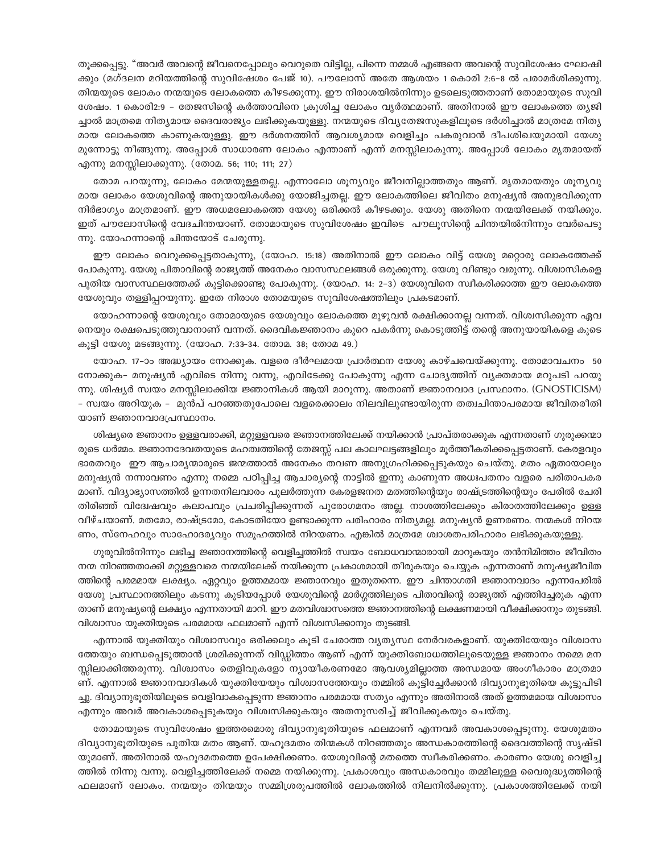തൂക്കപ്പെട്ടു. "അവർ അവന്റെ ജീവനെപ്പോലും വെറുതെ വിട്ടില്ല, പിന്നെ നമ്മൾ എങ്ങനെ അവന്റെ സുവിശേഷം ഘോഷി ക്കും (മഗ്ദലന മറിയത്തിന്റെ സുവിഷേശം പേജ് 10). പൗലോസ് അതേ ആശയം 1 കൊരി 2:6–8 ൽ പരാമർശിക്കുന്നു. തിന്മയുടെ ലോകം നന്മയുടെ ലോകത്തെ കീഴടക്കുന്നു. ഈ നിരാശയിൽനിന്നും ഉടലെടുത്തതാണ് തോമായുടെ സുവി ശേഷം. 1 കൊരി2:9 – തേജസിന്റെ കർത്താവിനെ ക്രൂശിച്ച ലോകം വൃർത്ഥമാണ്. അതിനാൽ ഈ ലോകത്തെ തൃജി ച്ചാൽ മാത്രമെ നിത്യമായ ദൈവരാജ്യം ലഭിക്കുകയുള്ളു. നന്മയുടെ ദിവ്യതേജസുകളിലൂടെ ദർശിച്ചാൽ മാത്രമേ നിത്യ മായ ലോകത്തെ കാണുകയുള്ളു. ഈ ദർശനത്തിന് ആവശ്യമായ വെളിച്ചം പകരുവാൻ ദീപശിഖയുമായി യേശു മുന്നോട്ടു നീങ്ങുന്നു. അപ്പോൾ സാധാരണ ലോകം എന്താണ് എന്ന് മനസ്സിലാകുന്നു. അപ്പോൾ ലോകം മൃതമായത് എന്നു മനസ്സിലാക്കുന്നു. (തോമ. 56; 110; 111; 27)

തോമ പറയുന്നു, ലോകം മേന്മയുള്ളതല്ല. എന്നാലോ ശുന്യവും ജീവനില്ലാത്തതും ആണ്. മൃതമായതും ശുനൃവു മായ ലോകം യേശുവിന്റെ അനുയായികൾക്കു യോജിച്ചതല്ല. ഈ ലോകത്തിലെ ജീവിതം മനുഷ്യൻ അനുഭവിക്കുന്ന നിർഭാഗ്യം മാത്രമാണ്. ഈ അധമലോകത്തെ യേശു ഒരിക്കൽ കീഴടക്കും. യേശു അതിനെ നന്മയിലേക്ക് നയിക്കും. ഇത് പൗലോസിന്റെ വേദചിന്തയാണ്. തോമായുടെ സുവിശേഷം ഇവിടെ പൗലൂസിന്റെ ചിന്തയിൽനിന്നും വേർപെടു ന്നു. യോഹന്നാന്റെ ചിന്തയോട് ചേരുന്നു.

ഈ ലോകം വെറുക്കപ്പെട്ടതാകുന്നു, (യോഹ. 15:18) അതിനാൽ ഈ ലോകം വിട്ട് യേശു മറ്റൊരു ലോകത്തേക്ക് പോകുന്നു. യേശു പിതാവിന്റെ രാജ്യത്ത് അനേകം വാസസ്ഥലങ്ങൾ ഒരുക്കുന്നു. യേശു വീണ്ടും വരുന്നു. വിശ്വാസികളെ പുതിയ വാസസ്ഥലത്തേക്ക് കുട്ടിക്കൊണ്ടു പോകുന്നു. (യോഹ. 14: 2–3) യേശുവിനെ സ്വീകരിക്കാത്ത ഈ ലോകത്തെ യേശുവും തള്ളിപ്പറയുന്നു. ഇതേ നിരാശ തോമയുടെ സുവിശേഷത്തിലും പ്രകടമാണ്.

യോഹന്നാന്റെ യേശുവും തോമായുടെ യേശുവും ലോകത്തെ മുഴുവൻ രക്ഷിക്കാനല്ല വന്നത്. വിശ്വസിക്കുന്ന ഏവ നെയും രക്ഷപെടുത്തുവാനാണ് വന്നത്. ദൈവികജ്ഞാനം കുറെ പകർന്നു കൊടുത്തിട്ട് തന്റെ അനുയായികളെ കൂടെ കൂട്ടി യേശു മടങ്ങുന്നു. (യോഹ. 7:33-34. തോമ. 38; തോമ 49.)

യോഹ. 17–ാം അദ്ധ്യായം നോക്കുക. വളരെ ദീർഘമായ പ്രാർത്ഥന യേശു കാഴ്ചവെയ്ക്കുന്നു. തോമാവചനം 50 നോക്കുക– മനുഷ്യൻ എവിടെ നിന്നു വന്നു, എവിടേക്കു പോകുന്നു എന്ന ചോദ്യത്തിന് വ്യക്തമായ മറുപടി പറയു ന്നു. ശിഷ്യർ സ്വയം മനസ്സിലാക്കിയ ജ്ഞാനികൾ ആയി മാറുന്നു. അതാണ് ജ്ഞാനവാദ പ്രസ്ഥാനം. (GNOSTICISM) – സ്വയം അറിയുക – മുൻപ് പറഞ്ഞതുപോലെ വളരെക്കാലം നിലവിലുണ്ടായിരുന്ന തത്വചിന്താപരമായ ജീവിതരീതി യാണ് ജ്ഞാനവാദപ്രസ്ഥാനം.

ശിഷ്യരെ ജ്ഞാനം ഉള്ളവരാക്കി, മറ്റുള്ളവരെ ജ്ഞാനത്തിലേക്ക് നയിക്കാൻ പ്രാപ്തരാക്കുക എന്നതാണ് ഗുരുക്കന്മാ രുടെ ധർമ്മം. ജ്ഞാനദേവതയുടെ മഹത്വത്തിന്റെ തേജസ്സ് പല കാലഘട്ടങ്ങളിലും മൂർത്തീകരിക്കപ്പെട്ടതാണ്. കേരളവും ഭാരതവും ഈ ആചാര്യന്മാരുടെ ജന്മത്താൽ അനേകം തവണ അനുഗ്രഹിക്കപ്പെടുകയും ചെയ്തു. മതം ഏതായാലും മനുഷ്യൻ നന്നാവണം എന്നു നമ്മെ പഠിപ്പിച്ച ആചാര്യന്റെ നാട്ടിൽ ഇന്നു കാണുന്ന അധഃപതനം വളരെ പരിതാപകര മാണ്. വിദ്യാഭ്യാസത്തിൽ ഉന്നതനിലവാരം പുലർത്തുന്ന കേരളജനത മതത്തിന്റെയും രാഷ്ട്രത്തിന്റെയും പേരിൽ ചേരി തിരിഞ്ഞ് വിദ്വേഷവും കലാപവും പ്രചരിപ്പിക്കുന്നത് പുരോഗമനം അല്ല. നാശത്തിലേക്കും കിരാതത്തിലേക്കും ഉള്ള വീഴ്ചയാണ്. മതമോ, രാഷ്ട്രമോ, കോടതിയോ ഉണ്ടാക്കുന്ന പരിഹാരം നിത്യമല്ല. മനുഷ്യൻ ഉണരണം. നന്മകൾ നിറയ ണം, സ്നേഹവും സാഹോദര്യവും സമൂഹത്തിൽ നിറയണം. എങ്കിൽ മാത്രമേ ശ്വാശതപരിഹാരം ലഭിക്കുകയുള്ളു.

ഗുരുവിൽനിന്നും ലഭിച്ച ജ്ഞാനത്തിന്റെ വെളിച്ചത്തിൽ സ്വയം ബോധവാന്മാരായി മാറുകയും തൻനിമിത്തം ജീവിതം നന്മ നിറഞ്ഞതാക്കി മറ്റുള്ളവരെ നന്മയിലേക്ക് നയിക്കുന്ന പ്രകാശമായി തീരുകയും ചെയ്യുക എന്നതാണ് മനുഷ്യജീവിത ത്തിന്റെ പരമമായ ലക്ഷ്യം. ഏറ്റവും ഉത്തമമായ ജ്ഞാനവും ഇതുതന്നെ. ഈ ചിന്താഗതി ജ്ഞാനവാദം എന്നപേരിൽ യേശു പ്രസ്ഥാനത്തിലും കടന്നു കൂടിയപ്പോൾ യേശുവിന്റെ മാർഗ്ഗത്തിലൂടെ പിതാവിന്റെ രാജ്യത്ത് എത്തിച്ചേരുക എന്ന താണ് മനുഷ്യന്റെ ലക്ഷ്യം എന്നതായി മാറി. ഈ മതവിശ്വാസത്തെ ജ്ഞാനത്തിന്റെ ലക്ഷണമായി വീക്ഷിക്കാനും തുടങ്ങി. വിശ്വാസം യുക്തിയുടെ പരമമായ ഫലമാണ് എന്ന് വിശ്വസിക്കാനും തുടങ്ങി.

എന്നാൽ യുക്തിയും വിശ്വാസവും ഒരിക്കലും കൂടി ചേരാത്ത വൃതൃസ്ഥ നേർവരകളാണ്. യുക്തിയേയും വിശ്വാസ ത്തേയും ബന്ധപ്പെടുത്താൻ ശ്രമിക്കുന്നത് വിഡ്ഡിത്തം ആണ് എന്ന് യുക്തിബോധത്തിലൂടെയുള്ള ജ്ഞാനം നമ്മെ മന സ്സിലാക്കിത്തരുന്നു. വിശ്വാസം തെളിവുകളോ ന്യായീകരണമോ ആവശ്യമില്ലാത്ത അന്ധമായ അംഗീകാരം മാത്രമാ ണ്. എന്നാൽ ജ്ഞാനവാദികൾ യുക്തിയേയും വിശ്വാസത്തേയും തമ്മിൽ കൂട്ടിച്ചേർക്കാൻ ദിവ്യാനുഭൂതിയെ കൂട്ടുപിടി ച്ചു. ദിവ്യാനുഭൂതിയിലൂടെ വെളിവാകപ്പെടുന്ന ജ്ഞാനം പരമമായ സത്യം എന്നും അതിനാൽ അത് ഉത്തമമായ വിശ്വാസം എന്നും അവർ അവകാശപ്പെടുകയും വിശ്വസിക്കുകയും അതനുസരിച്ച് ജീവിക്കുകയും ചെയ്തു.

തോമായുടെ സുവിശേഷം ഇത്തരമൊരു ദിവ്യാനുഭൂതിയുടെ ഫലമാണ് എന്നവർ അവകാശപ്പെടുന്നു. യേശുമതം ദിവ്യാനുഭൂതിയുടെ പുതിയ മതം ആണ്. യഹൂദമതം തിന്മകൾ നിറഞ്ഞതും അന്ധകാരത്തിന്റെ ദൈവത്തിന്റെ സൃഷ്ടി യുമാണ്. അതിനാൽ യഹൂദമതത്തെ ഉപേക്ഷിക്കണം. യേശുവിന്റെ മതത്തെ സ്വീകരിക്കണം. കാരണം യേശു വെളിച്ച ത്തിൽ നിന്നു വന്നു. വെളിച്ചത്തിലേക്ക് നമ്മെ നയിക്കുന്നു. പ്രകാശവും അന്ധകാരവും തമ്മിലുള്ള വൈരുദ്ധ്യത്തിന്റെ ഫലമാണ് ലോകം. നന്മയും തിന്മയും സമ്മിശ്രരൂപത്തിൽ ലോകത്തിൽ നിലനിൽക്കുന്നു. പ്രകാശത്തിലേക്ക് നയി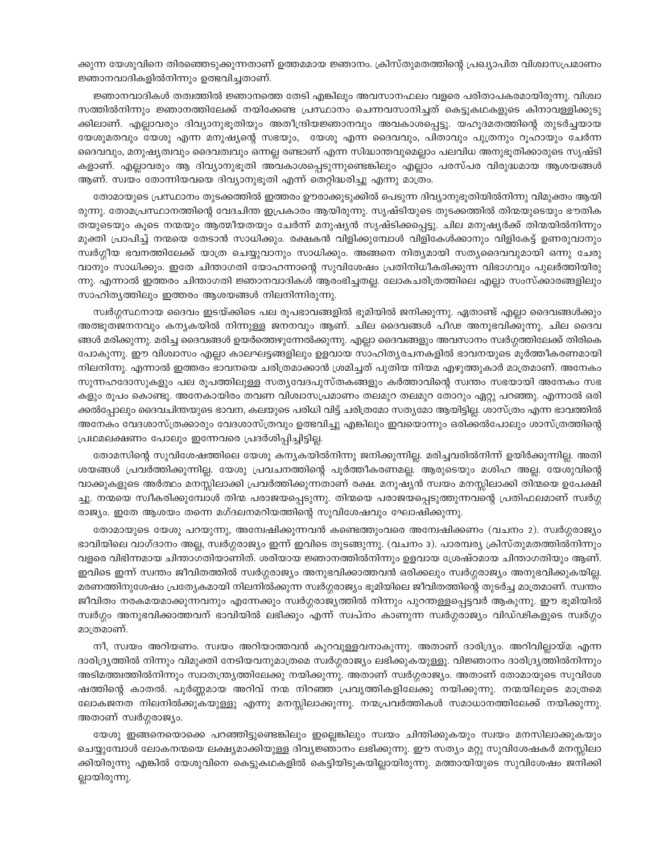ക്കുന്ന യേശുവിനെ തിരഞ്ഞെടുക്കുന്നതാണ് ഉത്തമമായ ജ്ഞാനം. ക്രിസ്തുമതത്തിന്റെ പ്രഖ്യാപിത വിശ്വാസപ്രമാണം ജ്ഞാനവാദികളിൽനിന്നും ഉത്ഭവിച്ചതാണ്.

ജ്ഞാനവാദികൾ തത്വത്തിൽ ജ്ഞാനത്തെ തേടി എങ്കിലും അവസാനഫലം വളരെ പരിതാപകരമായിരുന്നു. വിശ്വാ സത്തിൽനിന്നും ജ്ഞാനത്തിലേക്ക് നയിക്കേണ്ട പ്രസ്ഥാനം ചെന്നവസാനിച്ചത് കെട്ടുകഥകളുടെ കിനാവള്ളിക്കുടു ക്കിലാണ്. എല്ലാവരും ദിവ്യാനുഭൂതിയും അതീന്ദ്രിയജ്ഞാനവും അവകാശപ്പെട്ടു. യഹൂദമതത്തിന്റെ തുടർച്ചയായ യേശുമതവും യേശു എന്ന മനുഷ്യന്റെ സഭയും, യേശു എന്ന ദൈവവും, പിതാവും പുത്രനും റൂഹായും ചേർന്ന ദൈവവും, മനുഷ്യത്വവും ദൈവത്വവും ഒന്നല്ല രണ്ടാണ് എന്ന സിദ്ധാന്തവുമെല്ലാം പലവിധ അനുഭൂതിക്കാരുടെ സൃഷ്ടി കളാണ്. എല്ലാവരും ആ ദിവ്യാനുഭൂതി അവകാശപ്പെടുന്നുണ്ടെങ്കിലും എല്ലാം പരസ്പര വിരുദ്ധമായ ആശയങ്ങൾ ആണ്. സ്വയം തോന്നിയവയെ ദിവ്യാനുഭൂതി എന്ന് തെറ്റിദ്ധരിച്ചു എന്നു മാത്രം.

തോമായുടെ പ്രസ്ഥാനം തുടക്കത്തിൽ ഇത്തരം ഊരാക്കുടുക്കിൽ പെടുന്ന ദിവ്യാനുഭൂതിയിൽനിന്നു വിമുക്തം ആയി രുന്നു. തോമപ്രസ്ഥാനത്തിന്റെ വേദചിന്ത ഇപ്രകാരം ആയിരുന്നു. സൃഷ്ടിയുടെ തുടക്കത്തിൽ തിന്മയുടെയും ഭൗതിക തയുടെയും കൂടെ നന്മയും ആത്മീയതയും ചേർന്ന് മനുഷ്യൻ സൃഷ്ടിക്കപ്പെട്ടു. ചില മനുഷ്യർക്ക് തിന്മയിൽനിന്നും മുക്തി പ്രാപിച്ച് നന്മയെ തേടാൻ സാധിക്കും. രക്ഷകൻ വിളിക്കുമ്പോൾ വിളികേൾക്കാനും വിളികേട്ട് ഉണരുവാനും സ്വർഗ്ഗീയ ഭവനത്തിലേക്ക് യാത്ര ചെയ്യുവാനും സാധിക്കും. അങ്ങനെ നിത്യമായി സത്യദൈവവുമായി ഒന്നു ചേരു വാനും സാധിക്കും. ഇതേ ചിന്താഗതി യോഹന്നാന്റെ സുവിശേഷം പ്രതിനിധീകരിക്കുന്ന വിഭാഗവും പുലർത്തിയിരു ന്നു. എന്നാൽ ഇത്തരം ചിന്താഗതി ജ്ഞാനവാദികൾ ആരംഭിച്ചതല്ല. ലോകചരിത്രത്തിലെ എല്ലാ സംസ്ക്കാരങ്ങളിലും സാഹിത്യത്തിലും ഇത്തരം ആശയങ്ങൾ നിലനിന്നിരുന്നു.

സ്വർഗ്ഗസ്ഥനായ ദൈവം ഇടയ്ക്കിടെ പല രൂപഭാവങ്ങളിൽ ഭൂമിയിൽ ജനിക്കുന്നു. ഏതാണ്ട് എല്ലാ ദൈവങ്ങൾക്കും അത്ഭുതജനനവും കന്യകയിൽ നിന്നുള്ള ജനനവും ആണ്. ചില ദൈവങ്ങൾ പീഢ അനുഭവിക്കുന്നു. ചില ദൈവ ങ്ങൾ മരിക്കുന്നു. മരിച്ച ദൈവങ്ങൾ ഉയർത്തെഴുന്നേൽക്കുന്നു. എല്ലാ ദൈവങ്ങളും അവസാനം സ്വർഗ്ഗത്തിലേക്ക് തിരികെ പോകുന്നു. ഈ വിശ്വാസം എല്ലാ കാലഘട്ടങ്ങളിലും ഉളവായ സാഹിതൃരചനകളിൽ ഭാവനയുടെ മൂർത്തീകരണമായി നിലനിന്നു. എന്നാൽ ഇത്തരം ഭാവനയെ ചരിത്രമാക്കാൻ ശ്രമിച്ചത് പുതിയ നിയമ എഴുത്തുകാർ മാത്രമാണ്. അനേകം സുന്നഹദോസുകളും പല രൂപത്തിലുള്ള സത്യവേദപുസ്തകങ്ങളും കർത്താവിന്റെ സ്വന്തം സഭയായി അനേകം സഭ കളും രൂപം കൊണ്ടു. അനേകായിരം തവണ വിശ്വാസപ്രമാണം തലമുറ തലമുറ തോറും ഏറ്റു പറഞ്ഞു. എന്നാൽ ഒരി ക്കൽപ്പോലും ദൈവചിന്തയുടെ ഭാവന, കലയുടെ പരിധി വിട്ട് ചരിത്രമോ സതൃമോ ആയിട്ടില്ല. ശാസ്ത്രം എന്ന ഭാവത്തിൽ അനേകം വേദശാസ്ത്രക്കാരും വേദശാസ്ത്രവും ഉത്ഭവിച്ചു എങ്കിലും ഇവയൊന്നും ഒരിക്കൽപോലും ശാസ്ത്രത്തിന്റെ പ്രഥമലക്ഷണം പോലും ഇന്നേവരെ പ്രദർശിപ്പിച്ചിട്ടില്ല.

തോമസിന്റെ സുവിശേഷത്തിലെ യേശു കന്യകയിൽനിന്നു ജനിക്കുന്നില്ല. മരിച്ചവരിൽനിന്ന് ഉയിർക്കുന്നില്ല. അതി ശയങ്ങൾ പ്രവർത്തിക്കുന്നില്ല. യേശു പ്രവചനത്തിന്റെ പൂർത്തീകരണമല്ല. ആരുടെയും മശിഹ അല്ല. യേശുവിന്റെ വാക്കുകളുടെ അർത്ഥം മനസ്സിലാക്കി പ്രവർത്തിക്കുന്നതാണ് രക്ഷ. മനുഷ്യൻ സ്വയം മനസ്സിലാക്കി തിന്മയെ ഉപേക്ഷി ച്ചു. നന്മയെ സ്വീകരിക്കുമ്പോൾ തിന്മ പരാജയപ്പെടുന്നു. തിന്മയെ പരാജയപ്പെടുത്തുന്നവന്റെ പ്രതിഫലമാണ് സ്വർഗ്ഗ രാജ്യം. ഇതേ ആശയം തന്നെ മഗ്ദലനമറിയത്തിന്റെ സുവിശേഷവും ഘോഷിക്കുന്നു.

തോമായുടെ യേശു പറയുന്നു, അന്വേഷിക്കുന്നവൻ കണ്ടെത്തുംവരെ അമ്പേഷിക്കണം (വചനം 2). സ്വർഗ്ഗരാജ്യം ഭാവിയിലെ വാഗ്ദാനം അല്ല, സ്വർഗ്ഗരാജ്യം ഇന്ന് ഇവിടെ തുടങ്ങുന്നു. (വചനം 3). പാരമ്പര്യ ക്രിസ്തുമതത്തിൽനിന്നും വളരെ വിഭിന്നമായ ചിന്താഗതിയാണിത്. ശരിയായ ജ്ഞാനത്തിൽനിന്നും ഉളവായ ശ്രേഷ്ഠമായ ചിന്താഗതിയും ആണ്. ഇവിടെ ഇന്ന് സ്വന്തം ജീവിതത്തിൽ സ്വർഗ്ഗരാജ്യം അനുഭവിക്കാത്തവൻ ഒരിക്കലും സ്വർഗ്ഗരാജ്യം അനുഭവിക്കുകയില്ല. മരണത്തിനുശേഷം പ്രത്യേകമായി നിലനിൽക്കുന്ന സ്വർഗ്ഗരാജ്യം ഭൂമിയിലെ ജീവിതത്തിന്റെ തുടർച്ച മാത്രമാണ്. സ്വന്തം ജീവിതം നരകമയമാക്കുന്നവനും എന്നേക്കും സ്വർഗ്ഗരാജ്യത്തിൽ നിന്നും പുറന്തള്ളപ്പെട്ടവർ ആകുന്നു. ഈ ഭൂമിയിൽ സ്വർഗ്ഗം അനുഭവിക്കാത്തവന് ഭാവിയിൽ ലഭിക്കും എന്ന് സ്വപ്നം കാണുന്ന സ്വർഗ്ഗരാജ്യം വിഡ്ഢികളുടെ സ്വർഗ്ഗം മാത്രമാണ്.

നീ, സ്വയം അറിയണം. സ്വയം അറിയാത്തവൻ കുറവുള്ളവനാകുന്നു. അതാണ് ദാരിദ്ര്യം. അറിവില്ലായ്മ എന്ന ദാരിദ്ര്യത്തിൽ നിന്നും വിമുക്തി നേടിയവനുമാത്രമെ സ്വർഗ്ഗരാജ്യം ലഭിക്കുകയുള്ളു. വിജ്ഞാനം ദാരിദ്ര്യത്തിൽനിന്നും അടിമത്ത്വത്തിൽനിന്നും സ്വാതന്ത്ര്യത്തിലേക്കു നയിക്കുന്നു. അതാണ് സ്വർഗ്ഗരാജ്യം. അതാണ് തോമായുടെ സുവിശേ ഷത്തിന്റെ കാതൽ. പൂർണ്ണമായ അറിവ് നന്മ നിറഞ്ഞ പ്രവൃത്തികളിലേക്കു നയിക്കുന്നു. നന്മയിലൂടെ മാത്രമെ ലോകജനത നിലനിൽക്കുകയുള്ളു എന്നു മനസ്സിലാക്കുന്നു. നന്മപ്രവർത്തികൾ സമാധാനത്തിലേക്ക് നയിക്കുന്നു. അതാണ് സ്വർഗ്ഗരാജ്യം.

യേശു ഇങ്ങനെയൊക്കെ പറഞ്ഞിട്ടുണ്ടെങ്കിലും ഇല്ലെങ്കിലും സ്വയം ചിന്തിക്കുകയും സ്വയം മനസിലാക്കുകയും ചെയ്യുമ്പോൾ ലോകനന്മയെ ലക്ഷ്യമാക്കിയുള്ള ദിവ്യജ്ഞാനം ലഭിക്കുന്നു. ഈ സത്യം മറ്റു സുവിശേഷകർ മനസ്സിലാ ക്കിയിരുന്നു എങ്കിൽ യേശുവിനെ കെട്ടുകഥകളിൽ കെട്ടിയിടുകയില്ലായിരുന്നു. മത്തായിയുടെ സുവിശേഷം ജനിക്കി ല്ലായിരുന്നു.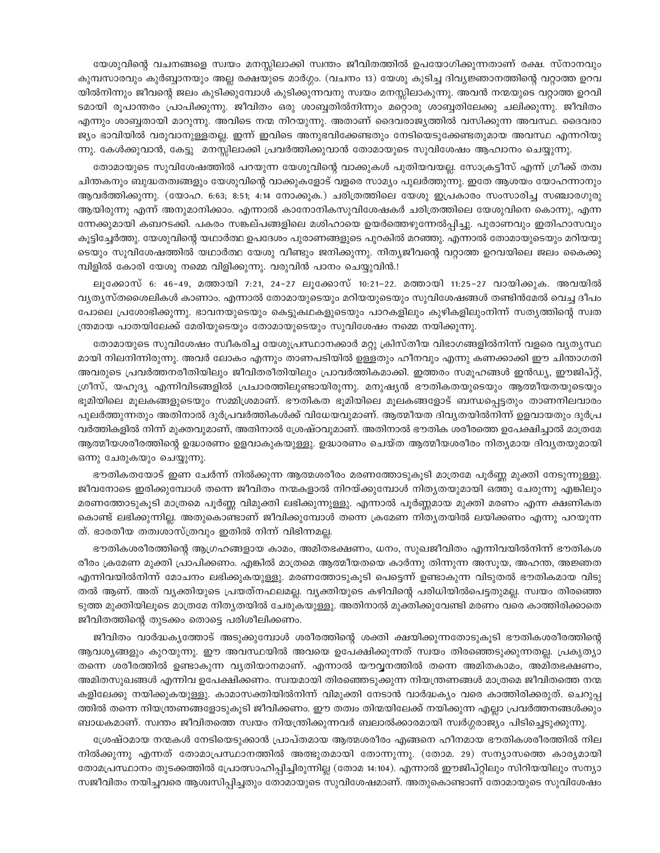യേശുവിന്റെ വചനങ്ങളെ സ്വയം മനസ്സിലാക്കി സ്വന്തം ജീവിതത്തിൽ ഉപയോഗിക്കുന്നതാണ് രക്ഷ. സ്നാനവും കുമ്പസാരവും കുർബ്ബാനയും അല്ല രക്ഷയുടെ മാർഗ്ഗം. (വചനം 13) യേശു കുടിച്ച ദിവ്യജ്ഞാനത്തിന്റെ വറ്റാത്ത ഉറവ യിൽനിന്നും ജീവന്റെ ജലം കുടിക്കുമ്പോൾ കുടിക്കുന്നവനു സ്വയം മനസ്സിലാകുന്നു. അവൻ നന്മയുടെ വറ്റാത്ത ഉറവി ടമായി രൂപാന്തരം പ്രാപിക്കുന്നു. ജീവിതം ഒരു ശാബ്ബതിൽനിന്നും മറ്റൊരു ശാബ്ബതിലേക്കു ചലിക്കുന്നു. ജീവിതം എന്നും ശാബ്ബതായി മാറുന്നു. അവിടെ നന്മ നിറയുന്നു. അതാണ് ദൈവരാജ്യത്തിൽ വസിക്കുന്ന അവസ്ഥ. ദൈവരാ ജ്യം ഭാവിയിൽ വരുവാനുള്ളതല്ല. ഇന്ന് ഇവിടെ അനുഭവിക്കേണ്ടതും നേടിയെടുക്കേണ്ടതുമായ അവസ്ഥ എന്നറിയു ന്നു. കേൾക്കുവാൻ, കേട്ടു മനസ്സിലാക്കി പ്രവർത്തിക്കുവാൻ തോമായുടെ സുവിശേഷം ആഹ്വാനം ചെയ്യുന്നു.

തോമായുടെ സുവിശേഷത്തിൽ പറയുന്ന യേശുവിന്റെ വാക്കുകൾ പുതിയവയല്ല. സോക്രട്ടീസ് എന്ന് ഗ്രീക്ക് തത്വ ചിന്തകനും ബുദ്ധതത്വങ്ങളും യേശുവിന്റെ വാക്കുകളോട് വളരെ സാമ്യം പുലർത്തുന്നു. ഇതേ ആശയം യോഹന്നാനും ആവർത്തിക്കുന്നു. (യോഹ. 6:63; 8:51; 4:14 നോക്കുക.) ചരിത്രത്തിലെ യേശു ഇപ്രകാരം സംസാരിച്ച സഞ്ചാരഗുരു ആയിരുന്നു എന്ന് അനുമാനിക്കാം. എന്നാൽ കാനോനികസുവിശേഷകർ ചരിത്രത്തിലെ യേശുവിനെ കൊന്നു, എന്ന ന്നേക്കുമായി കബറടക്കി. പകരം സങ്കല്പങ്ങളിലെ മശിഹായെ ഉയർത്തെഴുന്നേൽപ്പിച്ചു. പുരാണവും ഇതിഹാസവും കുട്ടിച്ചേർത്തു. യേശുവിന്റെ യഥാർത്ഥ ഉപദേശം പുരാണങ്ങളുടെ പുറകിൽ മറഞ്ഞു. എന്നാൽ തോമായുടെയും മറിയയു ടെയും സുവിശേഷത്തിൽ യഥാർത്ഥ യേശു വീണ്ടും ജനിക്കുന്നു. നിത്യജീവന്റെ വറ്റാത്ത ഉറവയിലെ ജലം കൈക്കു മ്പിളിൽ കോരി യേശു നമ്മെ വിളിക്കുന്നു. വരുവിൻ പാനം ചെയ്യുവിൻ.!

ലുക്കോസ് 6: 46–49, മത്തായി 7:21, 24–27 ലുക്കോസ് 10:21–22. മത്തായി 11:25–27 വായിക്കുക. അവയിൽ വ്യത്യസ്തശൈലികൾ കാണാം. എന്നാൽ തോമായുടെയും മറിയയുടെയും സുവിശേഷങ്ങൾ തണ്ടിൻമേൽ വെച്ച ദീപം പോലെ പ്രശോഭിക്കുന്നു. ഭാവനയുടെയും കെട്ടുകഥകളുടെയും പാറകളിലും കുഴികളിലുംനിന്ന് സതൃത്തിന്റെ സ്വത ന്ത്രമായ പാതയിലേക്ക് മേരിയുടെയും തോമായുടെയും സുവിശേഷം നമ്മെ നയിക്കുന്നു.

തോമായുടെ സുവിശേഷം സ്വീകരിച്ച യേശുപ്രസ്ഥാനക്കാർ മറ്റു ക്രിസ്തീയ വിഭാഗങ്ങളിൽനിന്ന് വളരെ വ്യതൃസ്ഥ മായി നിലനിന്നിരുന്നു. അവർ ലോകം എന്നും താണപടിയിൽ ഉള്ളതും ഹീനവും എന്നു കണക്കാക്കി ഈ ചിന്താഗതി അവരുടെ പ്രവർത്തനരീതിയിലും ജീവിതരീതിയിലും പ്രാവർത്തികമാക്കി. ഇത്തരം സമൂഹങ്ങൾ ഇൻഡ്യ, ഈജിപ്റ്റ്, ഗ്രീസ്, യഹുദ്യ എന്നിവിടങ്ങളിൽ പ്രചാരത്തിലുണ്ടായിരുന്നു. മനുഷ്യൻ ഭൗതികതയുടെയും ആത്മീയതയുടെയും ഭൂമിയിലെ മൂലകങ്ങളുടെയും സമ്മിശ്രമാണ്. ഭൗതികത ഭൂമിയിലെ മൂലകങ്ങളോട് ബന്ധപ്പെട്ടതും താണനിലവാരം പുലർത്തുന്നതും അതിനാൽ ദുർപ്രവർത്തികൾക്ക് വിധേയവുമാണ്. ആത്മീയത ദിവൃതയിൽനിന്ന് ഉളവായതും ദുർപ്ര വർത്തികളിൽ നിന്ന് മുക്തവുമാണ്, അതിനാൽ ശ്രേഷ്ഠവുമാണ്. അതിനാൽ ഭൗതിക ശരീരത്തെ ഉപേക്ഷിച്ചാൽ മാത്രമേ ആത്മീയശരീരത്തിന്റെ ഉദ്ധാരണം ഉളവാകുകയുള്ളു. ഉദ്ധാരണം ചെയ്ത ആത്മീയശരീരം നിത്യമായ ദിവ്യതയുമായി ഒന്നു ചേരുകയും ചെയ്യുന്നു.

ഭൗതികതയോട് ഇണ ചേർന്ന് നിൽക്കുന്ന ആത്മശരീരം മരണത്തോടുകൂടി മാത്രമേ പൂർണ്ണ മുക്തി നേടുന്നുള്ളു. ജീവനോടെ ഇരിക്കുമ്പോൾ തന്നെ ജീവിതം നന്മകളാൽ നിറയ്ക്കുമ്പോൾ നിത്യതയുമായി ഒത്തു ചേരുന്നു എങ്കിലും മരണത്തോടുകൂടി മാത്രമെ പൂർണ്ണ വിമുക്തി ലഭിക്കുന്നുള്ളു. എന്നാൽ പൂർണ്ണമായ മുക്തി മരണം എന്ന ക്ഷണികത കൊണ്ട് ലഭിക്കുന്നില്ല. അതുകൊണ്ടാണ് ജീവിക്കുമ്പോൾ തന്നെ ക്രമേണ നിതൃതയിൽ ലയിക്കണം എന്നു പറയുന്ന ത്. ഭാരതീയ തത്വശാസ്ത്രവും ഇതിൽ നിന്ന് വിഭിന്നമല്ല.

ഭൗതികശരീരത്തിന്റെ ആഗ്രഹങ്ങളായ കാമം, അമിതഭക്ഷണം, ധനം, സുഖജീവിതം എന്നിവയിൽനിന്ന് ഭൗതികശ രീരം ക്രമേണ മുക്തി പ്രാപിക്കണം. എങ്കിൽ മാത്രമെ ആത്മീയതയെ കാർന്നു തിന്നുന്ന അസൂയ, അഹന്ത, അജ്ഞത എന്നിവയിൽനിന്ന് മോചനം ലഭിക്കുകയുള്ളു. മരണത്തോടുകൂടി പെട്ടെന്ന് ഉണ്ടാകുന്ന വിടുതൽ ഭൗതികമായ വിടു തൽ ആണ്. അത് വ്യക്തിയുടെ പ്രയത്നഫലമല്ല. വ്യക്തിയുടെ കഴിവിന്റെ പരിധിയിൽപെട്ടതുമല്ല. സ്വയം തിരഞ്ഞെ ടുത്ത മുക്തിയിലൂടെ മാത്രമേ നിതൃതയിൽ ചേരുകയുള്ളു. അതിനാൽ മുക്തിക്കുവേണ്ടി മരണം വരെ കാത്തിരിക്കാതെ ജീവിതത്തിന്റെ തുടക്കം തൊട്ടെ പരിശീലിക്കണം.

ജീവിതം വാർദ്ധകൃത്തോട് അടുക്കുമ്പോൾ ശരീരത്തിന്റെ ശക്തി ക്ഷയിക്കുന്നതോടുകൂടി ഭൗതികശരീരത്തിന്റെ ആവശ്യങ്ങളും കുറയുന്നു. ഈ അവസ്ഥയിൽ അവയെ ഉപേക്ഷിക്കുന്നത് സ്വയം തിരഞ്ഞെടുക്കുന്നതല്ല. പ്രകൃത്യാ തന്നെ ശരീരത്തിൽ ഉണ്ടാകുന്ന വ്യതിയാനമാണ്. എന്നാൽ യൗവ്വനത്തിൽ തന്നെ അമിതകാമം, അമിതഭക്ഷണം, അമിതസുഖങ്ങൾ എന്നിവ ഉപേക്ഷിക്കണം. സ്വയമായി തിരഞ്ഞെടുക്കുന്ന നിയന്ത്രണങ്ങൾ മാത്രമെ ജീവിതത്തെ നന്മ കളിലേക്കു നയിക്കുകയുള്ളു. കാമാസക്തിയിൽനിന്ന് വിമുക്തി നേടാൻ വാർദ്ധക്യം വരെ കാത്തിരിക്കരുത്. ചെറുപ്പ ത്തിൽ തന്നെ നിയന്ത്രണങ്ങളോടുകൂടി ജീവിക്കണം. ഈ തത്വം തിന്മയിലേക്ക് നയിക്കുന്ന എല്ലാ പ്രവർത്തനങ്ങൾക്കും ബാധകമാണ്. സ്ഥതം ജീവിതത്തെ സ്വയം നിയന്ത്രിക്കുന്നവർ ബലാൽക്കാരമായി സ്വർഗ്ഗരാജ്യം പിടിച്ചെടുക്കുന്നു.

ശ്രേഷ്ഠമായ നന്മകൾ നേടിയെടുക്കാൻ പ്രാപ്തമായ ആത്മശരീരം എങ്ങനെ ഹീനമായ ഭൗതികശരീരത്തിൽ നില നിൽക്കുന്നു എന്നത് തോമാപ്രസ്ഥാനത്തിൽ അത്ഭുതമായി തോന്നുന്നു. (തോമ. 29) സന്യാസത്തെ കാര്യമായി തോമപ്രസ്ഥാനം തുടക്കത്തിൽ പ്രോത്സാഹിപ്പിച്ചിരുന്നില്ല (തോമ 14:104). എന്നാൽ ഈജിപ്റ്റിലും സിറിയയിലും സന്യാ സജീവിതം നയിച്ചവരെ ആശ്വസിപ്പിച്ചതും തോമായുടെ സുവിശേഷമാണ്. അതുകൊണ്ടാണ് തോമായുടെ സുവിശേഷം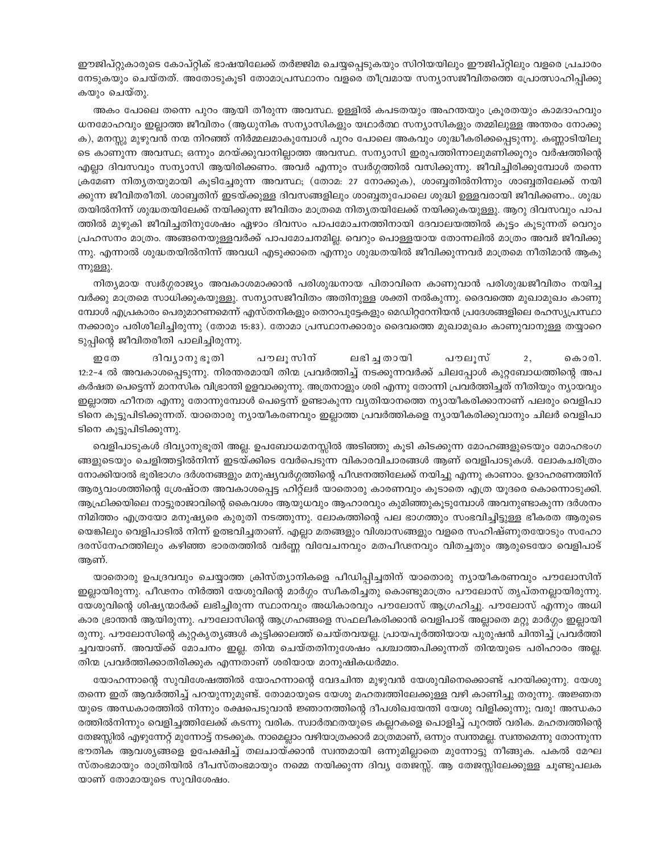ഈജിപ്റ്റുകാരുടെ കോപ്റ്റിക് ഭാഷയിലേക്ക് തർജ്ജിമ ചെയ്യപ്പെടുകയും സിറിയയിലും ഈജിപ്റ്റിലും വളരെ പ്രചാരം നേടുകയും ചെയ്തത്. അതോടുകുടി തോമാപ്രസ്ഥാനം വളരെ തീവ്രമായ സന്യാസജീവിതത്തെ പ്രോത്സാഹിപ്പിക്കു കയും ചെയ്തു.

അകം പോലെ തന്നെ പുറം ആയി തീരുന്ന അവസ്ഥ. ഉള്ളിൽ കപടതയും അഹന്തയും ക്രുരതയും കാമദാഹവും ധനമോഹവും ഇല്ലാത്ത ജീവിതം (ആധുനിക സന്യാസികളും യഥാർത്ഥ സന്യാസികളും തമ്മിലുള്ള അന്തരം നോക്കു ക), മനസ്സു മുഴുവൻ നന്മ നിറഞ്ഞ് നിർമ്മലമാകുമ്പോൾ പുറം പോലെ അകവും ശുദ്ധീകരിക്കപ്പെടുന്നു. കണ്ണാടിയിലു ടെ കാണുന്ന അവസ്ഥ; ഒന്നും മറയ്ക്കുവാനില്ലാത്ത അവസ്ഥ. സന്യാസി ഇരുപത്തിന്നാലുമണിക്കൂറും വർഷത്തിന്റെ എല്ലാ ദിവസവും സന്യാസി ആയിരിക്കണം. അവർ എന്നും സ്വർഗ്ഗത്തിൽ വസിക്കുന്നു. ജീവിച്ചിരിക്കുമ്പോൾ തന്നെ ക്രമേണ നിത്യതയുമായി കുടിച്ചേരുന്ന അവസ്ഥ; (തോമ: 27 നോക്കുക), ശാബ്ബതിൽനിന്നും ശാബ്ബതിലേക്ക് നയി ക്കുന്ന ജീവിതരീതി. ശാബ്ബതിന് ഇടയ്ക്കുള്ള ദിവസങ്ങളിലും ശാബ്ബതുപോലെ ശുദ്ധി ഉള്ളവരായി ജീവിക്കണം.. ശുദ്ധ തയിൽനിന്ന് ശുദ്ധതയിലേക്ക് നയിക്കുന്ന ജീവിതം മാത്രമെ നിതൃതയിലേക്ക് നയിക്കുകയുള്ളു. ആറു ദിവസവും പാപ ത്തിൽ മുഴുകി ജീവിച്ചതിനുശേഷം ഏഴാം ദിവസം പാപമോചനത്തിനായി ദേവാലയത്തിൽ കൂട്ടം കൂടുന്നത് വെറും പ്രഹസനം മാത്രം. അങ്ങനെയുള്ളവർക്ക് പാപമോചനമില്ല. വെറും പൊള്ളയായ തോന്നലിൽ മാത്രം അവർ ജീവിക്കു ന്നു. എന്നാൽ ശുദ്ധതയിൽനിന്ന് അവധി എടുക്കാതെ എന്നും ശുദ്ധതയിൽ ജീവിക്കുന്നവർ മാത്രമെ നീതിമാൻ ആകു ന്നുള്ളു.

നിത്യമായ സ്വർഗ്ഗരാജ്യം അവകാശമാക്കാൻ പരിശുദ്ധനായ പിതാവിനെ കാണുവാൻ പരിശുദ്ധജീവിതം നയിച്ച വർക്കു മാത്രമെ സാധിക്കുകയുള്ളു. സന്യാസജീവിതം അതിനുള്ള ശക്തി നൽകുന്നു. ദൈവത്തെ മുഖാമുഖം കാണു മ്പോൾ എപ്രകാരം പെരുമാറണമെന്ന് എസ്തനികളും തെറാപുട്ടേകളും മെഡിറ്ററേനിയൻ പ്രദേശങ്ങളിലെ രഹസ്യപ്രസ്ഥാ നക്കാരും പരിശീലിച്ചിരുന്നു (തോമ 15:83). തോമാ പ്രസ്ഥാനക്കാരും ദൈവത്തെ മുഖാമുഖം കാണുവാനുള്ള തയ്യാറെ ടുപ്പിന്റെ ജീവിതരീതി പാലിച്ചിരുന്നു.

പൗലൂസിന് றலே ദിവ്യാനുഭൂതി ലഭിച്ച തായി പൗലുസ്  $2.$ കൊരി. 12:2-4 ൽ അവകാശപ്പെടുന്നു. നിരന്തരമായി തിന്മ പ്രവർത്തിച്ച് നടക്കുന്നവർക്ക് ചിലപ്പോൾ കുറ്റബോധത്തിന്റെ അപ കർഷത പെട്ടെന്ന് മാനസിക വിഭ്രാന്തി ഉളവാക്കുന്നു. അത്രനാളും ശരി എന്നു തോന്നി പ്രവർത്തിച്ചത് നീതിയും ന്യായവും ഇല്ലാത്ത ഹീനത എന്നു തോന്നുമ്പോൾ പെട്ടെന്ന് ഉണ്ടാകുന്ന വൃതിയാനത്തെ ന്യായീകരിക്കാനാണ് പലരും വെളിപാ ടിനെ കൂട്ടുപിടിക്കുന്നത്. യാതൊരു ന്യായീകരണവും ഇല്ലാത്ത പ്രവർത്തികളെ ന്യായീകരിക്കുവാനും ചിലർ വെളിപാ ടിനെ കൂട്ടുപിടിക്കുന്നു.

വെളിപാടുകൾ ദിവ്യാനുഭൂതി അല്ല. ഉപബോധമനസ്സിൽ അടിഞ്ഞു കൂടി കിടക്കുന്ന മോഹങ്ങളുടെയും മോഹഭംഗ ങ്ങളുടെയും ചെളിത്തട്ടിൽനിന്ന് ഇടയ്ക്കിടെ വേർപെടുന്ന വികാരവിചാരങ്ങൾ ആണ് വെളിപാടുകൾ. ലോകചരിത്രം നോക്കിയാൽ ഭൂരിഭാഗം ദർശനങ്ങളും മനുഷ്യവർഗ്ഗത്തിന്റെ പീഢനത്തിലേക്ക് നയിച്ചു എന്നു കാണാം. ഉദാഹരണത്തിന് ആര്യവംശത്തിന്റെ ശ്രേഷ്ഠത അവകാശപ്പെട്ട ഹിറ്റ്ലർ യാതൊരു കാരണവും കൂടാതെ എത്ര യൂദരെ കൊന്നൊടുക്കി. ആഫ്രിക്കയിലെ നാട്ടുരാജാവിന്റെ കൈവശം ആയുധവും ആഹാരവും കുമിഞ്ഞുകൂടുമ്പോൾ അവനുണ്ടാകുന്ന ദർശനം നിമിത്തം എത്രയോ മനുഷ്യരെ കുരുതി നടത്തുന്നു. ലോകത്തിന്റെ പല ഭാഗത്തും സംഭവിച്ചിട്ടുള്ള ഭീകരത ആരുടെ യെങ്കിലും വെളിപാടിൽ നിന്ന് ഉത്ഭവിച്ചതാണ്. എല്ലാ മതങ്ങളും വിശ്വാസങ്ങളും വളരെ സഹിഷ്ണുതയോടും സഹോ ദരസ്നേഹത്തിലും കഴിഞ്ഞ ഭാരതത്തിൽ വർണ്ണ വിവേചനവും മതപീഢനവും വിതച്ചതും ആരുടെയോ വെളിപാട് അണ്.

യാതൊരു ഉപദ്രവവും ചെയ്യാത്ത ക്രിസ്ത്യാനികളെ പീഡിപ്പിച്ചതിന് യാതൊരു ന്യായീകരണവും പൗലോസിന് ഇല്ലായിരുന്നു. പീഢനം നിർത്തി യേശുവിന്റെ മാർഗ്ഗം സ്വീകരിച്ചതു കൊണ്ടുമാത്രം പൗലോസ് തൃപ്തനല്ലായിരുന്നു. യേശുവിന്റെ ശിഷ്യന്മാർക്ക് ലഭിച്ചിരുന്ന സ്ഥാനവും അധികാരവും പൗലോസ് ആഗ്രഹിച്ചു. പൗലോസ് എന്നും അധി കാര ഭ്രാന്തൻ ആയിരുന്നു. പൗലോസിന്റെ ആഗ്രഹങ്ങളെ സഫലീകരിക്കാൻ വെളിപാട് അല്ലാതെ മറ്റു മാർഗ്ഗം ഇല്ലായി രുന്നു. പൗലോസിന്റെ കുറ്റകൃത്യങ്ങൾ കുട്ടിക്കാലത്ത് ചെയ്തവയല്ല. പ്രായപൂർത്തിയായ പുരുഷൻ ചിന്തിച്ച് പ്രവർത്തി ച്ചവയാണ്. അവയ്ക്ക് മോചനം ഇല്ല. തിന്മ ചെയ്തതിനുശേഷം പശ്ചാത്തപിക്കുന്നത് തിന്മയുടെ പരിഹാരം അല്ല. തിന്മ പ്രവർത്തിക്കാതിരിക്കുക എന്നതാണ് ശരിയായ മാനുഷികധർമ്മം.

യോഹന്നാന്റെ സുവിശേഷത്തിൽ യോഹന്നാന്റെ വേദചിന്ത മുഴുവൻ യേശുവിനെക്കൊണ്ട് പറയിക്കുന്നു. യേശു തന്നെ ഇത് ആവർത്തിച്ച് പറയുന്നുമുണ്ട്. തോമായുടെ യേശു മഹത്വത്തിലേക്കുള്ള വഴി കാണിച്ചു തരുന്നു. അജ്ഞത യുടെ അന്ധകാരത്തിൽ നിന്നും രക്ഷപെടുവാൻ ജ്ഞാനത്തിന്റെ ദീപശിഖയേത്തി യേശു വിളിക്കുന്നു; വരു! അന്ധകാ രത്തിൽനിന്നും വെളിച്ചത്തിലേക്ക് കടന്നു വരിക. സ്വാർത്ഥതയുടെ കല്ലറകളെ പൊളിച്ച് പുറത്ത് വരിക. മഹത്വത്തിന്റെ തേജസ്സിൽ എഴുന്നേറ്റ് മുന്നോട്ട് നടക്കുക. നാമെല്ലാം വഴിയാത്രക്കാർ മാത്രമാണ്, ഒന്നും സ്വന്തമല്ല. സ്വന്തമെന്നു തോന്നുന്ന ഭൗതിക ആവശ്യങ്ങളെ ഉപേക്ഷിച്ച് തലചായ്ക്കാൻ സ്വന്തമായി ഒന്നുമില്ലാതെ മുന്നോട്ടു നീങ്ങുക. പകൽ മേഘ സ്തംഭമായും രാത്രിയിൽ ദീപസ്തംഭമായും നമ്മെ നയിക്കുന്ന ദിവ്യ തേജസ്സ്. ആ തേജസ്സിലേക്കുള്ള ചുണ്ടുപലക യാണ് തോമായുടെ സുവിശേഷം.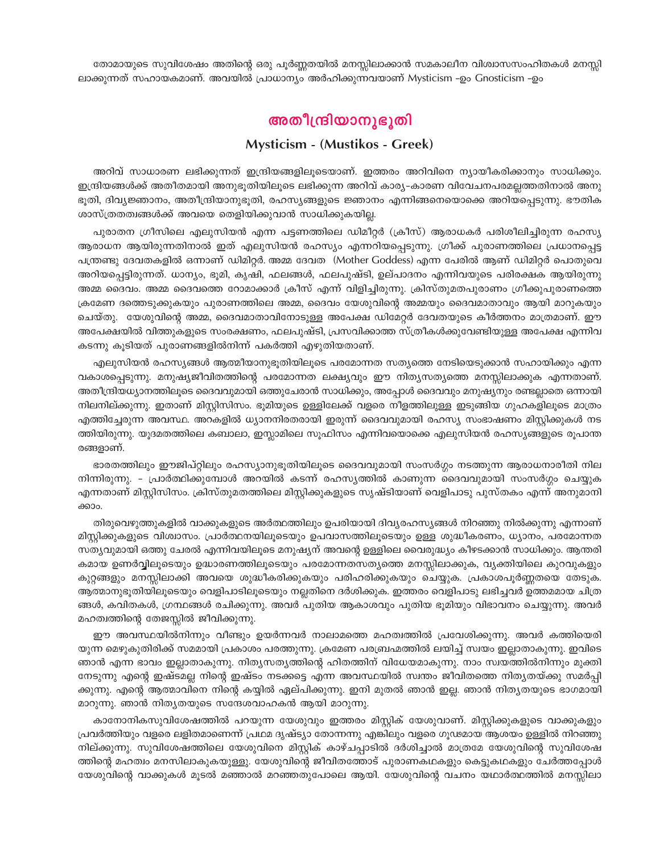തോമായുടെ സുവിശേഷം അതിന്റെ ഒരു പൂർണ്ണതയിൽ മനസ്സിലാക്കാൻ സമകാലീന വിശ്വാസസംഹിതകൾ മനസ്സി ലാക്കുന്നത് സഹായകമാണ്. അവയിൽ പ്രാധാന്യം അർഹിക്കുന്നവയാണ് Mysticism -ഉം Gnosticism -ഉം

## അതീന്ദ്രിയാനുഭുതി

### **Mysticism - (Mustikos - Greek)**

അറിവ് സാധാരണ ലഭിക്കുന്നത് ഇന്ദ്രിയങ്ങളിലൂടെയാണ്. ഇത്തരം അറിവിനെ ന്യായീകരിക്കാനും സാധിക്കും. ഇന്ദ്രിയങ്ങൾക്ക് അതീതമായി അനുഭൂതിയിലൂടെ ലഭിക്കുന്ന അറിവ് കാര്യ–കാരണ വിവേചനപരമല്ലത്തതിനാൽ അനു ഭൂതി, ദിവ്യജ്ഞാനം, അതീന്ദ്രിയാനുഭൂതി, രഹസ്യങ്ങളുടെ ജ്ഞാനം എന്നിങ്ങനെയൊക്കെ അറിയപ്പെടുന്നു. ഭൗതിക ശാസ്ത്രതത്വങ്ങൾക്ക് അവയെ തെളിയിക്കുവാൻ സാധിക്കുകയില്ല.

പുരാതന ഗ്രീസിലെ എലുസിയൻ എന്ന പട്ടണത്തിലെ ഡിമീറ്റർ (ക്രീസ്) ആരാധകർ പരിശീലിച്ചിരുന്ന രഹസ്യ ആരാധന ആയിരുന്നതിനാൽ ഇത് എലുസിയൻ രഹസ്യം എന്നറിയപ്പെടുന്നു. ഗ്രീക്ക് പുരാണത്തിലെ പ്രധാനപ്പെട്ട പന്ത്രണ്ടു ദേവതകളിൽ ഒന്നാണ് ഡിമിറ്റർ. അമ്മ ദേവത (Mother Goddess) എന്ന പേരിൽ ആണ് ഡിമിറ്റർ പൊതുവെ അറിയപ്പെട്ടിരുന്നത്. ധാന്യം, ഭൂമി, കൃഷി, ഫലങ്ങൾ, ഫലപുഷ്ടി, ഉല്പാദനം എന്നിവയുടെ പരിരക്ഷക ആയിരുന്നു അമ്മ ദൈവം. അമ്മ ദൈവത്തെ റോമാക്കാർ ക്രീസ് എന്ന് വിളിച്ചിരുന്നു. ക്രിസ്തുമതപുരാണം ഗ്രീക്കുപുരാണത്തെ ക്രമേണ ദത്തെടുക്കുകയും പുരാണത്തിലെ അമ്മ, ദൈവം യേശുവിന്റെ അമ്മയും ദൈവമാതാവും ആയി മാറുകയും ചെയ്തു. യേശുവിന്റെ അമ്മ, ദൈവമാതാവിനോടുള്ള അപേക്ഷ ഡിമേറ്റർ ദേവതയുടെ കീർത്തനം മാത്രമാണ്. ഈ അപേക്ഷയിൽ വിത്തുകളുടെ സംരക്ഷണം, ഫലപുഷ്ടി, പ്രസവിക്കാത്ത സ്ത്രീകൾക്കുവേണ്ടിയുള്ള അപേക്ഷ എന്നിവ കടന്നു കൂടിയത് പുരാണങ്ങളിൽനിന്ന് പകർത്തി എഴുതിയതാണ്.

എലുസിയൻ രഹസ്യങ്ങൾ ആത്മീയാനുഭൂതിയിലൂടെ പരമോന്നത സത്യത്തെ നേടിയെടുക്കാൻ സഹായിക്കും എന്ന വകാശപ്പെടുന്നു. മനുഷ്യജീവിതത്തിന്റെ പരമോന്നത ലക്ഷ്യവും ഈ നിത്യസത്യത്തെ മനസ്സിലാക്കുക എന്നതാണ്. അതീന്ദ്രിയധ്യാനത്തിലൂടെ ദൈവവുമായി ഒത്തുചേരാൻ സാധിക്കും, അപ്പോൾ ദൈവവും മനുഷ്യനും രണ്ടല്ലാതെ ഒന്നായി നിലനില്ക്കുന്നു. ഇതാണ് മിസ്റ്റിസിസം. ഭൂമിയുടെ ഉള്ളിലേക്ക് വളരെ നീളത്തിലുള്ള ഇടുങ്ങിയ ഗുഹകളിലൂടെ മാത്രം എത്തിച്ചേരുന്ന അവസ്ഥ. അറകളിൽ ധ്യാനനിരതരായി ഇരുന്ന് ദൈവവുമായി രഹസ്യ സംഭാഷണം മിസ്റ്റിക്കുകൾ നട ത്തിയിരുന്നു. യൂദമതത്തിലെ കബാലാ, ഇസ്ലാമിലെ സൂഫിസം എന്നിവയൊക്കെ എലുസിയൻ രഹസ്യങ്ങളുടെ രൂപാന്ത രങ്ങളാണ്.

ഭാരതത്തിലും ഈജിപ്റ്റിലും രഹസ്യാനുഭൂതിയിലൂടെ ദൈവവുമായി സംസർഗ്ഗം നടത്തുന്ന ആരാധനാരീതി നില നിന്നിരുന്നു. - പ്രാർത്ഥിക്കുമ്പോൾ അറയിൽ കടന്ന് രഹസ്യത്തിൽ കാണുന്ന ദൈവവുമായി സംസർഗ്ഗം ചെയ്യുക എന്നതാണ് മിസ്റ്റിസിസം. ക്രിസ്തുമതത്തിലെ മിസ്റ്റിക്കുകളുടെ സൃഷ്ടിയാണ് വെളിപാടു പുസ്തകം എന്ന് അനുമാനി ക്കാം.

തിരുവെഴുത്തുകളിൽ വാക്കുകളുടെ അർത്ഥത്തിലും ഉപരിയായി ദിവ്യരഹസ്യങ്ങൾ നിറഞ്ഞു നിൽക്കുന്നു എന്നാണ് മിസ്റ്റിക്കുകളുടെ വിശ്വാസം. പ്രാർത്ഥനയിലൂടെയും ഉപവാസത്തിലൂടെയും ഉള്ള ശുദ്ധീകരണം, ധ്യാനം, പരമോന്നത സത്യവുമായി ഒത്തു ചേരൽ എന്നിവയിലൂടെ മനുഷ്യന് അവന്റെ ഉള്ളിലെ വൈരുദ്ധ്യം കീഴടക്കാൻ സാധിക്കും. ആന്തരി കമായ ഉണർവ്വിലൂടെയും ഉദ്ധാരണത്തിലൂടെയും പരമോന്നതസത്യത്തെ മനസ്സിലാക്കുക, വ്യക്തിയിലെ കുറവുകളും കുറ്റങ്ങളും മനസ്സിലാക്കി അവയെ ശുദ്ധീകരിക്കുകയും പരിഹരിക്കുകയും ചെയ്യുക. പ്രകാശപൂർണ്ണതയെ തേടുക. ആത്മാനുഭൂതിയിലൂടെയും വെളിപാടിലൂടെയും നല്ലതിനെ ദർശിക്കുക. ഇത്തരം വെളിപാടു ലഭിച്ചവർ ഉത്തമമായ ചിത്ര ങ്ങൾ, കവിതകൾ, ഗ്രന്ഥങ്ങൾ രചിക്കുന്നു. അവർ പുതിയ ആകാശവും പുതിയ ഭൂമിയും വിഭാവനം ചെയ്യുന്നു. അവർ മഹത്വത്തിന്റെ തേജസ്സിൽ ജീവിക്കുന്നു.

ഈ അവസ്ഥയിൽനിന്നും വീണ്ടും ഉയർന്നവർ നാലാമത്തെ മഹത്വത്തിൽ പ്രവേശിക്കുന്നു. അവർ കത്തിയെരി യുന്ന മെഴുകുതിരിക്ക് സമമായി പ്രകാശം പരത്തുന്നു. ക്രമേണ പരബ്രഹ്മത്തിൽ ലയിച്ച് സ്വയം ഇല്ലാതാകുന്നു. ഇവിടെ ഞാൻ എന്ന ഭാവം ഇല്ലാതാകുന്നു. നിത്യസത്യത്തിന്റെ ഹിതത്തിന് വിധേയമാകുന്നു. നാം സ്വയത്തിൽനിന്നും മുക്തി നേടുന്നു എന്റെ ഇഷ്ടമല്ല നിന്റെ ഇഷ്ടം നടക്കട്ടെ എന്ന അവസ്ഥയിൽ സ്വന്തം ജീവിതത്തെ നിതൃതയ്ക്കു സമർപ്പി ക്കുന്നു. എന്റെ ആത്മാവിനെ നിന്റെ കയ്യിൽ ഏല്പിക്കുന്നു. ഇനി മുതൽ ഞാൻ ഇല്ല. ഞാൻ നിത്യതയുടെ ഭാഗമായി മാറുന്നു. ഞാൻ നിതൃതയുടെ സന്ദേശവാഹകൻ ആയി മാറുന്നു.

കാനോനികസുവിശേഷത്തിൽ പറയുന്ന യേശുവും ഇത്തരം മിസ്റ്റിക് യേശുവാണ്. മിസ്റ്റിക്കുകളുടെ വാക്കുകളും പ്രവർത്തിയും വളരെ ലളിതമാണെന്ന് പ്രഥമ ദൃഷ്ട്യാ തോന്നന്നു എങ്കിലും വളരെ ഗൂഢമായ ആശയം ഉള്ളിൽ നിറഞ്ഞു നില്ക്കുന്നു. സുവിശേഷത്തിലെ യേശുവിനെ മിസ്റ്റിക് കാഴ്ചപ്പാടിൽ ദർശിച്ചാൽ മാത്രമേ യേശുവിന്റെ സുവിശേഷ ത്തിന്റെ മഹത്വം മനസിലാകുകയുള്ളു. യേശുവിന്റെ ജീവിതത്തോട് പുരാണകഥകളും കെട്ടുകഥകളും ചേർത്തപ്പോൾ യേശുവിന്റെ വാക്കുകൾ മൂടൽ മഞ്ഞാൽ മറഞ്ഞതുപോലെ ആയി. യേശുവിന്റെ വചനം യഥാർത്ഥത്തിൽ മനസ്സിലാ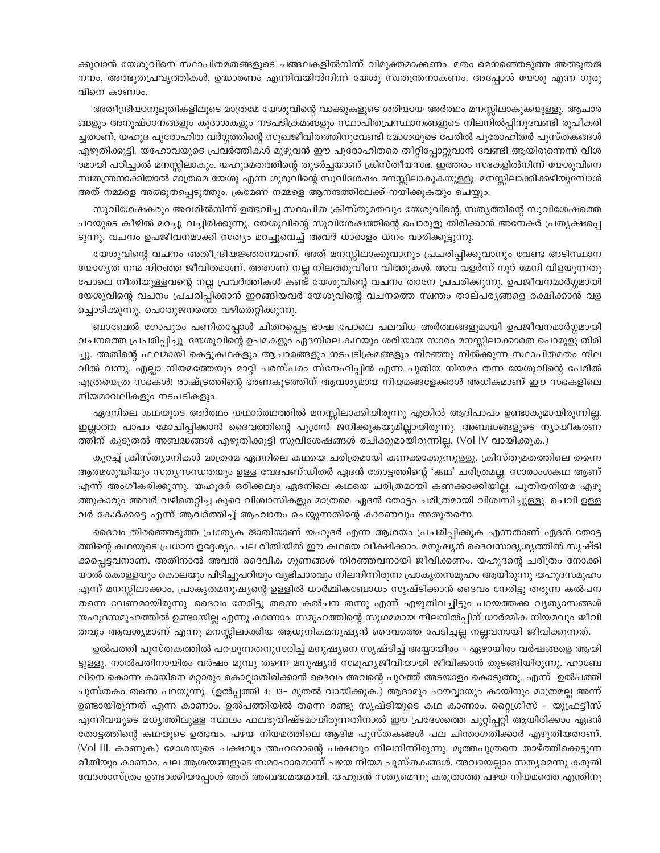ക്കുവാൻ യേശുവിനെ സ്ഥാപിതമതങ്ങളുടെ ചങ്ങലകളിൽനിന്ന് വിമുക്തമാക്കണം. മതം മെനഞ്ഞെടുത്ത അത്ഭുതജ നനം, അത്ഭുതപ്രവൃത്തികൾ, ഉദ്ധാരണം എന്നിവയിൽനിന്ന് യേശു സ്വതന്ത്രനാകണം. അപ്പോൾ യേശു എന്ന ഗുരു വിനെ കാണാം.

അതീന്ദ്രിയാനുഭൂതികളിലൂടെ മാത്രമേ യേശുവിന്റെ വാക്കുകളുടെ ശരിയായ അർത്ഥം മനസ്സിലാകുകയുള്ളു. ആചാര ങ്ങളും അനുഷ്ഠാനങ്ങളും കൂദാശകളും നടപടിക്രമങ്ങളും സ്ഥാപിതപ്രസ്ഥാനങ്ങളുടെ നിലനിൽപ്പിനുവേണ്ടി രൂപീകരി ച്ചതാണ്, യഹൂദ പുരോഹിത വർഗ്ഗത്തിന്റെ സുഖജീവിതത്തിനുവേണ്ടി മോശയുടെ പേരിൽ പുരോഹിതർ പുസ്തകങ്ങൾ എഴുതിക്കൂട്ടി. യഹോവയുടെ പ്രവർത്തികൾ മുഴുവൻ ഈ പുരോഹിതരെ തീറ്റിപ്പോറ്റുവാൻ വേണ്ടി ആയിരുന്നെന്ന് വിശ ദമായി പഠിച്ചാൽ മനസ്സിലാകും. യഹൂദമതത്തിന്റെ തുടർച്ചയാണ് ക്രിസ്തീയസഭ. ഇത്തരം സഭകളിൽനിന്ന് യേശുവിനെ സ്വതന്ത്രനാക്കിയാൽ മാത്രമെ യേശു എന്ന ഗുരുവിന്റെ സുവിശേഷം മനസ്സിലാകുകയുള്ളു. മനസ്സിലാക്കിക്കഴിയുമ്പോൾ അത് നമ്മളെ അത്ഭുതപ്പെടുത്തും. ക്രമേണ നമ്മളെ ആനന്ദത്തിലേക്ക് നയിക്കുകയും ചെയ്യും.

സുവിശേഷകരും അവരിൽനിന്ന് ഉത്ഭവിച്ച സ്ഥാപിത ക്രിസ്തുമതവും യേശുവിന്റെ, സത്യത്തിന്റെ സുവിശേഷത്തെ പറയുടെ കീഴിൽ മറച്ചു വച്ചിരിക്കുന്നു. യേശുവിന്റെ സുവിശേഷത്തിന്റെ പൊരുളു തിരിക്കാൻ അനേകർ പ്രത്യക്ഷപ്പെ ടുന്നു. വചനം ഉപജീവനമാക്കി സത്യം മറച്ചുവെച്ച് അവർ ധാരാളം ധനം വാരിക്കൂട്ടുന്നു.

യേശുവിന്റെ വചനം അതീന്ദ്രിയജ്ഞാനമാണ്. അത് മനസ്സിലാക്കുവാനും പ്രചരിപ്പിക്കുവാനും വേണ്ട അടിസ്ഥാന യോഗ്യത നന്മ നിറഞ്ഞ ജീവിതമാണ്. അതാണ് നല്ല നിലത്തുവീണ വിത്തുകൾ. അവ വളർന്ന് നൂറ് മേനി വിളയുന്നതു പോലെ നീതിയുള്ളവന്റെ നല്ല പ്രവർത്തികൾ കണ്ട് യേശുവിന്റെ വചനം താനേ പ്രചരിക്കുന്നു. ഉപജീവനമാർഗ്ഗമായി യേശുവിന്റെ വചനം പ്രചരിപ്പിക്കാൻ ഇറങ്ങിയവർ യേശുവിന്റെ വചനത്തെ സ്വന്തം താല്പര്യങ്ങളെ രക്ഷിക്കാൻ വള ച്ചൊടിക്കുന്നു. പൊതുജനത്തെ വഴിതെറ്റിക്കുന്നു.

ബാബേൽ ഗോപുരം പണിതപ്പോൾ ചിതറപ്പെട്ട ഭാഷ പോലെ പലവിധ അർത്ഥങ്ങളുമായി ഉപജീവനമാർഗ്ഗമായി വചനത്തെ പ്രചരിപ്പിച്ചു. യേശുവിന്റെ ഉപമകളും ഏദനിലെ കഥയും ശരിയായ സാരം മനസ്സിലാക്കാതെ പൊരുളു തിരി ച്ചു. അതിന്റെ ഫലമായി കെട്ടുകഥകളും ആചാരങ്ങളും നടപടിക്രമങ്ങളും നിറഞ്ഞു നിൽക്കുന്ന സ്ഥാപിതമതം നില വിൽ വന്നു. എല്ലാ നിയമത്തേയും മാറ്റി പരസ്പരം സ്നേഹിപ്പിൻ എന്ന പുതിയ നിയമം തന്ന യേശുവിന്റെ പേരിൽ എത്രയെത്ര സഭകൾ! രാഷ്ട്രത്തിന്റെ ഭരണകൂടത്തിന് ആവശ്യമായ നിയമങ്ങളേക്കാൾ അധികമാണ് ഈ സഭകളിലെ നിയമാവലികളും നടപടികളും.

ഏദനിലെ കഥയുടെ അർത്ഥം യഥാർത്ഥത്തിൽ മനസ്സിലാക്കിയിരുന്നു എങ്കിൽ ആദിപാപം ഉണ്ടാകുമായിരുന്നില്ല. ഇല്ലാത്ത പാപം മോചിപ്പിക്കാൻ ദൈവത്തിന്റെ പുത്രൻ ജനിക്കുകയുമില്ലായിരുന്നു. അബദ്ധങ്ങളുടെ ന്യായീകരണ ത്തിന് കൂടുതൽ അബദ്ധങ്ങൾ എഴുതിക്കൂട്ടി സുവിശേഷങ്ങൾ രചിക്കുമായിരുന്നില്ല. (Vol IV വായിക്കുക.)

കുറച്ച് ക്രിസ്ത്യാനികൾ മാത്രമേ ഏദനിലെ കഥയെ ചരിത്രമായി കണക്കാക്കുന്നുള്ളു. ക്രിസ്തുമതത്തിലെ തന്നെ ആത്മശുദ്ധിയും സത്യസന്ധതയും ഉള്ള വേദപണ്ഡിതർ ഏദൻ തോട്ടത്തിന്റെ 'കഥ' ചരിത്രമല്ല. സാരാംശകഥ ആണ് എന്ന് അംഗീകരിക്കുന്നു. യഹൂദർ ഒരിക്കലും ഏദനിലെ കഥയെ ചരിത്രമായി കണക്കാക്കിയില്ല. പുതിയനിയമ എഴു ത്തുകാരും അവർ വഴിതെറ്റിച്ച കുറെ വിശ്വാസികളും മാത്രമെ ഏദൻ തോട്ടം ചരിത്രമായി വിശ്വസിച്ചുള്ളു. ചെവി ഉള്ള വർ കേൾക്കട്ടെ എന്ന് ആവർത്തിച്ച് ആഹ്വാനം ചെയ്യുന്നതിന്റെ കാരണവും അതുതന്നെ.

ദൈവം തിരഞ്ഞെടുത്ത പ്രത്യേക ജാതിയാണ് യഹൂദർ എന്ന ആശയം പ്രചരിപ്പിക്കുക എന്നതാണ് ഏദൻ തോട്ട ത്തിന്റെ കഥയുടെ പ്രധാന ഉദ്ദേശ്യം. പല രീതിയിൽ ഈ കഥയെ വീക്ഷിക്കാം. മനുഷ്യൻ ദൈവസാദൃശ്യത്തിൽ സൃഷ്ടി ക്കപ്പെട്ടവനാണ്. അതിനാൽ അവൻ ദൈവിക ഗുണങ്ങൾ നിറഞ്ഞവനായി ജീവിക്കണം. യഹൂദന്റെ ചരിത്രം നോക്കി യാൽ കൊള്ളയും കൊലയും പിടിച്ചുപറിയും വ്യഭിചാരവും നിലനിന്നിരുന്ന പ്രാകൃതസമൂഹം ആയിരുന്നു യഹൂദസമൂഹം എന്ന് മനസ്സിലാക്കാം. പ്രാകൃതമനുഷ്യന്റെ ഉള്ളിൽ ധാർമ്മികബോധം സൃഷ്ടിക്കാൻ ദൈവം നേരിട്ടു തരുന്ന കൽപന തന്നെ വേണമായിരുന്നു. ദൈവം നേരിട്ടു തന്നെ കൽപന തന്നു എന്ന് എഴുതിവച്ചിട്ടും പറയത്തക്ക വൃത്യാസങ്ങൾ യഹുദസമുഹത്തിൽ ഉണ്ടായില്ല എന്നു കാണാം. സമുഹത്തിന്റെ സുഗമമായ നിലനിൽപ്പിന് ധാർമ്മിക നിയമവും ജീവി തവും ആവശ്യമാണ് എന്നു മനസ്സിലാക്കിയ ആധുനികമനുഷ്യൻ ദൈവത്തെ പേടിച്ചല്ല നല്ലവനായി ജീവിക്കുന്നത്.

ഉൽപത്തി പുസ്തകത്തിൽ പറയുന്നതനുസരിച്ച് മനുഷ്യനെ സൃഷ്ടിച്ച് അയ്യായിരം – ഏഴായിരം വർഷങ്ങളെ ആയി ട്ടുള്ളു. നാൽപതിനായിരം വർഷം മുമ്പു തന്നെ മനുഷ്യൻ സമൂഹ്യജീവിയായി ജീവിക്കാൻ തുടങ്ങിയിരുന്നു. ഹാബേ ലിനെ കൊന്ന കായിനെ മറ്റാരും കൊല്ലാതിരിക്കാൻ ദൈവം അവന്റെ പുറത്ത് അടയാളം കൊടുത്തു. എന്ന് ഉൽപത്തി പുസ്തകം തന്നെ പറയുന്നു. (ഉൽപ്പത്തി 4: 13– മുതൽ വായിക്കുക.) ആദാമും ഹൗവ്വായും കായിനും മാത്രമല്ല അന്ന് ഉണ്ടായിരുന്നത് എന്ന കാണാം. ഉൽപത്തിയിൽ തന്നെ രണ്ടു സൃഷ്ടിയുടെ കഥ കാണാം. റ്റൈഗ്രീസ് – യുഫ്രട്ടീസ് എന്നിവയുടെ മധ്യത്തിലുള്ള സ്ഥലം ഫലഭൂയിഷ്ടമായിരുന്നതിനാൽ ഈ പ്രദേശത്തെ ചുറ്റിപ്പറ്റി ആയിരിക്കാം ഏദൻ തോട്ടത്തിന്റെ കഥയുടെ ഉത്ഭവം. പഴയ നിയമത്തിലെ ആദിമ പുസ്തകങ്ങൾ പല ചിന്താഗതിക്കാർ എഴുതിയതാണ്. (Vol III. കാണുക) മോശയുടെ പക്ഷവും അഹറോന്റെ പക്ഷവും നിലനിന്നിരുന്നു. മൂത്തപുത്രനെ താഴ്ത്തിക്കെട്ടുന്ന രീതിയും കാണാം. പല ആശയങ്ങളുടെ സമാഹാരമാണ് പഴയ നിയമ പുസ്തകങ്ങൾ. അവയെല്ലാം സതൃമെന്നു കരുതി വേദശാസ്ത്രം ഉണ്ടാക്കിയപ്പോൾ അത് അബദ്ധമയമായി. യഹൂദൻ സത്യമെന്നു കരുതാത്ത പഴയ നിയമത്തെ എന്തിനു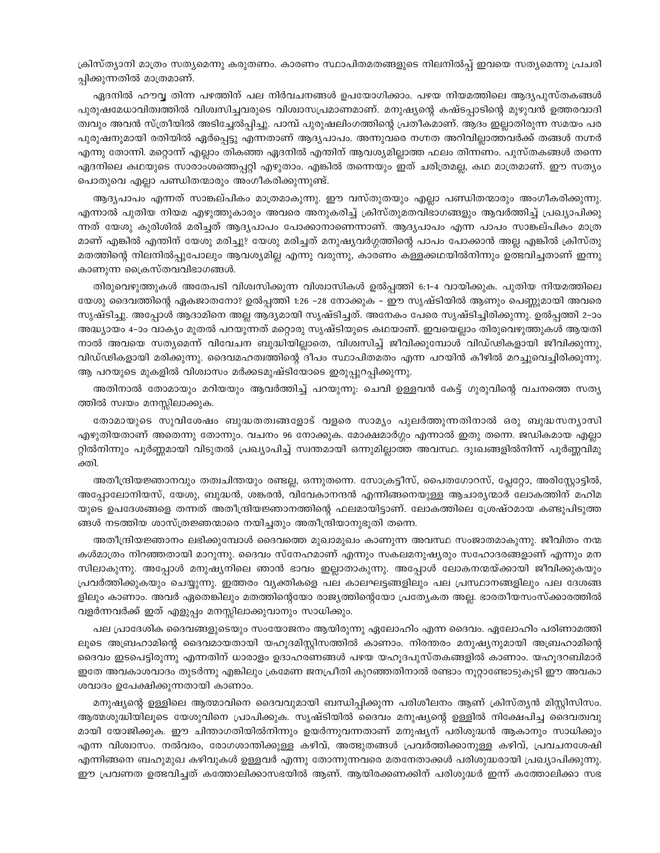ക്രിസ്ത്യാനി മാത്രം സത്യമെന്നു കരുതണം. കാരണം സ്ഥാപിതമതങ്ങളുടെ നിലനിൽപ്പ് ഇവയെ സത്യമെന്നു പ്രചരി പ്പിക്കുന്നതിൽ മാത്രമാണ്.

ഏദനിൽ ഹൗവ്വ തിന്ന പഴത്തിന് പല നിർവചനങ്ങൾ ഉപയോഗിക്കാം. പഴയ നിയമത്തിലെ ആദ്യപുസ്തകങ്ങൾ പുരുഷമേധാവിത്വത്തിൽ വിശ്വസിച്ചവരുടെ വിശ്വാസപ്രമാണമാണ്. മനുഷ്യന്റെ കഷ്ടപ്പാടിന്റെ മുഴുവൻ ഉത്തരവാദി ത്വവും അവൻ സ്ത്രീയിൽ അടിച്ചേൽപ്പിച്ചു. പാമ്പ് പുരുഷലിംഗത്തിന്റെ പ്രതീകമാണ്. ആദം ഇല്ലാതിരുന്ന സമയം പര പുരുഷനുമായി രതിയിൽ ഏർപ്പെട്ടു എന്നതാണ് ആദ്യപാപം. അന്നുവരെ നഗ്നത അറിവില്ലാത്തവർക്ക് തങ്ങൾ നഗ്നർ എന്നു തോന്നി. മറ്റൊന്ന് എല്ലാം തികഞ്ഞ ഏദനിൽ എന്തിന് ആവശ്യമില്ലാത്ത ഫലം തിന്നണം. പുസ്തകങ്ങൾ തന്നെ ഏദനിലെ കഥയുടെ സാരാംശത്തെപ്പറ്റി എഴുതാം. എങ്കിൽ തന്നെയും ഇത് ചരിത്രമല്ല, കഥ മാത്രമാണ്. ഈ സത്യം പൊതുവെ എല്ലാ പണ്ഡിതന്മാരും അംഗീകരിക്കുന്നുണ്ട്.

ആദ്യപാപം എന്നത് സാങ്കല്പികം മാത്രമാകുന്നു. ഈ വസ്തുതയും എല്ലാ പണ്ഡിതന്മാരും അംഗീകരിക്കുന്നു. എന്നാൽ പുതിയ നിയമ എഴുത്തുകാരും അവരെ അനുകരിച്ച് ക്രിസ്തുമതവിഭാഗങ്ങളും ആവർത്തിച്ച് പ്രഖ്യാപിക്കു ന്നത് യേശു കുരിശിൽ മരിച്ചത് ആദ്യപാപം പോക്കാനാണെന്നാണ്. ആദ്യപാപം എന്ന പാപം സാങ്കല്പികം മാത്ര മാണ് എങ്കിൽ എന്തിന് യേശു മരിച്ചു? യേശു മരിച്ചത് മനുഷ്യവർഗ്ഗത്തിന്റെ പാപം പോക്കാൻ അല്ല എങ്കിൽ ക്രിസ്തു മതത്തിന്റെ നിലനിൽപ്പുപോലും ആവശ്യമില്ല എന്നു വരുന്നു, കാരണം കള്ളക്കഥയിൽനിന്നും ഉത്ഭവിച്ചതാണ് ഇന്നു കാണുന്ന ക്രൈസ്തവവിഭാഗങ്ങൾ.

തിരുവെഴുത്തുകൾ അതേപടി വിശ്വസിക്കുന്ന വിശ്വാസികൾ ഉൽപ്പത്തി 6:1-4 വായിക്കുക. പുതിയ നിയമത്തിലെ യേശു ദൈവത്തിന്റെ ഏകജാതനോ? ഉൽപ്പത്തി 1:26 –28 നോക്കുക – ഈ സൃഷ്ടിയിൽ ആണും പെണ്ണുമായി അവരെ സൃഷ്ടിച്ചു. അപ്പോൾ ആദാമിനെ അല്ല ആദ്യമായി സൃഷ്ടിച്ചത്. അനേകം പേരെ സൃഷ്ടിച്ചിരിക്കുന്നു. ഉൽപ്പത്തി 2-ാം അദ്ധ്യായം 4–ാം വാക്യം മുതൽ പറയുന്നത് മറ്റൊരു സൃഷ്ടിയുടെ കഥയാണ്. ഇവയെല്ലാം തിരുവെഴുത്തുകൾ ആയതി നാൽ അവയെ സതൃമെന്ന് വിവേചന ബുദ്ധിയില്ലാതെ, വിശ്വസിച്ച് ജീവിക്കുമ്പോൾ വിഡ്ഢികളായി ജീവിക്കുന്നു, വിഡ്ഢികളായി മരിക്കുന്നു. ദൈവമഹത്വത്തിന്റെ ദീപം സ്ഥാപിതമതം എന്ന പറയിൻ കീഴിൽ മറച്ചുവെച്ചിരിക്കുന്നു. ആ പറയുടെ മുകളിൽ വിശ്വാസം മർക്കടമുഷ്ടിയോടെ ഇരുപ്പുറപ്പിക്കുന്നു.

അതിനാൽ തോമായും മറിയയും ആവർത്തിച്ച് പറയുന്നു: ചെവി ഉള്ളവൻ കേട്ട് ഗുരുവിന്റെ വചനത്തെ സത്യ ത്തിൽ സ്വയം മനസ്സിലാക്കുക.

തോമായുടെ സുവിശേഷം ബുദ്ധതത്വങ്ങളോട് വളരെ സാമ്യം പുലർത്തുന്നതിനാൽ ഒരു ബുദ്ധസന്യാസി എഴുതിയതാണ് അതെന്നു തോന്നും. വചനം 96 നോക്കുക. മോക്ഷമാർഗ്ഗം എന്നാൽ ഇതു തന്നെ. ജഡികമായ എല്ലാ റ്റിൽനിന്നും പൂർണ്ണമായി വിടുതൽ പ്രഖ്യാപിച്ച് സ്വന്തമായി ഒന്നുമില്ലാത്ത അവസ്ഥ. ദുഃഖങ്ങളിൽനിന്ന് പൂർണ്ണവിമു ക്തി.

അതീന്ദ്രിയജ്ഞാനവും തത്വചിന്തയും രണ്ടല്ല, ഒന്നുതന്നെ. സോക്രട്ടീസ്, പൈതഗോറസ്, പ്ലേറ്റോ, അരിസ്റ്റോട്ടിൽ, അപ്പോലോനിയസ്, യേശു, ബുദ്ധൻ, ശങ്കരൻ, വിവേകാനന്ദൻ എന്നിങ്ങനെയുള്ള ആചാര്യന്മാർ ലോകത്തിന് മഹിമ യുടെ ഉപദേശങ്ങളെ തന്നത് അതീന്ദ്രിയജ്ഞാനത്തിന്റെ ഫലമായിട്ടാണ്. ലോകത്തിലെ ശ്രേഷ്ഠമായ കണ്ടുപിടുത്ത ങ്ങൾ നടത്തിയ ശാസ്ത്രജ്ഞന്മാരെ നയിച്ചതും അതീന്ദ്രിയാനുഭൂതി തന്നെ.

അതീന്ദ്രിയജ്ഞാനം ലഭിക്കുമ്പോൾ ദൈവത്തെ മുഖാമുഖം കാണുന്ന അവസ്ഥ സംജാതമാകുന്നു. ജീവിതം നന്മ കൾമാത്രം നിറഞ്ഞതായി മാറുന്നു. ദൈവം സ്നേഹമാണ് എന്നും സകലമനുഷ്യരും സഹോദരങ്ങളാണ് എന്നും മന സിലാകുന്നു. അപ്പോൾ മനുഷ്യനിലെ ഞാൻ ഭാവം ഇല്ലാതാകുന്നു. അപ്പോൾ ലോകനന്മയ്ക്കായി ജീവിക്കുകയും പ്രവർത്തിക്കുകയും ചെയ്യുന്നു. ഇത്തരം വ്യക്തികളെ പല കാലഘട്ടങ്ങളിലും പല പ്രസ്ഥാനങ്ങളിലും പല ദേശങ്ങ ളിലും കാണാം. അവർ ഏതെങ്കിലും മതത്തിന്റെയോ രാജ്യത്തിന്റെയോ പ്രത്യേകത അല്ല. ഭാരതീയസംസ്ക്കാരത്തിൽ വളർന്നവർക്ക് ഇത് എളുപ്പം മനസ്സിലാക്കുവാനും സാധിക്കും.

പല പ്രാദേശിക ദൈവങ്ങളുടെയും സംയോജനം ആയിരുന്നു ഏലോഹിം എന്ന ദൈവം. ഏലോഹിം പരിണാമത്തി ലൂടെ അബ്രഹാമിന്റെ ദൈവമായതായി യഹൂദമിസ്റ്റിസത്തിൽ കാണാം. നിരന്തരം മനുഷ്യനുമായി അബ്രഹാമിന്റെ ദൈവം ഇടപെട്ടിരുന്നു എന്നതിന് ധാരാളം ഉദാഹരണങ്ങൾ പഴയ യഹൂദപുസ്തകങ്ങളിൽ കാണാം. യഹൂദറബിമാർ ഇതേ അവകാശവാദം തുടർന്നു എങ്കിലും ക്രമേണ ജനപ്രീതി കുറഞ്ഞതിനാൽ രണ്ടാം നൂറ്റാണ്ടോടുകൂടി ഈ അവകാ ശവാദം ഉപേക്ഷിക്കുന്നതായി കാണാം.

മനുഷ്യന്റെ ഉള്ളിലെ ആത്മാവിനെ ദൈവവുമായി ബന്ധിപ്പിക്കുന്ന പരിശീലനം ആണ് ക്രിസ്ത്യൻ മിസ്റ്റിസിസം. ആത്മശുദ്ധിയിലൂടെ യേശുവിനെ പ്രാപിക്കുക. സൃഷ്ടിയിൽ ദൈവം മനുഷ്യന്റെ ഉള്ളിൽ നിക്ഷേപിച്ച ദൈവത്വവു മായി യോജിക്കുക. ഈ ചിന്താഗതിയിൽനിന്നും ഉയർന്നുവന്നതാണ് മനുഷ്യന് പരിശുദ്ധൻ ആകാനും സാധിക്കും എന്ന വിശ്വാസം. നൽവരം, രോഗശാന്തിക്കുള്ള കഴിവ്, അത്ഭുതങ്ങൾ പ്രവർത്തിക്കാനുള്ള കഴിവ്, പ്രവചനശേഷി എന്നിങ്ങനെ ബഹുമുഖ കഴിവുകൾ ഉള്ളവർ എന്നു തോന്നുന്നവരെ മതനേതാക്കൾ പരിശുദ്ധരായി പ്രഖ്യാപിക്കുന്നു. ഈ പ്രവണത ഉത്ഭവിച്ചത് കത്തോലിക്കാസഭയിൽ ആണ്. ആയിരക്കണക്കിന് പരിശുദ്ധർ ഇന്ന് കത്തോലിക്കാ സഭ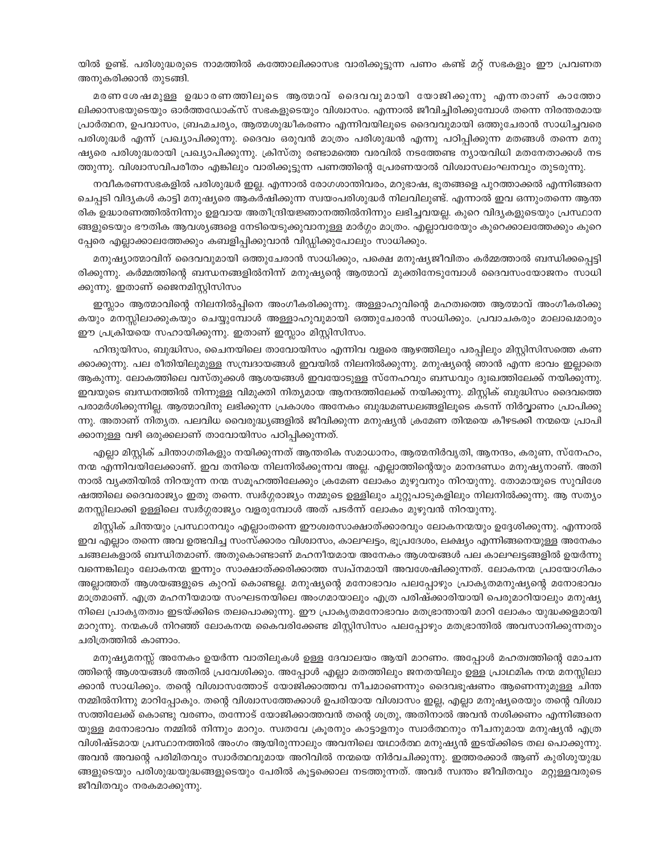യിൽ ഉണ്ട്. പരിശുദ്ധരുടെ നാമത്തിൽ കത്തോലിക്കാസഭ വാരിക്കൂട്ടുന്ന പണം കണ്ട് മറ്റ് സഭകളും ഈ പ്രവണത അനുകരിക്കാൻ തുടങ്ങി.

മരണശേഷമുള്ള ഉദ്ധാരണത്തിലൂടെ ആത്മാവ് ദൈവവുമായി യോജിക്കുന്നു എന്നതാണ് കാത്തോ ലിക്കാസഭയുടെയും ഓർത്തഡോക്സ് സഭകളുടെയും വിശ്വാസം. എന്നാൽ ജീവിച്ചിരിക്കുമ്പോൾ തന്നെ നിരന്തരമായ പ്രാർത്ഥന, ഉപവാസം, ബ്രഹ്മചര്യം, ആത്മശുദ്ധീകരണം എന്നിവയിലൂടെ ദൈവവുമായി ഒത്തുചേരാൻ സാധിച്ചവരെ പരിശുദ്ധർ എന്ന് പ്രഖ്യാപിക്കുന്നു. ദൈവം ഒരുവൻ മാത്രം പരിശുദ്ധൻ എന്നു പഠിപ്പിക്കുന്ന മതങ്ങൾ തന്നെ മനു ഷ്യരെ പരിശുദ്ധരായി പ്രഖ്യാപിക്കുന്നു. ക്രിസ്തു രണ്ടാമത്തെ വരവിൽ നടത്തേണ്ട ന്യായവിധി മതനേതാക്കൾ നട ത്തുന്നു. വിശ്വാസവിപരീതം എങ്കിലും വാരിക്കൂട്ടുന്ന പണത്തിന്റെ പ്രേരണയാൽ വിശ്വാസലംഘനവും തുടരുന്നു.

നവീകരണസഭകളിൽ പരിശുദ്ധർ ഇല്ല. എന്നാൽ രോഗശാന്തിവരം, മറുഭാഷ, ഭൂതങ്ങളെ പുറത്താക്കൽ എന്നിങ്ങനെ ചെപ്പടി വിദൃകൾ കാട്ടി മനുഷ്യരെ ആകർഷിക്കുന്ന സ്വയംപരിശുദ്ധർ നിലവിലുണ്ട്. എന്നാൽ ഇവ ഒന്നുംതന്നെ ആന്ത രിക ഉദ്ധാരണത്തിൽനിന്നും ഉളവായ അതീന്ദ്രിയജ്ഞാനത്തിൽനിന്നും ലഭിച്ചവയല്ല. കുറെ വിദ്യകളുടെയും പ്രസ്ഥാന ങ്ങളുടെയും ഭൗതിക ആവശ്യങ്ങളെ നേടിയെടുക്കുവാനുള്ള മാർഗ്ഗം മാത്രം. എല്ലാവരേയും കുറെക്കാലത്തേക്കും കുറെ പ്പേരെ എല്ലാക്കാലത്തേക്കും കബളിപ്പിക്കുവാൻ വിഡ്ഡിക്കുപോലും സാധിക്കും.

മനുഷ്യാത്മാവിന് ദൈവവുമായി ഒത്തുചേരാൻ സാധിക്കും, പക്ഷെ മനുഷ്യജീവിതം കർമ്മത്താൽ ബന്ധിക്കപ്പെട്ടി രിക്കുന്നു. കർമ്മത്തിന്റെ ബന്ധനങ്ങളിൽനിന്ന് മനുഷ്യന്റെ ആത്മാവ് മുക്തിനേടുമ്പോൾ ദൈവസംയോജനം സാധി ക്കുന്നു. ഇതാണ് ജൈനമിസ്റ്റിസിസം

ഇസ്ലാം ആത്മാവിന്റെ നിലനിൽപ്പിനെ അംഗീകരിക്കുന്നു. അള്ളാഹുവിന്റെ മഹത്വത്തെ ആത്മാവ് അംഗീകരിക്കു കയും മനസ്സിലാക്കുകയും ചെയ്യുമ്പോൾ അള്ളാഹുവുമായി ഒത്തുചേരാൻ സാധിക്കും. പ്രവാചകരും മാലാഖമാരും ഈ പ്രക്രിയയെ സഹായിക്കുന്നു. ഇതാണ് ഇസ്ലാം മിസ്റ്റിസിസം.

ഹിന്ദുയിസം, ബുദ്ധിസം, ചൈനയിലെ താവോയിസം എന്നിവ വളരെ ആഴത്തിലും പരപ്പിലും മിസ്റ്റിസിസത്തെ കണ ക്കാക്കുന്നു. പല രീതിയിലുമുള്ള സമ്പ്രദായങ്ങൾ ഇവയിൽ നിലനിൽക്കുന്നു. മനുഷ്യന്റെ ഞാൻ എന്ന ഭാവം ഇല്ലാതെ ആകുന്നു. ലോകത്തിലെ വസ്തുക്കൾ ആശയങ്ങൾ ഇവയോടുള്ള സ്നേഹവും ബന്ധവും ദുഃഖത്തിലേക്ക് നയിക്കുന്നു. ഇവയുടെ ബന്ധനത്തിൽ നിന്നുള്ള വിമുക്തി നിത്യമായ ആനന്ദത്തിലേക്ക് നയിക്കുന്നു. മിസ്റ്റിക് ബുദ്ധിസം ദൈവത്തെ പരാമർശിക്കുന്നില്ല. ആത്മാവിനു ലഭിക്കുന്ന പ്രകാശം അനേകം ബുദ്ധമണ്ഡലങ്ങളിലൂടെ കടന്ന് നിർവ്വാണം പ്രാപിക്കു ന്നു. അതാണ് നിതൃത. പലവിധ വൈരുദ്ധ്യങ്ങളിൽ ജീവിക്കുന്ന മനുഷ്യൻ ക്രമേണ തിന്മയെ കീഴടക്കി നന്മയെ പ്രാപി ക്കാനുള്ള വഴി ഒരുക്കലാണ് താവോയിസം പഠിപ്പിക്കുന്നത്.

എല്ലാ മിസ്റ്റിക് ചിന്താഗതികളും നയിക്കുന്നത് ആന്തരിക സമാധാനം, ആത്മനിർവൃതി, ആനന്ദം, കരുണ, സ്നേഹം, നന്മ എന്നിവയിലേക്കാണ്. ഇവ തനിയെ നിലനിൽക്കുന്നവ അല്ല. എല്ലാത്തിന്റെയും മാനദണ്ഡം മനുഷ്യനാണ്. അതി നാൽ വ്യക്തിയിൽ നിറയുന്ന നന്മ സമൂഹത്തിലേക്കും ക്രമേണ ലോകം മുഴുവനും നിറയുന്നു. തോമായുടെ സുവിശേ ഷത്തിലെ ദൈവരാജ്യം ഇതു തന്നെ. സ്വർഗ്ഗരാജ്യം നമ്മുടെ ഉള്ളിലും ചുറ്റുപാടുകളിലും നിലനിൽക്കുന്നു. ആ സത്യം മനസ്സിലാക്കി ഉള്ളിലെ സ്വർഗ്ഗരാജ്യം വളരുമ്പോൾ അത് പടർന്ന് ലോകം മുഴുവൻ നിറയുന്നു.

മിസ്റ്റിക് ചിന്തയും പ്രസ്ഥാനവും എല്ലാംതന്നെ ഈശ്വരസാക്ഷാത്ക്കാരവും ലോകനന്മയും ഉദ്ദേശിക്കുന്നു. എന്നാൽ ഇവ എല്ലാം തന്നെ അവ ഉത്ഭവിച്ച സംസ്ക്കാരം വിശ്വാസം, കാലഘട്ടം, ഭൂപ്രദേശം, ലക്ഷ്യം എന്നിങ്ങനെയുള്ള അനേകം ചങ്ങലകളാൽ ബന്ധിതമാണ്. അതുകൊണ്ടാണ് മഹനീയമായ അനേകം ആശയങ്ങൾ പല കാലഘട്ടങ്ങളിൽ ഉയർന്നു വന്നെങ്കിലും ലോകനന്മ ഇന്നും സാക്ഷാത്ക്കരിക്കാത്ത സ്വപ്നമായി അവശേഷിക്കുന്നത്. ലോകനന്മ പ്രായോഗികം അല്ലാത്തത് ആശയങ്ങളുടെ കുറവ് കൊണ്ടല്ല. മനുഷ്യന്റെ മനോഭാവം പലപ്പോഴും പ്രാകൃതമനുഷ്യന്റെ മനോഭാവം മാത്രമാണ്. എത്ര മഹനീയമായ സംഘടനയിലെ അംഗമായാലും എത്ര പരിഷ്ക്കാരിയായി പെരുമാറിയാലും മനുഷ്യ നിലെ പ്രാകൃതത്വം ഇടയ്ക്കിടെ തലപൊക്കുന്നു. ഈ പ്രാകൃതമനോഭാവം മതഭ്രാന്തായി മാറി ലോകം യുദ്ധക്കളമായി മാറുന്നു. നന്മകൾ നിറഞ്ഞ് ലോകനന്മ കൈവരിക്കേണ്ട മിസ്റ്റിസിസം പലപ്പോഴും മതഭ്രാന്തിൽ അവസാനിക്കുന്നതും ചരിത്രത്തിൽ കാണാം.

മനുഷ്യമനസ്സ് അനേകം ഉയർന്ന വാതിലുകൾ ഉള്ള ദേവാലയം ആയി മാറണം. അപ്പോൾ മഹത്വത്തിന്റെ മോചന ത്തിന്റെ ആശയങ്ങൾ അതിൽ പ്രവേശിക്കും. അപ്പോൾ എല്ലാ മതത്തിലും ജനതയിലും ഉള്ള പ്രാഥമിക നന്മ മനസ്സിലാ ക്കാൻ സാധിക്കും. തന്റെ വിശ്വാസത്തോട് യോജിക്കാത്തവ നീചമാണെന്നും ദൈവഭൂഷണം ആണെന്നുമുള്ള ചിന്ത നമ്മിൽനിന്നു മാറിപ്പോകും. തന്റെ വിശ്വാസത്തേക്കാൾ ഉപരിയായ വിശ്വാസം ഇല്ല, എല്ലാ മനുഷ്യരെയും തന്റെ വിശ്വാ സത്തിലേക്ക് കൊണ്ടു വരണം, തന്നോട് യോജിക്കാത്തവൻ തന്റെ ശത്രു, അതിനാൽ അവൻ നശിക്കണം എന്നിങ്ങനെ യുള്ള മനോഭാവം നമ്മിൽ നിന്നും മാറും. സ്വതവേ ക്രൂരനും കാട്ടാളനും സ്വാർത്ഥനും നീചനുമായ മനുഷ്യൻ എത്ര വിശിഷ്ടമായ പ്രസ്ഥാനത്തിൽ അംഗം ആയിരുന്നാലും അവനിലെ യഥാർത്ഥ മനുഷ്യൻ ഇടയ്ക്കിടെ തല പൊക്കുന്നു. അവൻ അവന്റെ പരിമിതവും സ്വാർത്ഥവുമായ അറിവിൽ നന്മയെ നിർവചിക്കുന്നു. ഇത്തരക്കാർ ആണ് കുരിശുയുദ്ധ ങ്ങളുടെയും പരിശുദ്ധയുദ്ധങ്ങളുടെയും പേരിൽ കൂട്ടക്കൊല നടത്തുന്നത്. അവർ സ്വന്തം ജീവിതവും മറ്റുള്ളവരുടെ ജീവിതവും നരകമാക്കുന്നു.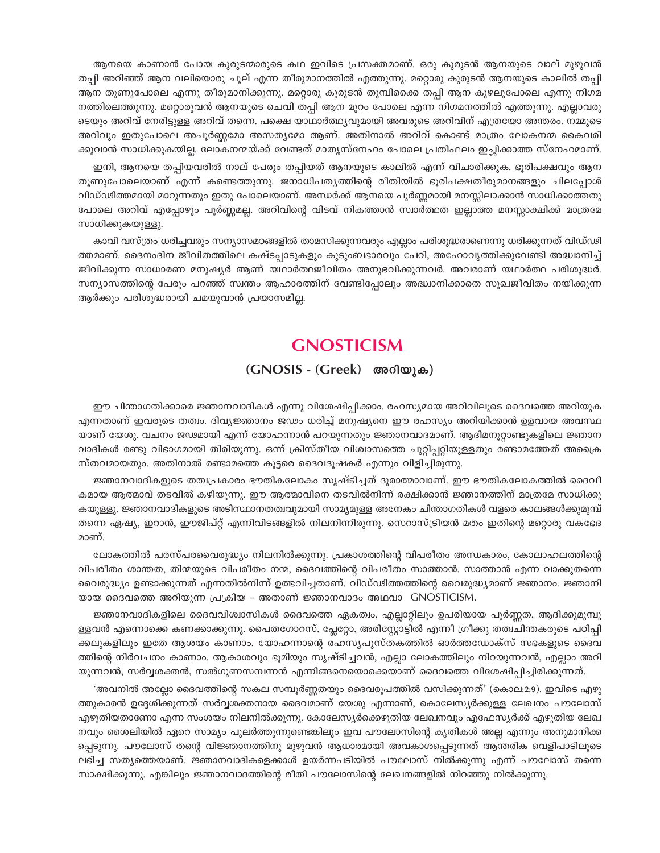ആനയെ കാണാൻ പോയ കുരുടന്മാരുടെ കഥ ഇവിടെ പ്രസക്തമാണ്. ഒരു കുരുടൻ ആനയുടെ വാല് മുഴുവൻ തപ്പി അറിഞ്ഞ് ആന വലിയൊരു ചുല് എന്ന തീരുമാനത്തിൽ എത്തുന്നു. മറ്റൊരു കുരുടൻ ആനയുടെ കാലിൽ തപ്പി ആന തുണുപോലെ എന്നു തീരുമാനിക്കുന്നു. മറ്റൊരു കുരുടൻ തുമ്പിക്കൈ തപ്പി ആന കുഴലുപോലെ എന്നു നിഗമ നത്തിലെത്തുന്നു. മറ്റൊരുവൻ ആനയുടെ ചെവി തപ്പി ആന മുറം പോലെ എന്ന നിഗമനത്തിൽ എത്തുന്നു. എല്ലാവരു ടെയും അറിവ് നേരിട്ടുള്ള അറിവ് തന്നെ. പക്ഷെ യാഥാർത്ഥ്യവുമായി അവരുടെ അറിവിന് എത്രയോ അന്തരം. നമ്മുടെ അറിവും ഇതുപോലെ അപൂർണ്ണമോ അസത്യമോ ആണ്. അതിനാൽ അറിവ് കൊണ്ട് മാത്രം ലോകനന്മ കൈവരി ക്കുവാൻ സാധിക്കുകയില്ല. ലോകനന്മയ്ക്ക് വേണ്ടത് മാതൃസ്നേഹം പോലെ പ്രതിഫലം ഇച്ഛിക്കാത്ത സ്നേഹമാണ്.

ഇനി, ആനയെ തപ്പിയവരിൽ നാല് പേരും തപ്പിയത് ആനയുടെ കാലിൽ എന്ന് വിചാരിക്കുക. ഭൂരിപക്ഷവും ആന തുണുപോലെയാണ് എന്ന് കണ്ടെത്തുന്നു. ജനാധിപത്യത്തിന്റെ രീതിയിൽ ഭുരിപക്ഷതീരുമാനങ്ങളും ചിലപ്പോൾ വിഡ്ഢിത്തമായി മാറുന്നതും ഇതു പോലെയാണ്. അന്ധർക്ക് ആനയെ പൂർണ്ണമായി മനസ്സിലാക്കാൻ സാധിക്കാത്തതു പോലെ അറിവ് എപ്പോഴും പൂർണ്ണമല്ല. അറിവിന്റെ വിടവ് നികത്താൻ സ്വാർത്ഥത ഇല്ലാത്ത മനസ്സാക്ഷിക്ക് മാത്രമേ സാധിക്കുകയുള്ളു.

കാവി വസ്ത്രം ധരിച്ചവരും സന്യാസമഠങ്ങളിൽ താമസിക്കുന്നവരും എല്ലാം പരിശുദ്ധരാണെന്നു ധരിക്കുന്നത് വിഡ്ഢി ത്തമാണ്. ദൈനംദിന ജീവിതത്തിലെ കഷ്ടപ്പാടുകളും കുടുംബഭാരവും പേറി, അഹോവൃത്തിക്കുവേണ്ടി അദ്ധ്വാനിച്ച് ജീവിക്കുന്ന സാധാരണ മനുഷ്യർ ആണ് യഥാർത്ഥജീവിതം അനുഭവിക്കുന്നവർ. അവരാണ് യഥാർത്ഥ പരിശുദ്ധർ. സന്യാസത്തിന്റെ പേരും പറഞ്ഞ് സ്വന്തം ആഹാരത്തിന് വേണ്ടിപ്പോലും അദ്ധ്വാനിക്കാതെ സുഖജീവിതം നയിക്കുന്ന ആർക്കും പരിശുദ്ധരായി ചമയുവാൻ പ്രയാസമില്ല.

# **GNOSTICISM**

#### (GNOSIS - (Greek) അറിയുക)

ഈ ചിന്താഗതിക്കാരെ ജ്ഞാനവാദികൾ എന്നു വിശേഷിപ്പിക്കാം. രഹസ്യമായ അറിവിലൂടെ ദൈവത്തെ അറിയുക എന്നതാണ് ഇവരുടെ തത്വം. ദിവ്യജ്ഞാനം ജഢം ധരിച്ച് മനുഷ്യനെ ഈ രഹസ്യം അറിയിക്കാൻ ഉളവായ അവസ്ഥ യാണ് യേശു. വചനം ജഢമായി എന്ന് യോഹന്നാൻ പറയുന്നതും ജ്ഞാനവാദമാണ്. ആദിമനുറ്റാണ്ടുകളിലെ ജ്ഞാന വാദികൾ രണ്ടു വിഭാഗമായി തിരിയുന്നു. ഒന്ന് ക്രിസ്തീയ വിശ്വാസത്തെ ചുറ്റിപ്പറ്റിയുള്ളതും രണ്ടാമത്തേത് അക്രൈ സ്തവമായതും. അതിനാൽ രണ്ടാമത്തെ കൂട്ടരെ ദൈവദൂഷകർ എന്നും വിളിച്ചിരുന്നു.

ജ്ഞാനവാദികളുടെ തത്വപ്രകാരം ഭൗതികലോകം സൃഷ്ടിച്ചത് ദുരാത്മാവാണ്. ഈ ഭൗതികലോകത്തിൽ ദൈവീ കമായ ആത്മാവ് തടവിൽ കഴിയുന്നു. ഈ ആത്മാവിനെ തടവിൽനിന്ന് രക്ഷിക്കാൻ ജ്ഞാനത്തിന് മാത്രമേ സാധിക്കു കയുള്ളു. ജ്ഞാനവാദികളുടെ അടിസ്ഥാനതത്വവുമായി സാമൃമുള്ള അനേകം ചിന്താഗതികൾ വളരെ കാലങ്ങൾക്കുമുമ്പ് തന്നെ ഏഷ്യ, ഇറാൻ, ഈജിപ്റ്റ് എന്നിവിടങ്ങളിൽ നിലനിന്നിരുന്നു. സെറാസ്ട്രിയൻ മതം ഇതിന്റെ മറ്റൊരു വകഭേദ മറണ്

ലോകത്തിൽ പരസ്പരവൈരുദ്ധ്യം നിലനിൽക്കുന്നു. പ്രകാശത്തിന്റെ വിപരീതം അന്ധകാരം, കോലാഹലത്തിന്റെ വിപരീതം ശാന്തത, തിന്മയുടെ വിപരീതം നന്മ, ദൈവത്തിന്റെ വിപരീതം സാത്താൻ. സാത്താൻ എന്ന വാക്കുതന്നെ വൈരുദ്ധ്യം ഉണ്ടാക്കുന്നത് എന്നതിൽനിന്ന് ഉത്ഭവിച്ചതാണ്. വിഡ്ഢിത്തത്തിന്റെ വൈരുദ്ധ്യമാണ് ജ്ഞാനം. ജ്ഞാനി യായ ദൈവത്തെ അറിയുന്ന പ്രക്രിയ - അതാണ് ജ്ഞാനവാദം അഥവാ GNOSTICISM.

ജ്ഞാനവാദികളിലെ ദൈവവിശ്വാസികൾ ദൈവത്തെ ഏകത്വം, എല്ലാറ്റിലും ഉപരിയായ പൂർണ്ണത, ആദിക്കുമുമ്പു ള്ളവൻ എന്നൊക്കെ കണക്കാക്കുന്നു. പൈതഗോറസ്, പ്ലേറ്റോ, അരിസ്റ്റോട്ടിൽ എന്നീ ഗ്രീക്കു തത്വചിന്തകരുടെ പഠിപ്പി ക്കലുകളിലും ഇതേ ആശയം കാണാം. യോഹന്നാന്റെ രഹസ്യപുസ്തകത്തിൽ ഓർത്തഡോക്സ് സഭകളുടെ ദൈവ ത്തിന്റെ നിർവചനം കാണാം. ആകാശവും ഭൂമിയും സൃഷ്ടിച്ചവൻ, എല്ലാ ലോകത്തിലും നിറയുന്നവൻ, എല്ലാം അറി യുന്നവൻ, സർവ്വശക്തൻ, സൽഗുണസമ്പന്നൻ എന്നിങ്ങനെയൊക്കെയാണ് ദൈവത്തെ വിശേഷിപ്പിച്ചിരിക്കുന്നത്.

'അവനിൽ അല്ലോ ദൈവത്തിന്റെ സകല സമ്പൂർണ്ണതയും ദൈവരൂപത്തിൽ വസിക്കുന്നത്' (കൊല:2:9). ഇവിടെ എഴു ത്തുകാരൻ ഉദ്ദേശിക്കുന്നത് സർവ്വശക്തനായ ദൈവമാണ് യേശു എന്നാണ്, കൊലേസ്യർക്കുള്ള ലേഖനം പൗലോസ് എഴുതിയതാണോ എന്ന സംശയം നിലനിൽക്കുന്നു. കോലേസ്യർക്കെഴുതിയ ലേഖനവും എഫേസ്യർക്ക് എഴുതിയ ലേഖ നവും ശൈലിയിൽ ഏറെ സാമ്യം പുലർത്തുന്നുണ്ടെങ്കിലും ഇവ പൗലോസിന്റെ കൃതികൾ അല്ല എന്നും അനുമാനിക്ക പ്പെടുന്നു. പൗലോസ് തന്റെ വിജ്ഞാനത്തിനു മുഴുവൻ ആധാരമായി അവകാശപ്പെടുന്നത് ആന്തരിക വെളിപാടിലൂടെ ലഭിച്ച സത്യത്തെയാണ്. ജ്ഞാനവാദികളെക്കാൾ ഉയർന്നപടിയിൽ പൗലോസ് നിൽക്കുന്നു എന്ന് പൗലോസ് തന്നെ സാക്ഷിക്കുന്നു. എങ്കിലും ജ്ഞാനവാദത്തിന്റെ രീതി പൗലോസിന്റെ ലേഖനങ്ങളിൽ നിറഞ്ഞു നിൽക്കുന്നു.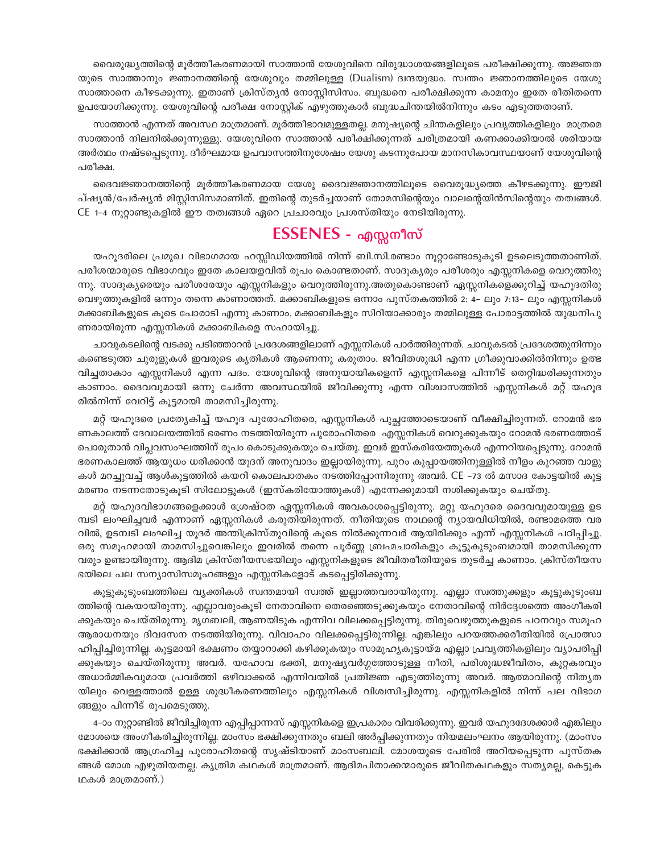വൈരുദ്ധ്യത്തിന്റെ മൂർത്തീകരണമായി സാത്താൻ യേശുവിനെ വിരുദ്ധാശയങ്ങളിലൂടെ പരീക്ഷിക്കുന്നു. അജ്ഞത യുടെ സാത്താനും ജ്ഞാനത്തിന്റെ യേശുവും തമ്മിലുള്ള (Dualism) ദ്വന്ദയുദ്ധം. സ്വന്തം ജ്ഞാനത്തിലുടെ യേശു സാത്താനെ കീഴടക്കുന്നു. ഇതാണ് ക്രിസ്തൃൻ നോസ്റ്റിസിസം. ബുദ്ധനെ പരീക്ഷിക്കുന്ന കാമനും ഇതേ രീതിതന്നെ ഉപയോഗിക്കുന്നു. യേശുവിന്റെ പരീക്ഷ നോസ്റ്റിക് എഴുത്തുകാർ ബുദ്ധചിന്തയിൽനിന്നും കടം എടുത്തതാണ്.

സാത്താൻ എന്നത് അവസ്ഥ മാത്രമാണ്. മൂർത്തീഭാവമുള്ളതല്ല. മനുഷ്യന്റെ ചിന്തകളിലും പ്രവൃത്തികളിലും മാത്രമെ സാത്താൻ നിലനിൽക്കുന്നുള്ളു. യേശുവിനെ സാത്താൻ പരീക്ഷിക്കുന്നത് ചരിത്രമായി കണക്കാക്കിയാൽ ശരിയായ അർത്ഥം നഷ്ടപ്പെടുന്നു. ദീർഘമായ ഉപവാസത്തിനുശേഷം യേശു കടന്നുപോയ മാനസികാവസ്ഥയാണ് യേശുവിന്റെ പരീക്ഷ.

ദൈവജ്ഞാനത്തിന്റെ മൂർത്തീകരണമായ യേശു ദൈവജ്ഞാനത്തിലൂടെ വൈരുദ്ധ്യത്തെ കീഴടക്കുന്നു. ഈജി പ്ഷ്യൻ/പേർഷ്യൻ മിസ്റ്റിസിസമാണിത്. ഇതിന്റെ തുടർച്ചയാണ് തോമസിന്റെയും വാലന്റെയിൻസിന്റെയും തത്വങ്ങൾ. CE 1-4 നുറ്റാണ്ടുകളിൽ ഈ തത്വങ്ങൾ ഏറെ പ്രചാരവും പ്രശസ്തിയും നേടിയിരുന്നു.

# ESSENES - എസ്സനീസ്

യഹൂദരിലെ പ്രമുഖ വിഭാഗമായ ഹസ്സിഡിയത്തിൽ നിന്ന് ബി.സി.രണ്ടാം നൂറ്റാണ്ടോടുകൂടി ഉടലെടുത്തതാണിത്. പരീശന്മാരുടെ വിഭാഗവും ഇതേ കാലയളവിൽ രൂപം കൊണ്ടതാണ്. സാദൂകൃരും പരീശരും എസ്സനികളെ വെറുത്തിരു ന്നു. സാദൂക്യരെയും പരീശരേയും എസ്സനികളും വെറുത്തിരുന്നു.അതുകൊണ്ടാണ് ഏസ്സനികളെക്കുറിച്ച് യഹൂദതിരു വെഴുത്തുകളിൽ ഒന്നും തന്നെ കാണാത്തത്. മക്കാബികളുടെ ഒന്നാം പുസ്തകത്തിൽ 2: 4– ലും 7:13– ലും എസ്സനികൾ മക്കാബികളുടെ കൂടെ പോരാടി എന്നു കാണാം. മക്കാബികളും സിറിയാക്കാരും തമ്മിലുള്ള പോരാട്ടത്തിൽ യുദ്ധനിപു ണരായിരുന്ന എസ്സനികൾ മക്കാബികളെ സഹായിച്ചു.

ചാവുകടലിന്റെ വടക്കു പടിഞ്ഞാറൻ പ്രദേശങ്ങളിലാണ് എസ്സനികൾ പാർത്തിരുന്നത്. ചാവുകടൽ പ്രദേശത്തുനിന്നും കണ്ടെടുത്ത ചുരുളുകൾ ഇവരുടെ കൃതികൾ ആണെന്നു കരുതാം. ജീവിതശുദ്ധി എന്ന ഗ്രീക്കുവാക്കിൽനിന്നും ഉത്ഭ വിച്ചതാകാം എസ്സനികൾ എന്ന പദം. യേശുവിന്റെ അനുയായികളെന്ന് എസ്സനികളെ പിന്നീട് തെറ്റിദ്ധരിക്കുന്നതും കാണാം. ദൈവവുമായി ഒന്നു ചേർന്ന അവസ്ഥയിൽ ജീവിക്കുന്നു എന്ന വിശ്വാസത്തിൽ എസ്സനികൾ മറ്റ് യഹൂദ രിൽനിന്ന് വേറിട്ട് കൂട്ടമായി താമസിച്ചിരുന്നു.

മറ്റ് യഹൂദരെ പ്രത്യേകിച്ച് യഹൂദ പുരോഹിതരെ, എസ്സനികൾ പുച്ഛത്തോടെയാണ് വീക്ഷിച്ചിരുന്നത്. റോമൻ ഭര ണകാലത്ത് ദേവാലയത്തിൽ ഭരണം നടത്തിയിരുന്ന പുരോഹിതരെ എസ്സനികൾ വെറുക്കുകയും റോമൻ ഭരണത്തോട് പൊരുതാൻ വിപ്ലവസംഘത്തിന് രൂപം കൊടുക്കുകയും ചെയ്തു. ഇവർ ഇസ്കരിയേത്തുകൾ എന്നറിയപ്പെടുന്നു. റോമൻ ഭരണകാലത്ത് ആയുധം ധരിക്കാൻ യൂദന് അനുവാദം ഇല്ലായിരുന്നു. പുറം കുപ്പായത്തിനുള്ളിൽ നീളം കുറഞ്ഞ വാളു കൾ മറച്ചുവച്ച് ആൾകൂട്ടത്തിൽ കയറി കൊലപാതകം നടത്തിപ്പോന്നിരുന്നു അവർ. CE –73 ൽ മസാദ കോട്ടയിൽ കൂട്ട മരണം നടന്നതോടുകൂടി സിലോട്ടുകൾ (ഇസ്കരിയോത്തുകൾ) എന്നേക്കുമായി നശിക്കുകയും ചെയ്തു.

മറ്റ് യഹുദവിഭാഗങ്ങളെക്കാൾ ശ്രേഷ്ഠത ഏസ്സനികൾ അവകാശപ്പെട്ടിരുന്നു. മറ്റു യഹൂദരെ ദൈവവുമായുള്ള ഉട മ്പടി ലംഘിച്ചവർ എന്നാണ് ഏസ്സനികൾ കരുതിയിരുന്നത്. നീതിയുടെ നാഥന്റെ ന്യായവിധിയിൽ, രണ്ടാമത്തെ വര വിൽ, ഉടമ്പടി ലംഘിച്ച യൂദർ അന്തിക്രിസ്തുവിന്റെ കൂടെ നിൽക്കുന്നവർ ആയിരിക്കും എന്ന് എസ്സനികൾ പഠിപ്പിച്ചു. ഒരു സമൂഹമായി താമസിച്ചുവെങ്കിലും ഇവരിൽ തന്നെ പൂർണ്ണ ബ്രഹ്മചാരികളും കൂട്ടുകുടുംബമായി താമസിക്കുന്ന വരും ഉണ്ടായിരുന്നു. ആദിമ ക്രിസ്തീയസഭയിലും എസ്സനികളുടെ ജീവിതരീതിയുടെ തുടർച്ച കാണാം. ക്രിസ്തീയസ ഭയിലെ പല സന്യാസിസമൂഹങ്ങളും എസ്സനികളോട് കടപ്പെട്ടിരിക്കുന്നു.

കൂട്ടുകുടുംബത്തിലെ വ്യക്തികൾ സ്വന്തമായി സ്വത്ത് ഇല്ലാത്തവരായിരുന്നു. എല്ലാ സ്വത്തുക്കളും കൂട്ടുകുടുംബ ത്തിന്റെ വകയായിരുന്നു. എല്ലാവരുംകൂടി നേതാവിനെ തെരഞ്ഞെടുക്കുകയും നേതാവിന്റെ നിർദ്ദേശത്തെ അംഗീകരി ക്കുകയും ചെയ്തിരുന്നു. മൃഗബലി, ആണയിടുക എന്നിവ വിലക്കപ്പെട്ടിരുന്നു. തിരുവെഴുത്തുകളുടെ പഠനവും സമൂഹ ആരാധനയും ദിവസേന നടത്തിയിരുന്നു. വിവാഹം വിലക്കപ്പെട്ടിരുന്നില്ല. എങ്കിലും പറയത്തക്കരീതിയിൽ പ്രോത്സാ ഹിപ്പിച്ചിരുന്നില്ല. കൂട്ടമായി ഭക്ഷണം തയ്യാറാക്കി കഴിക്കുകയും സാമൂഹ്യകൂട്ടായ്മ എല്ലാ പ്രവൃത്തികളിലും വ്യാപരിപ്പി ക്കുകയും ചെയ്തിരുന്നു അവർ. യഹോവ ഭക്തി, മനുഷ്യവർഗ്ഗത്തോടുള്ള നീതി, പരിശുദ്ധജീവിതം, കുറ്റകരവും അധാർമ്മികവുമായ പ്രവർത്തി ഒഴിവാക്കൽ എന്നിവയിൽ പ്രതിജ്ഞ എടുത്തിരുന്നു അവർ. ആത്മാവിന്റെ നിതൃത യിലും വെള്ളത്താൽ ഉള്ള ശുദ്ധീകരണത്തിലും എസ്സനികൾ വിശ്വസിച്ചിരുന്നു. എസ്സനികളിൽ നിന്ന് പല വിഭാഗ ങ്ങളും പിന്നീട് രൂപമെടുത്തു.

4–ാം നൂറ്റാണ്ടിൽ ജീവിച്ചിരുന്ന എപ്പിപ്പാന്നസ് എസ്സനികളെ ഇപ്രകാരം വിവരിക്കുന്നു. ഇവർ യഹൂദദേശക്കാർ എങ്കിലും മോശയെ അംഗീകരിച്ചിരുന്നില്ല. മാംസം ഭക്ഷിക്കുന്നതും ബലി അർപ്പിക്കുന്നതും നിയമലംഘനം ആയിരുന്നു. (മാംസം ഭക്ഷിക്കാൻ ആഗ്രഹിച്ച പുരോഹിതന്റെ സൃഷ്ടിയാണ് മാംസബലി. മോശയുടെ പേരിൽ അറിയപ്പെടുന്ന പുസ്തക ങ്ങൾ മോശ എഴുതിയതല്ല. കൃത്രിമ കഥകൾ മാത്രമാണ്. ആദിമപിതാക്കന്മാരുടെ ജീവിതകഥകളും സത്യമല്ല, കെട്ടുക ഥകൾ മാത്രമാണ്.)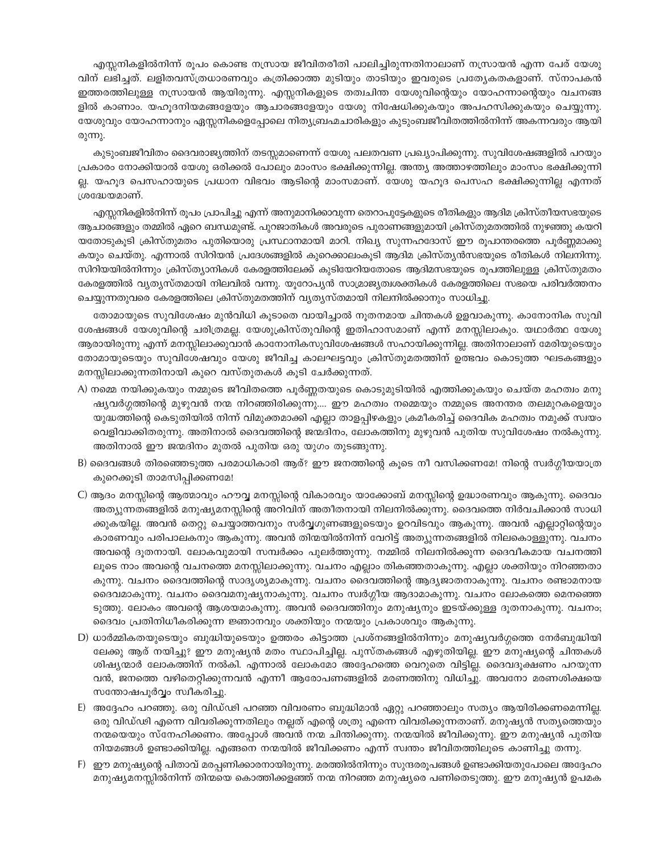എസ്സനികളിൽനിന്ന് രൂപം കൊണ്ട നസ്രായ ജീവിതരീതി പാലിച്ചിരുന്നതിനാലാണ് നസ്രായൻ എന്ന പേര് യേശു വിന് ലഭിച്ചത്. ലളിതവസ്ത്രധാരണവും കത്രിക്കാത്ത മുടിയും താടിയും ഇവരുടെ പ്രത്യേകതകളാണ്. സ്നാപകൻ ഇത്തരത്തിലുള്ള നസ്രായൻ ആയിരുന്നു. എസ്സനികളുടെ തത്വചിന്ത യേശുവിന്റെയും യോഹന്നാന്റെയും വചനങ്ങ ളിൽ കാണാം. യഹൂദനിയമങ്ങളേയും ആചാരങ്ങളേയും യേശു നിഷേധിക്കുകയും അപഹസിക്കുകയും ചെയ്യുന്നു. യേശുവും യോഹന്നാനും ഏസ്സനികളെപ്പോലെ നിത്യബ്രഹ്മചാരികളും കുടുംബജീവിതത്തിൽനിന്ന് അകന്നവരും ആയി രുന്നു.

കുടുംബജീവിതം ദൈവരാജ്യത്തിന് തടസ്സമാണെന്ന് യേശു പലതവണ പ്രഖ്യാപിക്കുന്നു. സുവിശേഷങ്ങളിൽ പറയും പ്രകാരം നോക്കിയാൽ യേശു ഒരിക്കൽ പോലും മാംസം ഭക്ഷിക്കുന്നില്ല. അന്ത്യ അത്താഴത്തിലും മാംസം ഭക്ഷിക്കുന്നി ല്ല. യഹുദ പെസഹായുടെ പ്രധാന വിഭവം ആടിന്റെ മാംസമാണ്. യേശു യഹുദ പെസഹ ഭക്ഷിക്കുന്നില്ല എന്നത് ശ്രദ്ധേയമാണ്.

എസ്സനികളിൽനിന്ന് രൂപം പ്രാപിച്ചു എന്ന് അനുമാനിക്കാവുന്ന തെറാപുട്ടേകളുടെ രീതികളും ആദിമ ക്രിസ്തീയസഭയുടെ ആചാരങ്ങളും തമ്മിൽ ഏറെ ബന്ധമുണ്ട്. പുറജാതികൾ അവരുടെ പുരാണങ്ങളുമായി ക്രിസ്തുമതത്തിൽ നുഴഞ്ഞു കയറി യതോടുകൂടി ക്രിസ്തുമതം പുതിയൊരു പ്രസ്ഥാനമായി മാറി. നിഖ്യ സുന്നഹദോസ് ഈ രൂപാന്തരത്തെ പൂർണ്ണമാക്കു കയും ചെയ്തു. എന്നാൽ സിറിയൻ പ്രദേശങ്ങളിൽ കുറെക്കാലംകൂടി ആദിമ ക്രിസ്ത്യൻസഭയുടെ രീതികൾ നിലനിന്നു. സിറിയയിൽനിന്നും ക്രിസ്ത്യാനികൾ കേരളത്തിലേക്ക് കൂടിയേറിയതോടെ ആദിമസഭയുടെ രൂപത്തിലുള്ള ക്രിസ്തുമതം കേരളത്തിൽ വൃത്യസ്തമായി നിലവിൽ വന്നു. യൂറോപ്യൻ സാമ്രാജ്യത്വശക്തികൾ കേരളത്തിലെ സഭയെ പരിവർത്തനം 'ചെയ്യുന്നതുവരെ കേരളത്തിലെ ക്രിസ്തുമതത്തിന് വ്യത്യസ്തമായി നിലനിൽക്കാനും സാധിച്ചു.

തോമായുടെ സുവിശേഷം മുൻവിധി കുടാതെ വായിച്ചാൽ നുതനമായ ചിന്തകൾ ഉളവാകുന്നു. കാനോനിക സുവി ശേഷങ്ങൾ യേശുവിന്റെ ചരിത്രമല്ല. യേശുക്രിസ്തുവിന്റെ ഇതിഹാസമാണ് എന്ന് മനസ്സിലാകും. യഥാർത്ഥ യേശു ആരായിരുന്നു എന്ന് മനസ്സിലാക്കുവാൻ കാനോനികസുവിശേഷങ്ങൾ സഹായിക്കുന്നില്ല. അതിനാലാണ് മേരിയുടെയും തോമായുടെയും സുവിശേഷവും യേശു ജീവിച്ച കാലഘട്ടവും ക്രിസ്തുമതത്തിന് ഉത്ഭവം കൊടുത്ത ഘടകങ്ങളും മനസ്സിലാക്കുന്നതിനായി കുറെ വസ്തുതകൾ കൂടി ചേർക്കുന്നത്.

- A) നമ്മെ നയിക്കുകയും നമ്മുടെ ജീവിതത്തെ പൂർണ്ണതയുടെ കൊടുമുടിയിൽ എത്തിക്കുകയും ചെയ്ത മഹത്വം മനു ഷ്യവർഗ്ഗത്തിന്റെ മുഴുവൻ നന്മ നിറഞ്ഞിരിക്കുന്നു…. ഈ മഹത്വം നമ്മെയും നമ്മുടെ അനന്തര തലമുറകളെയും യുദ്ധത്തിന്റെ കെടുതിയിൽ നിന്ന് വിമുക്തമാക്കി എല്ലാ താളപ്പിഴകളും ക്രമീകരിച്ച് ദൈവിക മഹത്വം നമുക്ക് സ്വയം വെളിവാക്കിതരുന്നു. അതിനാൽ ദൈവത്തിന്റെ ജന്മദിനം, ലോകത്തിനു മുഴുവൻ പുതിയ സുവിശേഷം നൽകുന്നു. അതിനാൽ ഈ ജന്മദിനം മുതൽ പുതിയ ഒരു യുഗം തുടങ്ങുന്നു.
- B) ദൈവങ്ങൾ തിരഞ്ഞെടുത്ത പരമാധികാരി ആര്? ഈ ജനത്തിന്റെ കൂടെ നീ വസിക്കണമേ! നിന്റെ സ്വർഗ്ഗീയയാത്ര കുറെക്കൂടി താമസിപ്പിക്കണമേ!
- C) ആദം മനസ്സിന്റെ ആത്മാവും ഹൗവ്വ മനസ്സിന്റെ വികാരവും യാക്കോബ് മനസ്സിന്റെ ഉദ്ധാരണവും ആകുന്നു. ദൈവം അത്യുന്നതങ്ങളിൽ മനുഷ്യമനസ്സിന്റെ അറിവിന് അതീതനായി നിലനിൽക്കുന്നു. ദൈവത്തെ നിർവചിക്കാൻ സാധി ക്കുകയില്ല. അവൻ തെറ്റു ചെയ്യാത്തവനും സർവ്വഗുണങ്ങളുടെയും ഉറവിടവും ആകുന്നു. അവൻ എല്ലാറ്റിന്റെയും കാരണവും പരിപാലകനും ആകുന്നു. അവൻ തിന്മയിൽനിന്ന് വേറിട്ട് അത്യുന്നതങ്ങളിൽ നിലകൊള്ളുന്നു. വചനം അവന്റെ ദുതനായി. ലോകവുമായി സമ്പർക്കം പുലർത്തുന്നു. നമ്മിൽ നിലനിൽക്കുന്ന ദൈവീകമായ വചനത്തി ലൂടെ നാം അവന്റെ വചനത്തെ മനസ്സിലാക്കുന്നു. വചനം എല്ലാം തികഞ്ഞതാകുന്നു. എല്ലാ ശക്തിയും നിറഞ്ഞതാ കുന്നു. വചനം ദൈവത്തിന്റെ സാദൃശ്യമാകുന്നു. വചനം ദൈവത്തിന്റെ ആദ്യജാതനാകുന്നു. വചനം രണ്ടാമനായ ദൈവമാകുന്നു. വചനം ദൈവമനുഷ്യനാകുന്നു. വചനം സ്വർഗ്ഗീയ ആദാമാകുന്നു. വചനം ലോകത്തെ മെനഞ്ഞെ ടുത്തു. ലോകം അവന്റെ ആശയമാകുന്നു. അവൻ ദൈവത്തിനും മനുഷ്യനും ഇടയ്ക്കുള്ള ദൂതനാകുന്നു. വചനം; ദൈവം പ്രതിനിധീകരിക്കുന്ന ജ്ഞാനവും ശക്തിയും നന്മയും പ്രകാശവും ആകുന്നു.
- D) ധാർമ്മികതയുടെയും ബുദ്ധിയുടെയും ഉത്തരം കിട്ടാത്ത പ്രശ്നങ്ങളിൽനിന്നും മനുഷ്യവർഗ്ഗത്തെ നേർബുദ്ധിയി ലേക്കു ആര് നയിച്ചു? ഈ മനുഷ്യൻ മതം സ്ഥാപിച്ചില്ല. പുസ്തകങ്ങൾ എഴുതിയില്ല. ഈ മനുഷ്യന്റെ ചിന്തകൾ ശിഷ്യന്മാർ ലോകത്തിന് നൽകി. എന്നാൽ ലോകമോ അദ്ദേഹത്തെ വെറുതെ വിട്ടില്ല. ദൈവദൂക്ഷണം പറയുന്ന വൻ, ജനത്തെ വഴിതെറ്റിക്കുന്നവൻ എന്നീ ആരോപണങ്ങളിൽ മരണത്തിനു വിധിച്ചു. അവനോ മരണശിക്ഷയെ സതോഷപൂർവ്വം സ്വീകരിച്ചു
- E) അദ്ദേഹം പറഞ്ഞു. ഒരു വിഡ്ഢി പറഞ്ഞ വിവരണം ബുദ്ധിമാൻ ഏറ്റു പറഞ്ഞാലും സത്യം ആയിരിക്കണമെന്നില്ല. ഒരു വിഡ്ഢി എന്നെ വിവരിക്കുന്നതിലും നല്ലത് എന്റെ ശത്രു എന്നെ വിവരിക്കുന്നതാണ്. മനുഷ്യൻ സത്യത്തെയും നന്മയെയും സ്നേഹിക്കണം. അപ്പോൾ അവൻ നന്മ ചിന്തിക്കുന്നു. നന്മയിൽ ജീവിക്കുന്നു. ഈ മനുഷ്യൻ പുതിയ . നിയമങ്ങൾ ഉണ്ടാക്കിയില്ല. എങ്ങനെ നന്മയിൽ ജീവിക്കണം എന്ന് സ്വന്തം ജീവിതത്തിലൂടെ കാണിച്ചു തന്നു.
- F) ഈ മനുഷ്യന്റെ പിതാവ് മരപ്പണിക്കാരനായിരുന്നു. മരത്തിൽനിന്നും സുന്ദരരൂപങ്ങൾ ഉണ്ടാക്കിയതുപോലെ അദ്ദേഹം മനുഷ്യമനസ്സിൽനിന്ന് തിന്മയെ കൊത്തിക്കളഞ്ഞ് നന്മ നിറഞ്ഞ മനുഷ്യരെ പണിതെടുത്തു. ഈ മനുഷ്യൻ ഉപമക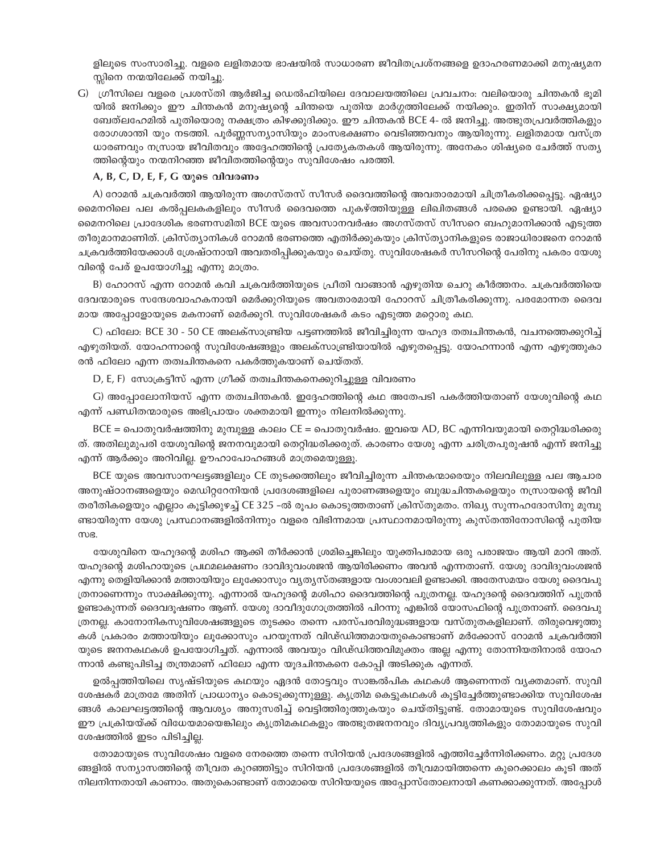ളിലൂടെ സംസാരിച്ചു. വളരെ ലളിതമായ ഭാഷയിൽ സാധാരണ ജീവിതപ്രശ്നങ്ങളെ ഉദാഹരണമാക്കി മനുഷ്യമന സ്സിനെ നന്മയിലേക്ക് നയിച്ചു.

G) ഗ്രീസിലെ വളരെ പ്രശസ്തി ആർജിച്ച ഡെൽഫിയിലെ ദേവാലയത്തിലെ പ്രവചനം: വലിയൊരു ചിന്തകൻ ഭൂമി യിൽ ജനിക്കും ഈ ചിന്തകൻ മനുഷ്യന്റെ ചിന്തയെ പുതിയ മാർഗ്ഗത്തിലേക്ക് നയിക്കും. ഇതിന് സാക്ഷ്യമായി ബേത്ലഹേമിൽ പുതിയൊരു നക്ഷത്രം കിഴക്കുദിക്കും. ഈ ചിന്തകൻ BCE 4- ൽ ജനിച്ചു. അത്ഭുതപ്രവർത്തികളും രോഗശാന്തി യും നടത്തി. പുർണ്ണസന്യാസിയും മാംസഭക്ഷണം വെടിഞ്ഞവനും ആയിരുന്നു. ലളിതമായ വസ്ത്ര ധാരണവും നസ്രായ ജീവിതവും അദ്ദേഹത്തിന്റെ പ്രത്യേകതകൾ ആയിരുന്നു. അനേകം ശിഷ്യരെ ചേർത്ത് സത്യ ത്തിന്റെയും നന്മനിറഞ്ഞ ജീവിതത്തിന്റെയും സുവിശേഷം പരത്തി.

#### A, B, C, D, E, F, G യുടെ വിവരണം

A) റോമൻ ചക്രവർത്തി ആയിരുന്ന അഗസ്തസ് സീസർ ദൈവത്തിന്റെ അവതാരമായി ചിത്രീകരിക്കപ്പെട്ടു. ഏഷ്യാ മൈനറിലെ പല കൽപ്പലകകളിലും സീസർ ദൈവത്തെ പുകഴ്ത്തിയുള്ള ലിഖിതങ്ങൾ പരക്കെ ഉണ്ടായി. ഏഷ്യാ മൈനറിലെ പ്രാദേശിക ഭരണസമിതി BCE യുടെ അവസാനവർഷം അഗസ്തസ് സീസറെ ബഹുമാനിക്കാൻ എടുത്ത തീരുമാനമാണിത്. ക്രിസ്ത്യാനികൾ റോമൻ ഭരണത്തെ എതിർക്കുകയും ക്രിസ്ത്യാനികളുടെ രാജാധിരാജനെ റോമൻ ചക്രവർത്തിയേക്കാൾ ശ്രേഷ്ഠനായി അവതരിപ്പിക്കുകയും ചെയ്തു. സുവിശേഷകർ സീസറിന്റെ പേരിനു പകരം യേശു വിന്റെ പേര് ഉപയോഗിച്ചു എന്നു മാത്രം.

B) ഹോറസ് എന്ന റോമൻ കവി ചക്രവർത്തിയുടെ പ്രീതി വാങ്ങാൻ എഴുതിയ ചെറു കീർത്തനം. ചക്രവർത്തിയെ ദേവന്മാരുടെ സന്ദേശവാഹകനായി മെർക്കുറിയുടെ അവതാരമായി ഹോറസ് ചിത്രീകരിക്കുന്നു. പരമോന്നത ദൈവ മായ അപ്പോളോയുടെ മകനാണ് മെർക്കുറി. സുവിശേഷകർ കടം എടുത്ത മറ്റൊരു കഥ.

C) ഫിലോ: BCE 30 - 50 CE അലക്സാണ്ട്രിയ പട്ടണത്തിൽ ജീവിച്ചിരുന്ന യഹൂദ തത്വചിന്തകൻ, വചനത്തെക്കുറിച്ച് എഴുതിയത്. യോഹന്നാന്റെ സുവിശേഷങ്ങളും അലക്സാണ്ട്രിയായിൽ എഴുതപ്പെട്ടു. യോഹന്നാൻ എന്ന എഴുത്തുകാ രൻ ഫിലോ എന്ന തത്വചിന്തകനെ പകർത്തുകയാണ് ചെയ്തത്.

D, E, F) സോക്രട്ടീസ് എന്ന ഗ്രീക്ക് തത്വചിന്തകനെക്കുറിച്ചുള്ള വിവരണം

G) അപ്പോലോനിയസ് എന്ന തത്വചിന്തകൻ. ഇദ്ദേഹത്തിന്റെ കഥ അതേപടി പകർത്തിയതാണ് യേശുവിന്റെ കഥ എന്ന് പണ്ഡിതന്മാരുടെ അഭിപ്രായം ശക്തമായി ഇന്നും നിലനിൽക്കുന്നു.

BCE = പൊതുവർഷത്തിനു മുമ്പുള്ള കാലം CE = പൊതുവർഷം. ഇവയെ AD, BC എന്നിവയുമായി തെറ്റിദ്ധരിക്കരു ത്. അതിലുമുപരി യേശുവിന്റെ ജനനവുമായി തെറ്റിദ്ധരിക്കരുത്. കാരണം യേശു എന്ന ചരിത്രപുരുഷൻ എന്ന് ജനിച്ചു എന്ന് ആർക്കും അറിവില്ല. ഊഹാപോഹങ്ങൾ മാത്രമെയുള്ളൂ.

BCE യുടെ അവസാനഘട്ടങ്ങളിലും CE തുടക്കത്തിലും ജീവിച്ചിരുന്ന ചിന്തകന്മാരെയും നിലവിലുള്ള പല ആചാര അനുഷ്ഠാനങ്ങളെയും മെഡിറ്ററേനിയൻ പ്രദേശങ്ങളിലെ പുരാണങ്ങളെയും ബുദ്ധചിന്തകളെയും നസ്രായന്റെ ജീവി തരീതികളെയും എല്ലാം കൂട്ടിക്കുഴച്ച് CE 325 –ൽ രൂപം കൊടുത്തതാണ് ക്രിസ്തുമതം. നിഖ്യ സുന്നഹദോസിനു മുമ്പു ണ്ടായിരുന്ന യേശു പ്രസ്ഥാനങ്ങളിൽനിന്നും വളരെ വിഭിന്നമായ പ്രസ്ഥാനമായിരുന്നു കുസ്തന്തിനോസിന്റെ പുതിയ mus.

യേശുവിനെ യഹുദന്റെ മശിഹ ആക്കി തീർക്കാൻ ശ്രമിച്ചെങ്കിലും യുക്തിപരമായ ഒരു പരാജയം ആയി മാറി അത്. യഹൂദന്റെ മശിഹായുടെ പ്രഥമലക്ഷണം ദാവിദുവംശജൻ ആയിരിക്കണം അവൻ എന്നതാണ്. യേശു ദാവിദുവംശജൻ എന്നു തെളിയിക്കാൻ മത്തായിയും ലൂക്കോസും വ്യത്യസ്തങ്ങളായ വംശാവലി ഉണ്ടാക്കി. അതേസമയം യേശു ദൈവപു ത്രനാണെന്നും സാക്ഷിക്കുന്നു. എന്നാൽ യഹുദന്റെ മശിഹാ ദൈവത്തിന്റെ പുത്രനല്ല. യഹുദന്റെ ദൈവത്തിന് പുത്രൻ ഉണ്ടാകുന്നത് ദൈവദൂഷണം ആണ്. യേശു ദാവീദുഗോത്രത്തിൽ പിറന്നു എങ്കിൽ യോസഫിന്റെ പുത്രനാണ്. ദൈവപു ത്രനല്ല. കാനോനികസുവിശേഷങ്ങളുടെ തുടക്കം തന്നെ പരസ്പരവിരുദ്ധങ്ങളായ വസ്തുതകളിലാണ്. തിരുവെഴുത്തു കൾ പ്രകാരം മത്തായിയും ലൂക്കോസും പറയുന്നത് വിഢ്ഡിത്തമായതുകൊണ്ടാണ് മർക്കോസ് റോമൻ ചക്രവർത്തി യുടെ ജനനകഥകൾ ഉപയോഗിച്ചത്. എന്നാൽ അവയും വിഡ്ഡിത്തവിമുക്തം അല്ല എന്നു തോന്നിയതിനാൽ യോഹ ന്നാൻ കണ്ടുപിടിച്ച തന്ത്രമാണ് ഫിലോ എന്ന യൂദചിന്തകനെ കോപ്പി അടിക്കുക എന്നത്.

ഉൽപ്പത്തിയിലെ സൃഷ്ടിയുടെ കഥയും ഏദൻ തോട്ടവും സാങ്കൽപിക കഥകൾ ആണെന്നത് വ്യക്തമാണ്. സുവി ശേഷകർ മാത്രമേ അതിന് പ്രാധാന്യം കൊടുക്കുന്നുള്ളു. കൃത്രിമ കെട്ടുകഥകൾ കുട്ടിച്ചേർത്തുണ്ടാക്കിയ സുവിശേഷ ങ്ങൾ കാലഘട്ടത്തിന്റെ ആവശ്യം അനുസരിച്ച് വെട്ടിത്തിരുത്തുകയും ചെയ്തിട്ടുണ്ട്. തോമായുടെ സുവിശേഷവും ഈ പ്രക്രിയയ്ക്ക് വിധേയമായെങ്കിലും കൃത്രിമകഥകളും അത്ഭുതജനനവും ദിവ്യപ്രവൃത്തികളും തോമായുടെ സുവി ശേഷത്തിൽ ഇടം പിടിച്ചില്ല.

തോമായുടെ സുവിശേഷം വളരെ നേരത്തെ തന്നെ സിറിയൻ പ്രദേശങ്ങളിൽ എത്തിച്ചേർന്നിരിക്കണം. മറ്റു പ്രദേശ ങ്ങളിൽ സന്യാസത്തിന്റെ തീവ്രത കുറഞ്ഞിട്ടും സിറിയൻ പ്രദേശങ്ങളിൽ തീവ്രമായിത്തന്നെ കുറെക്കാലം കൂടി അത് നിലനിന്നതായി കാണാം. അതുകൊണ്ടാണ് തോമായെ സിറിയയുടെ അപ്പോസ്തോലനായി കണക്കാക്കുന്നത്. അപ്പോൾ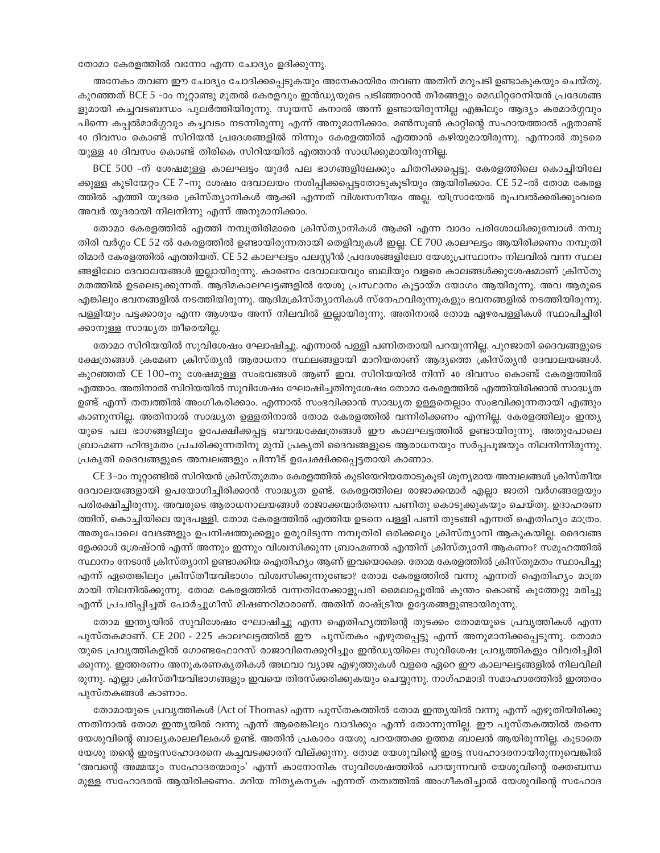തോമാ കേരളത്തിൽ വന്നോ എന്ന ചോദ്യം ഉദിക്കുന്നു.

അനേകം തവണ ഈ ചോദ്യം ചോദിക്കപ്പെടുകയും അനേകായിരം തവണ അതിന് മറുപടി ഉണ്ടാകുകയും ചെയ്തു. കുറഞ്ഞത് BCE 5 -ാം നൂറ്റാണ്ടു മുതൽ കേരളവും ഇൻഡ്യയുടെ പടിഞ്ഞാറൻ തീരങ്ങളും മെഡിറ്ററേനിയൻ പ്രദേശങ്ങ ളുമായി കച്ചവടബന്ധം പുലർത്തിയിരുന്നു. സൂയസ് കനാൽ അന്ന് ഉണ്ടായിരുന്നില്ല എങ്കിലും ആദ്യം കരമാർഗ്ഗവും പിന്നെ കപ്പൽമാർഗ്ഗവും കച്ചവടം നടന്നിരുന്നു എന്ന് അനുമാനിക്കാം. മൺസൂൺ കാറ്റിന്റെ സഹായത്താൽ ഏതാണ്ട് 40 ദിവസം കൊണ്ട് സിറിയൻ പ്രദേശങ്ങളിൽ നിന്നും കേരളത്തിൽ എത്താൻ കഴിയുമായിരുന്നു. എന്നാൽ തുടരെ യുള്ള 40 ദിവസം കൊണ്ട് തിരികെ സിറിയയിൽ എത്താൻ സാധിക്കുമായിരുന്നില്ല.

BCE 500 -ന് ശേഷമുള്ള കാലഘട്ടം യൂദർ പല ഭാഗങ്ങളിലേക്കും ചിതറിക്കപ്പെട്ടു. കേരളത്തിലെ കൊച്ചിയിലേ ക്കുള്ള കുടിയേറ്റം CE 7-നു ശേഷം ദേവാലയം നശിപ്പിക്കപ്പെട്ടതോടുകൂടിയും ആയിരിക്കാം. CE 52-ൽ തോമ കേരള ത്തിൽ എത്തി യൂദരെ ക്രിസ്ത്യാനികൾ ആക്കി എന്നത് വിശ്വസനീയം അല്ല. യിസ്രായേൽ രൂപവൽക്കരിക്കുംവരെ അവർ യൂദരായി നിലനിന്നു എന്ന് അനുമാനിക്കാം.

തോമാ കേരളത്തിൽ എത്തി നമ്പൂതിരിമാരെ ക്രിസ്ത്യാനികൾ ആക്കി എന്ന വാദം പരിശോധിക്കുമ്പോൾ നമ്പൂ തിരി വർഗ്ഗം CE 52 ൽ കേരളത്തിൽ ഉണ്ടായിരുന്നതായി തെളിവുകൾ ഇല്ല. CE 700 കാലഘട്ടം ആയിരിക്കണം നമ്പൂതി രിമാർ കേരളത്തിൽ എത്തിയത്. CE 52 കാലഘട്ടം പലസ്കീൻ പ്രദേശങ്ങളിലോ യേശുപ്രസ്ഥാനം നിലവിൽ വന്ന സ്ഥല ങ്ങളിലോ ദേവാലയങ്ങൾ ഇല്ലായിരുന്നു. കാരണം ദേവാലയവും ബലിയും വളരെ കാലങ്ങൾക്കുശേഷമാണ് ക്രിസ്തു മതത്തിൽ ഉടലെടുക്കുന്നത്. ആദിമകാലഘട്ടങ്ങളിൽ യേശു പ്രസ്ഥാനം കൂട്ടായ്മ യോഗം ആയിരുന്നു. അവ ആരുടെ എങ്കിലും ഭവനങ്ങളിൽ നടത്തിയിരുന്നു. ആദിമക്രിസ്ത്യാനികൾ സ്നേഹവിരുന്നുകളും ഭവനങ്ങളിൽ നടത്തിയിരുന്നു. പള്ളിയും പട്ടക്കാരും എന്ന ആശയം അന്ന് നിലവിൽ ഇല്ലായിരുന്നു. അതിനാൽ തോമ ഏഴരപള്ളികൾ സ്ഥാപിച്ചിരി ക്കാനുള്ള സാദ്ധ്യത തീരെയില്ല.

തോമാ സിറിയയിൽ സുവിശേഷം ഘോഷിച്ചു. എന്നാൽ പള്ളി പണിതതായി പറയുന്നില്ല. പുറജാതി ദൈവങ്ങളുടെ ക്ഷേത്രങ്ങൾ ക്രമേണ ക്രിസ്ത്യൻ ആരാധനാ സ്ഥലങ്ങളായി മാറിയതാണ് ആദ്യത്തെ ക്രിസ്ത്യൻ ദേവാലയങ്ങൾ. കുറഞ്ഞത് CE 100-നു ശേഷമുള്ള സംഭവങ്ങൾ ആണ് ഇവ. സിറിയയിൽ നിന്ന് 40 ദിവസം കൊണ്ട് കേരളത്തിൽ എത്താം. അതിനാൽ സിറിയയിൽ സുവിശേഷം ഘോഷിച്ചതിനുശേഷം തോമാ കേരളത്തിൽ എത്തിയിരിക്കാൻ സാദ്ധ്യത ഉണ്ട് എന്ന് തത്വത്തിൽ അംഗീകരിക്കാം. എന്നാൽ സംഭവിക്കാൻ സാദ്ധ്യത ഉള്ളതെല്ലാം സംഭവിക്കുന്നതായി എങ്ങും കാണുന്നില്ല. അതിനാൽ സാദ്ധ്യത ഉള്ളതിനാൽ തോമ കേരളത്തിൽ വന്നിരിക്കണം എന്നില്ല. കേരളത്തിലും ഇന്ത്യ യുടെ പല ഭാഗങ്ങളിലും ഉപേക്ഷിക്കപ്പട്ട ബൗദ്ധക്ഷേത്രങ്ങൾ ഈ കാലഘട്ടത്തിൽ ഉണ്ടായിരുന്നു. അതുപോലെ ബ്രാഹ്മണ ഹിന്ദുമതം പ്രചരിക്കുന്നതിനു മുമ്പ് പ്രകൃതി ദൈവങ്ങളുടെ ആരാധനയും സർപ്പപൂജയും നിലനിന്നിരുന്നു. പ്രകൃതി ദൈവങ്ങളുടെ അമ്പലങ്ങളും പിന്നീട് ഉപേക്ഷിക്കപ്പെട്ടതായി കാണാം.

CE 3-ാം നൂറ്റാണ്ടിൽ സിറിയൻ ക്രിസ്തുമതം കേരളത്തിൽ കുടിയേറിയതോടുകൂടി ശൂന്യമായ അമ്പലങ്ങൾ ക്രിസ്തീയ ദേവാലയങ്ങളായി ഉപയോഗിച്ചിരിക്കാൻ സാദ്ധ്യത ഉണ്ട്. കേരളത്തിലെ രാജാക്കന്മാർ എല്ലാ ജാതി വർഗങ്ങളേയും പരിരക്ഷിച്ചിരുന്നു. അവരുടെ ആരാധനാലയങ്ങൾ രാജാക്കന്മാർതന്നെ പണിതു കൊടുക്കുകയും ചെയ്തു. ഉദാഹരണ ത്തിന്, കൊച്ചിയിലെ യൂദപള്ളി. തോമ കേരളത്തിൽ എത്തിയ ഉടനെ പള്ളി പണി തുടങ്ങി എന്നത് ഐതിഹ്യം മാത്രം. അതുപോലെ വേദങ്ങളും ഉപനിഷത്തുക്കളും ഉരുവിടുന്ന നമ്പൂതിരി ഒരിക്കലും ക്രിസ്ത്യാനി ആകുകയില്ല. ദൈവങ്ങ ളേക്കാൾ ശ്രേഷ്ഠൻ എന്ന് അന്നും ഇന്നും വിശ്വസിക്കുന്ന ബ്രാഹ്മണൻ എന്തിന് ക്രിസ്ത്യാനി ആകണം? സമൂഹത്തിൽ സ്ഥാനം നേടാൻ ക്രിസ്ത്യാനി ഉണ്ടാക്കിയ ഐതിഹ്യം ആണ് ഇവയൊക്കെ. തോമ കേരളത്തിൽ ക്രിസ്തുമതം സ്ഥാപിച്ചു എന്ന് ഏതെങ്കിലും ക്രിസ്തീയവിഭാഗം വിശ്വസിക്കുന്നുണ്ടോ? തോമ കേരളത്തിൽ വന്നു എന്നത് ഐതിഹ്യം മാത്ര മായി നിലനിൽക്കുന്നു. തോമ കേരളത്തിൽ വന്നതിനേക്കാളുപരി മൈലാപ്പൂരിൽ കുന്തം കൊണ്ട് കുത്തേറ്റു മരിച്ചു എന്ന് പ്രചരിപ്പിച്ചത് പോർച്ചുഗീസ് മിഷണറിമാരാണ്. അതിന് രാഷ്ട്രീയ ഉദ്ദേശങ്ങളുണ്ടായിരുന്നു.

തോമ ഇന്ത്യയിൽ സുവിശേഷം ഘോഷിച്ചു എന്ന ഐതിഹ്യത്തിന്റെ തുടക്കം തോമയുടെ പ്രവൃത്തികൾ എന്ന പുസ്തകമാണ്. CE 200 - 225 കാലഘട്ടത്തിൽ ഈ പുസ്തകം എഴുതപ്പെട്ടു എന്ന് അനുമാനിക്കപ്പെടുന്നു. തോമാ യുടെ പ്രവൃത്തികളിൽ ഗോണ്ടഫോറസ് രാജാവിനെക്കുറിച്ചും ഇൻഡ്യയിലെ സുവിശേഷ പ്രവൃത്തികളും വിവരിച്ചിരി ക്കുന്നു. ഇത്തരണം അനുകരണകൃതികൾ അഥവാ വ്യാജ എഴുത്തുകൾ വളരെ ഏറെ ഈ കാലഘട്ടങ്ങളിൽ നിലവിലി രുന്നു. എല്ലാ ക്രിസ്തീയവിഭാഗങ്ങളും ഇവയെ തിരസ്ക്കരിക്കുകയും ചെയ്യുന്നു. നാഗ്ഹമാദി സമാഹാരത്തിൽ ഇത്തരം പുസ്തകങ്ങൾ കാണാം.

തോമായുടെ പ്രവൃത്തികൾ (Act of Thomas) എന്ന പുസ്തകത്തിൽ തോമ ഇന്ത്യയിൽ വന്നു എന്ന് എഴുതിയിരിക്കു ന്നതിനാൽ തോമ ഇന്ത്യയിൽ വന്നു എന്ന് ആരെങ്കിലും വാദിക്കും എന്ന് തോന്നുന്നില്ല. ഈ പുസ്തകത്തിൽ തന്നെ യേശുവിന്റെ ബാല്യകാലലീലകൾ ഉണ്ട്. അതിൻ പ്രകാരം യേശു പറയത്തക്ക ഉത്തമ ബാലൻ ആയിരുന്നില്ല. കുടാതെ യേശു തന്റെ ഇരട്ടസഹോദരനെ കച്ചവടക്കാരന് വില്ക്കുന്നു. തോമ യേശുവിന്റെ ഇരട്ട സഹോദരനായിരുന്നുവെങ്കിൽ 'അവന്റെ അമ്മയും സഹോദരന്മാരും' എന്ന് കാനോനിക സുവിശേഷത്തിൽ പറയുന്നവൻ യേശുവിന്റെ രക്തബന്ധ മുള്ള സഹോദരൻ ആയിരിക്കണം. മറിയ നിതൃകനൃക എന്നത് തത്വത്തിൽ അംഗീകരിച്ചാൽ യേശുവിന്റെ സഹോദ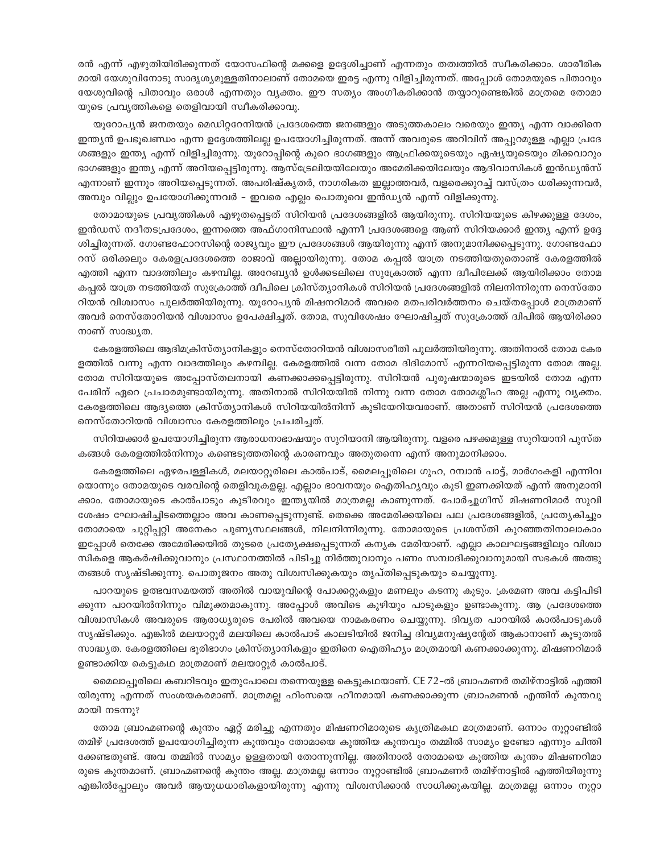രൻ എന്ന് എഴുതിയിരിക്കുന്നത് യോസഫിന്റെ മക്കളെ ഉദ്ദേശിച്ചാണ് എന്നതും തത്വത്തിൽ സ്വീകരിക്കാം. ശാരീരിക മായി യേശുവിനോടു സാദൃശ്യമുള്ളതിനാലാണ് തോമയെ ഇരട്ട എന്നു വിളിച്ചിരുന്നത്. അപ്പോൾ തോമയുടെ പിതാവും യേശുവിന്റെ പിതാവും ഒരാൾ എന്നതും വ്യക്തം. ഈ സത്യം അംഗീകരിക്കാൻ തയ്യാറുണ്ടെങ്കിൽ മാത്രമെ തോമാ യുടെ പ്രവൃത്തികളെ തെളിവായി സ്വീകരിക്കാവൂ.

യൂറോപ്യൻ ജനതയും മെഡിറ്ററേനിയൻ പ്രദേശത്തെ ജനങ്ങളും അടുത്തകാലം വരെയും ഇന്ത്യ എന്ന വാക്കിനെ ഇന്ത്യൻ ഉപഭൂഖണ്ഡം എന്ന ഉദ്ദേശത്തിലല്ല ഉപയോഗിച്ചിരുന്നത്. അന്ന് അവരുടെ അറിവിന് അപ്പുറമുള്ള എല്ലാ പ്രദേ ശങ്ങളും ഇന്ത്യ എന്ന് വിളിച്ചിരുന്നു. യൂറോപ്പിന്റെ കുറെ ഭാഗങ്ങളും ആഫ്രിക്കയുടെയും ഏഷ്യയുടെയും മിക്കവാറും ഭാഗങ്ങളും ഇന്ത്യ എന്ന് അറിയപ്പെട്ടിരുന്നു. ആസ്ട്രേലിയയിലേയും അമേരിക്കയിലേയും ആദിവാസികൾ ഇൻഡ്യൻസ് എന്നാണ് ഇന്നും അറിയപ്പെടുന്നത്. അപരിഷ്കൃതർ, നാഗരികത ഇല്ലാത്തവർ, വളരെക്കുറച്ച് വസ്ത്രം ധരിക്കുന്നവർ, അമ്പും വില്ലും ഉപയോഗിക്കുന്നവർ – ഇവരെ എല്ലം പൊതുവെ ഇൻഡ്യൻ എന്ന് വിളിക്കുന്നു.

തോമായുടെ പ്രവൃത്തികൾ എഴുതപ്പെട്ടത് സിറിയൻ പ്രദേശങ്ങളിൽ ആയിരുന്നു. സിറിയയുടെ കിഴക്കുള്ള ദേശം, ഇൻഡസ് നദീതടപ്രദേശം, ഇന്നത്തെ അഫ്ഗാനിസ്ഥാൻ എന്നീ പ്രദേശങ്ങളെ ആണ് സിറിയക്കാർ ഇന്ത്യ എന്ന് ഉദ്ദേ ശിച്ചിരുന്നത്. ഗോണ്ടഫോറസിന്റെ രാജ്യവും ഈ പ്രദേശങ്ങൾ ആയിരുന്നു എന്ന് അനുമാനിക്കപ്പെടുന്നു. ഗോണ്ടഫോ റസ് ഒരിക്കലും കേരളപ്രദേശത്തെ രാജാവ് അല്ലായിരുന്നു. തോമ കപ്പൽ യാത്ര നടത്തിയതുതൊണ്ട് കേരളത്തിൽ എത്തി എന്ന വാദത്തിലും കഴമ്പില്ല. അറേബ്യൻ ഉൾക്കടലിലെ സുക്രോത്ത് എന്ന ദ്വീപിലേക്ക് ആയിരിക്കാം തോമ കപ്പൽ യാത്ര നടത്തിയത് സുക്രോത്ത് ദ്വീപിലെ ക്രിസ്ത്യാനികൾ സിറിയൻ പ്രദേശങ്ങളിൽ നിലനിന്നിരുന്ന നെസ്തോ റിയൻ വിശ്വാസം പുലർത്തിയിരുന്നു. യൂറോപ്യൻ മിഷനറിമാർ അവരെ മതപരിവർത്തനം ചെയ്തപ്പോൾ മാത്രമാണ് അവർ നെസ്തോറിയൻ വിശ്വാസം ഉപേക്ഷിച്ചത്. തോമ, സുവിശേഷം ഘോഷിച്ചത് സുക്രോത്ത് ദ്വിപിൽ ആയിരിക്കാ നാണ് സാദ്ധ്യത.

കേരളത്തിലെ ആദിമക്രിസ്ത്യാനികളും നെസ്തോറിയൻ വിശ്വാസരീതി പുലർത്തിയിരുന്നു. അതിനാൽ തോമ കേര ളത്തിൽ വന്നു എന്ന വാദത്തിലും കഴമ്പില്ല. കേരളത്തിൽ വന്ന തോമ ദിദിമോസ് എന്നറിയപ്പെട്ടിരുന്ന തോമ അല്ല. തോമ സിറിയയുടെ അപ്പോസ്തലനായി കണക്കാക്കപ്പെട്ടിരുന്നു. സിറിയൻ പുരുഷന്മാരുടെ ഇടയിൽ തോമ എന്ന പേരിന് ഏറെ പ്രചാരമുണ്ടായിരുന്നു. അതിനാൽ സിറിയയിൽ നിന്നു വന്ന തോമ തോമശ്ലീഹ അല്ല എന്നു വ്യക്തം. കേരളത്തിലെ ആദ്യത്തെ ക്രിസ്ത്യാനികൾ സിറിയയിൽനിന്ന് കുടിയേറിയവരാണ്. അതാണ് സിറിയൻ പ്രദേശത്തെ നെസ്തോറിയൻ വിശ്വാസം കേരളത്തിലും പ്രചരിച്ചത്.

സിറിയക്കാർ ഉപയോഗിച്ചിരുന്ന ആരാധനാഭാഷയും സുറിയാനി ആയിരുന്നു. വളരെ പഴക്കമുള്ള സുറിയാനി പുസ്ത കങ്ങൾ കേരളത്തിൽനിന്നും കണ്ടെടുത്തതിന്റെ കാരണവും അതുതന്നെ എന്ന് അനുമാനിക്കാം.

കേരളത്തിലെ ഏഴരപള്ളികൾ, മലയാറ്റുരിലെ കാൽപാട്, മൈലപ്പുരിലെ ഗുഹ, റമ്പാൻ പാട്ട്, മാർഗംകളി എന്നിവ യൊന്നും തോമയുടെ വരവിന്റെ തെളിവുകളല്ല. എല്ലാം ഭാവനയും ഐതിഹ്യവും കൂടി ഇണക്കിയത് എന്ന് അനുമാനി ക്കാം. തോമായുടെ കാൽപാടും കുടീരവും ഇന്ത്യയിൽ മാത്രമല്ല കാണുന്നത്. പോർച്ചുഗീസ് മിഷണറിമാർ സുവി ശേഷം ഘോഷിച്ചിടത്തെല്ലാം അവ കാണപ്പെടുന്നുണ്ട്. തെക്കെ അമേരിക്കയിലെ പല പ്രദേശങ്ങളിൽ, പ്രത്യേകിച്ചും തോമായെ ചുറ്റിപ്പറ്റി അനേകം പുണ്യസ്ഥലങ്ങൾ, നിലനിന്നിരുന്നു. തോമായുടെ പ്രശസ്തി കുറഞ്ഞതിനാലാകാം ഇപ്പോൾ തെക്കേ അമേരിക്കയിൽ തുടരെ പ്രത്യേക്ഷപ്പെടുന്നത് കന്യക മേരിയാണ്. എല്ലാ കാലഘട്ടങ്ങളിലും വിശ്വാ സികളെ ആകർഷിക്കുവാനും പ്രസ്ഥാനത്തിൽ പിടിച്ചു നിർത്തുവാനും പണം സമ്പാദിക്കുവാനുമായി സഭകൾ അത്ഭു തങ്ങൾ സൃഷ്ടിക്കുന്നു. പൊതുജനം അതു വിശ്വസിക്കുകയും തൃപ്തിപ്പെടുകയും ചെയ്യുന്നു.

പാറയുടെ ഉത്ഭവസമയത്ത് അതിൽ വായുവിന്റെ പോക്കറ്റുകളും മണലും കടന്നു കൂടും. ക്രമേണ അവ കട്ടിപിടി ക്കുന്ന പാറയിൽനിന്നും വിമുക്തമാകുന്നു. അപ്പോൾ അവിടെ കുഴിയും പാടുകളും ഉണ്ടാകുന്നു. ആ പ്രദേശത്തെ വിശ്വാസികൾ അവരുടെ ആരാധ്യരുടെ പേരിൽ അവയെ നാമകരണം ചെയ്യുന്നു. ദിവ്യത പാറയിൽ കാൽപാടുകൾ സ്യഷ്ടിക്കും. എങ്കിൽ മലയാറ്റൂർ മലയിലെ കാൽപാട് കാലടിയിൽ ജനിച്ച ദിവ്യമനുഷ്യന്റേത് ആകാനാണ് കൂടുതൽ സാദ്ധ്യത. കേരളത്തിലെ ഭൂരിഭാഗം ക്രിസ്ത്യാനികളും ഇതിനെ ഐതിഹ്യം മാത്രമായി കണക്കാക്കുന്നു. മിഷണറിമാർ ഉണ്ടാക്കിയ കെട്ടുകഥ മാത്രമാണ് മലയാറ്റൂർ കാൽപാട്.

മൈലാപ്പൂരിലെ കബറിടവും ഇതുപോലെ തന്നെയുള്ള കെട്ടുകഥയാണ്. CE 72–ൽ ബ്രാഹ്മണർ തമിഴ്നാട്ടിൽ എത്തി യിരുന്നു എന്നത് സംശയകരമാണ്. മാത്രമല്ല ഹിംസയെ ഹീനമായി കണക്കാക്കുന്ന ബ്രാഹ്മണൻ എന്തിന് കുന്തവു മായി നടന്നു?

തോമ ബ്രാഹ്മണന്റെ കുന്തം ഏറ്റ് മരിച്ചു എന്നതും മിഷണറിമാരുടെ കൃത്രിമകഥ മാത്രമാണ്. ഒന്നാം നൂറ്റാണ്ടിൽ തമിഴ് പ്രദേശത്ത് ഉപയോഗിച്ചിരുന്ന കുന്തവും തോമായെ കുത്തിയ കുന്തവും തമ്മിൽ സാമ്യം ഉണ്ടോ എന്നും ചിന്തി ക്കേണ്ടതുണ്ട്. അവ തമ്മിൽ സാമ്യം ഉള്ളതായി തോന്നുന്നില്ല. അതിനാൽ തോമായെ കുത്തിയ കുന്തം മിഷണറിമാ രുടെ കുന്തമാണ്. ബ്രാഹ്മണന്റെ കുന്തം അല്ല. മാത്രമല്ല ഒന്നാം നൂറ്റാണ്ടിൽ ബ്രാഹ്മണർ തമിഴ്നാട്ടിൽ എത്തിയിരുന്നു എങ്കിൽപ്പോലും അവർ ആയുധധാരികളായിരുന്നു എന്നു വിശ്വസിക്കാൻ സാധിക്കുകയില്ല. മാത്രമല്ല ഒന്നാം നൂറ്റാ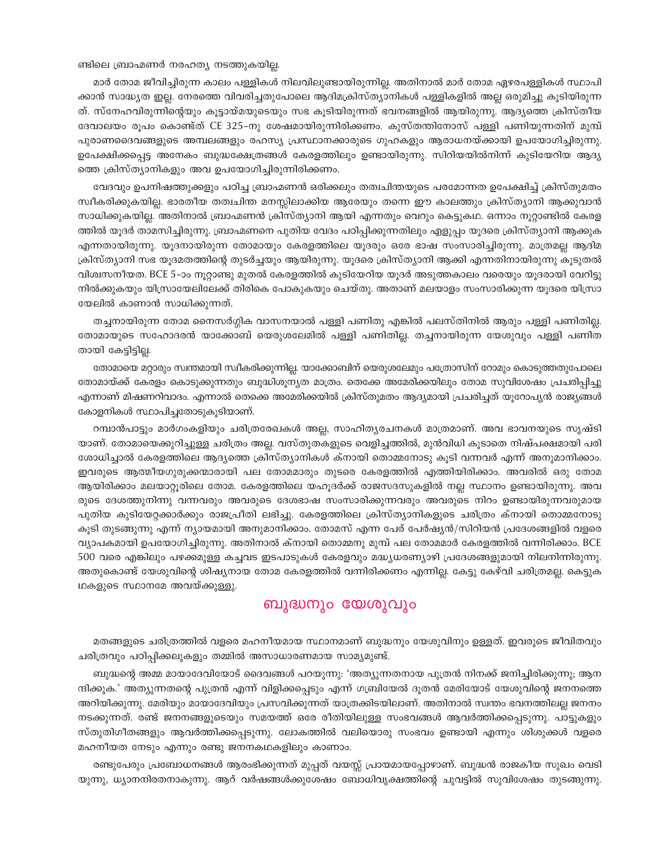#### ണ്ടിലെ ബ്രാഹ്മണർ നരഹത്യ നടത്തുകയില്ല.

മാർ തോമ ജീവിച്ചിരുന്ന കാലം പള്ളികൾ നിലവിലുണ്ടായിരുന്നില്ല. അതിനാൽ മാർ തോമ ഏഴരപള്ളികൾ സ്ഥാപി ക്കാൻ സാദ്ധ്യത ഇല്ല. നേരത്തെ വിവരിച്ചതുപോലെ ആദിമക്രിസ്ത്യാനികൾ പള്ളികളിൽ അല്ല ഒരുമിച്ചു കൂടിയിരുന്ന ത്. സ്നേഹവിരുന്നിന്റെയും കൂട്ടായ്മയുടെയും സഭ കൂടിയിരുന്നത് ഭവനങ്ങളിൽ ആയിരുന്നു. ആദ്യത്തെ ക്രിസ്തീയ ദേവാലയം രൂപം കൊണ്ട്ത് CE 325–നു ശേഷമായിരുന്നിരിക്കണം. കുസ്തന്തിനോസ് പള്ളി പണിയുന്നതിന് മുമ്പ് പുരാണദൈവങ്ങളുടെ അമ്പലങ്ങളും രഹസ്യ പ്രസ്ഥാനക്കാരുടെ ഗുഹകളും ആരാധനയ്ക്കായി ഉപയോഗിച്ചിരുന്നു. ഉപേക്ഷിക്കപ്പെട്ട അനേകം ബുദ്ധക്ഷേത്രങ്ങൾ കേരളത്തിലും ഉണ്ടായിരുന്നു. സിറിയയിൽനിന്ന് കുടിയേറിയ ആദ്യ ത്തെ ക്രിസ്ത്യാനികളും അവ ഉപയോഗിച്ചിരുന്നിരിക്കണം.

വേദവും ഉപനിഷത്തുക്കളും പഠിച്ച ബ്രാഹ്മണൻ ഒരിക്കലും തത്വചിന്തയുടെ പരമോന്നത ഉപേക്ഷിച്ച് ക്രിസ്തുമതം സ്വീകരിക്കുകയില്ല. ഭാരതീയ തത്വചിന്ത മനസ്സിലാക്കിയ ആരേയും തന്നെ ഈ കാലത്തും ക്രിസ്ത്യാനി ആക്കുവാൻ സാധിക്കുകയില്ല. അതിനാൽ ബ്രാഹ്മണൻ ക്രിസ്ത്യാനി ആയി എന്നതും വെറും കെട്ടുകഥ. ഒന്നാം നൂറ്റാണ്ടിൽ കേരള ത്തിൽ യൂദർ താമസിച്ചിരുന്നു. ബ്രാഹ്മണനെ പുതിയ വേദം പഠിപ്പിക്കുന്നതിലും എളുപ്പം യൂദരെ ക്രിസ്ത്യാനി ആക്കുക എന്നതായിരുന്നു. യൂദനായിരുന്ന തോമായും കേരളത്തിലെ യൂദരും ഒരേ ഭാഷ സംസാരിച്ചിരുന്നു. മാത്രമല്ല ആദിമ ക്രിസ്ത്യാനി സഭ യൂദമതത്തിന്റെ തുടർച്ചയും ആയിരുന്നു. യൂദരെ ക്രിസ്ത്യാനി ആക്കി എന്നതിനായിരുന്നു കൂടുതൽ വിശ്വസനീയത. BCE 5-ാം നൂറ്റാണ്ടു മുതൽ കേരളത്തിൽ കുടിയേറിയ യൂദർ അടുത്തകാലം വരെയും യൂദരായി വേറിട്ടു നിൽക്കുകയും യിസ്രായേലിലേക്ക് തിരികെ പോകുകയും ചെയ്തു. അതാണ് മലയാളം സംസാരിക്കുന്ന യൂദരെ യിസ്രാ യേലിൽ കാണാൻ സാധിക്കുന്നത്.

തച്ചനായിരുന്ന തോമ നൈസർഗ്ഗിക വാസനയാൽ പള്ളി പണിതു എങ്കിൽ പലസ്തിനിൽ ആരും പള്ളി പണിതില്ല. തോമായുടെ സഹോദരൻ യാക്കോബ് യെരുശലേമിൽ പള്ളി പണിതില്ല. തച്ചനായിരുന്ന യേശുവും പള്ളി പണിത തായി കേട്ടിട്ടില്ല.

തോമായെ മറ്റാരും സ്വന്തമായി സ്വീകരിക്കുന്നില്ല. യാക്കോബിന് യെരുശലേമും പത്രോസിന് റോമും കൊടുത്തതുപോലെ തോമായ്ക്ക് കേരളം കൊടുക്കുന്നതും ബുദ്ധിശുന്യത മാത്രം. തെക്കേ അമേരിക്കയിലും തോമ സുവിശേഷം പ്രചരിപ്പിച്ചു എന്നാണ് മിഷണറിവാദം. എന്നാൽ തെക്കെ അമേരിക്കയിൽ ക്രിസ്തുമതം ആദ്യമായി പ്രചരിച്ചത് യൂറോപ്യൻ രാജ്യങ്ങൾ കോളനികൾ സ്ഥാപിച്ചതോടുകൂടിയാണ്.

റമ്പാൻപാട്ടും മാർഗംകളിയും ചരിത്രരേഖകൾ അല്ല, സാഹിത്യരചനകൾ മാത്രമാണ്. അവ ഭാവനയുടെ സൃഷ്ടി യാണ്. തോമായെക്കുറിച്ചുള്ള ചരിത്രം അല്ല. വസ്തുതകളുടെ വെളിച്ചത്തിൽ, മുൻവിധി കൂടാതെ നിഷ്പക്ഷമായി പരി ശോധിച്ചാൽ കേരളത്തിലെ ആദ്യത്തെ ക്രിസ്ത്യാനികൾ ക്നായി തൊമ്മനോടു കുടി വന്നവർ എന്ന് അനുമാനിക്കാം. ഇവരുടെ ആത്മീയഗുരുക്കന്മാരായി പല തോമമാരും തുടരെ കേരളത്തിൽ എത്തിയിരിക്കാം. അവരിൽ ഒരു തോമ ആയിരിക്കാം മലയാറ്റൂരിലെ തോമ. കേരളത്തിലെ യഹൂദർക്ക് രാജസദസുകളിൽ നല്ല സ്ഥാനം ഉണ്ടായിരുന്നു. അവ രുടെ ദേശത്തുനിന്നു വന്നവരും അവരുടെ ദേശഭാഷ സംസാരിക്കുന്നവരും അവരുടെ നിറം ഉണ്ടായിരുന്നവരുമായ പുതിയ കുടിയേറ്റക്കാർക്കും രാജപ്രീതി ലഭിച്ചു. കേരളത്തിലെ ക്രിസ്ത്യാനികളുടെ ചരിത്രം ക്നായി തൊമ്മനോടു കുടി തുടങ്ങുന്നു എന്ന് ന്യായമായി അനുമാനിക്കാം. തോമസ് എന്ന പേര് പേർഷ്യൻ/സിറിയൻ പ്രദേശങ്ങളിൽ വളരെ വ്യാപകമായി ഉപയോഗിച്ചിരുന്നു. അതിനാൽ ക്നായി തൊമ്മനു മുമ്പ് പല തോമമാർ കേരളത്തിൽ വന്നിരിക്കാം. BCE 500 വരെ എങ്കിലും പഴക്കമുള്ള കച്ചവട ഇടപാടുകൾ കേരളവും മദ്ധ്യധരണ്യാഴി പ്രദേശങ്ങളുമായി നിലനിന്നിരുന്നു. അതുകൊണ്ട് യേശുവിന്റെ ശിഷ്യനായ തോമ കേരളത്തിൽ വന്നിരിക്കണം എന്നില്ല. കേട്ടു കേഴ്വി ചരിത്രമല്ല. കെട്ടുക ഥകളുടെ സ്ഥാനമേ അവയ്ക്കുള്ളു.

### ബുദ്ധനും യേശുവും

മതങ്ങളുടെ ചരിത്രത്തിൽ വളരെ മഹനീയമായ സ്ഥാനമാണ് ബുദ്ധനും യേശുവിനും ഉള്ളത്. ഇവരുടെ ജീവിതവും ചരിത്രവും പഠിപ്പിക്കലുകളും തമ്മിൽ അസാധാരണമായ സാമ്യമുണ്ട്.

ബുദ്ധന്റെ അമ്മ മായാദേവിയോട് ദൈവങ്ങൾ പറയുന്നു: 'അത്യുന്നതനായ പുത്രൻ നിനക്ക് ജനിച്ചിരിക്കുന്നു; ആന ന്ദിക്കുക.' അത്യുന്നതന്റെ പുത്രൻ എന്ന് വിളിക്കപ്പെടും എന്ന് ഗബ്രിയേൽ ദൂതൻ മേരിയോട് യേശുവിന്റെ ജനനത്തെ അറിയിക്കുന്നു. മേരിയും മായാദേവിയും പ്രസവിക്കുന്നത് യാത്രക്കിടയിലാണ്. അതിനാൽ സ്വന്തം ഭവനത്തിലല്ല ജനനം നടക്കുന്നത്. രണ്ട് ജനനങ്ങളുടെയും സമയത്ത് ഒരേ രീതിയിലുള്ള സംഭവങ്ങൾ ആവർത്തിക്കപ്പെടുന്നു. പാട്ടുകളും സ്തുതിഗീതങ്ങളും ആവർത്തിക്കപ്പെടുന്നു. ലോകത്തിൽ വലിയൊരു സംഭവം ഉണ്ടായി എന്നും ശിശുക്കൾ വളരെ മഹനീയത നേടും എന്നും രണ്ടു ജനനകഥകളിലും കാണാം.

രണ്ടുപേരും പ്രബോധനങ്ങൾ ആരംഭിക്കുന്നത് മുപ്പത് വയസ്സ് പ്രായമായപ്പോഴാണ്. ബുദ്ധൻ രാജകീയ സുഖം വെടി യുന്നു, ധ്യാനനിരതനാകുന്നു. ആറ് വർഷങ്ങൾക്കുശേഷം ബോധിവൃക്ഷത്തിന്റെ ചുവട്ടിൽ സുവിശേഷം തുടങ്ങുന്നു.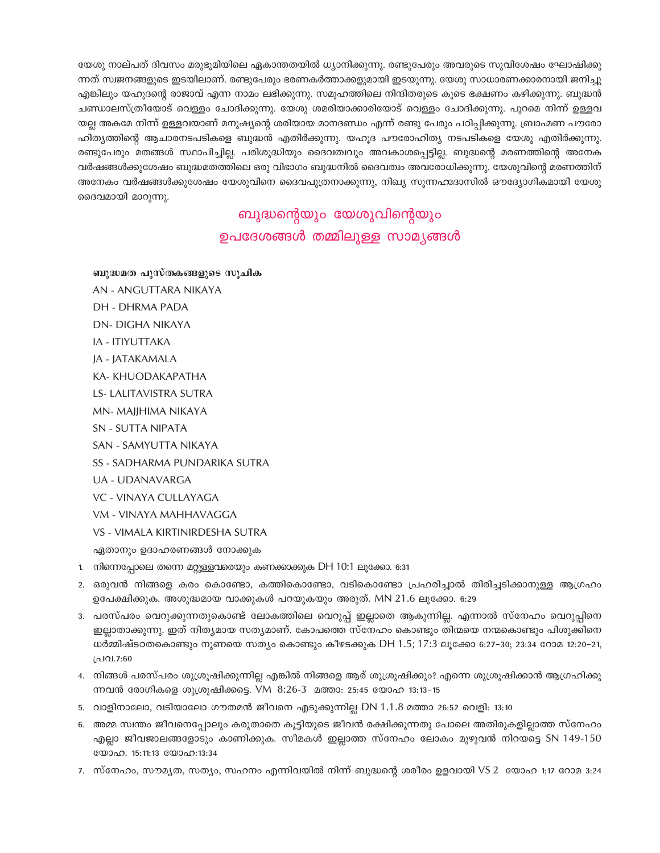യേശു നാല്പത് ദിവസം മരുഭൂമിയിലെ ഏകാന്തതയിൽ ധ്യാനിക്കുന്നു. രണ്ടുപേരും അവരുടെ സുവിശേഷം ഘോഷിക്കു ന്നത് സ്വജനങ്ങളുടെ ഇടയിലാണ്. രണ്ടുപേരും ഭരണകർത്താക്കളുമായി ഇടയുന്നു. യേശു സാധാരണക്കാരനായി ജനിച്ചു എങ്കിലും യഹുദന്റെ രാജാവ് എന്ന നാമം ലഭിക്കുന്നു. സമുഹത്തിലെ നിന്ദിതരുടെ കുടെ ഭക്ഷണം കഴിക്കുന്നു. ബുദ്ധൻ ചണ്ഡാലസ്ത്രീയോട് വെള്ളം ചോദിക്കുന്നു. യേശു ശമരിയാക്കാരിയോട് വെള്ളം ചോദിക്കുന്നു. പുറമെ നിന്ന് ഉള്ളവ യല്ല അകമേ നിന്ന് ഉള്ളവയാണ് മനുഷ്യന്റെ ശരിയായ മാനദണ്ഡം എന്ന് രണ്ടു പേരും പഠിപ്പിക്കുന്നു. ബ്രാഹ്മണ പൗരോ ഹിത്യത്തിന്റെ ആചാരനടപടികളെ ബുദ്ധൻ എതിർക്കുന്നു. യഹൂദ പൗരോഹിത്യ നടപടികളെ യേശു എതിർക്കുന്നു. രണ്ടുപേരും മതങ്ങൾ സ്ഥാപിച്ചില്ല. പരിശുദ്ധിയും ദൈവത്വവും അവകാശപ്പെട്ടില്ല. ബുദ്ധന്റെ മരണത്തിന്റെ അനേക വർഷങ്ങൾക്കുശേഷം ബുദ്ധമതത്തിലെ ഒരു വിഭാഗം ബുദ്ധനിൽ ദൈവത്വം അവരോധിക്കുന്നു. യേശുവിന്റെ മരണത്തിന് അനേകം വർഷങ്ങൾക്കുശേഷം യേശുവിനെ ദൈവപുത്രനാക്കുന്നു, നിഖ്യ സുന്നഹദോസിൽ ഔദ്യോഗികമായി യേശു ദൈവമായി മാറുന്നു.

# ബുദ്ധന്റെയും യേശുവിന്റെയും ഉപദേശങ്ങൾ തമ്മിലുള്ള സാമൃങ്ങൾ

- ബുദ്ധമത പുസ്തകങ്ങളുടെ സൂചിക
- AN ANGUTTARA NIKAYA
- **DH DHRMA PADA**
- **DN- DIGHA NIKAYA**
- **IA ITIYUTTAKA**
- JA JATAKAMALA
- KA-KHUODAKAPATHA
- **LS- LALITAVISTRA SUTRA**
- MN-MAJJHIMA NIKAYA
- **SN SUTTA NIPATA**
- SAN SAMYUTTA NIKAYA
- SS SADHARMA PUNDARIKA SUTRA
- UA UDANAVARGA
- VC VINAYA CULLAYAGA
- VM VINAYA MAHHAVAGGA
- VS VIMALA KIRTINIRDESHA SUTRA

ഏതാനും ഉദാഹരണങ്ങൾ നോക്കുക

- 1. നിന്നെപ്പോലെ തന്നെ മറ്റുള്ളവരെയും കണക്കാക്കുക DH 10:1 ലൂക്കോ. 6:31
- 2. ഒരുവൻ നിങ്ങളെ കരം കൊണ്ടോ, കത്തികൊണ്ടോ, വടികൊണ്ടോ പ്രഹരിച്ചാൽ തിരിച്ചടിക്കാനുള്ള ആഗ്രഹം ഉപേക്ഷിക്കുക. അശുദ്ധമായ വാക്കുകൾ പറയുകയും അരുത്. MN 21.6 ലൂക്കോ. 6:29
- 3. പരസ്പരം വെറുക്കുന്നതുകൊണ്ട് ലോകത്തിലെ വെറുപ്പ് ഇല്ലാതെ ആകുന്നില്ല. എന്നാൽ സ്നേഹം വെറുപ്പിനെ ഇല്ലാതാക്കുന്നു. ഇത് നിതൃമായ സതൃമാണ്. കോപത്തെ സ്നേഹം കൊണ്ടും തിന്മയെ നന്മകൊണ്ടും പിശുക്കിനെ ധർമ്മിഷ്ടഠതകൊണ്ടും നുണയെ സത്യം കൊണ്ടും കീഴടക്കുക DH 1.5; 17:3 ലൂക്കോ 6:27-30; 23:34 റോമ 12:20-21, പ്രവ.7:60
- 4. നിങ്ങൾ പരസ്പരം ശുശ്രൂഷിക്കുന്നില്ല എങ്കിൽ നിങ്ങളെ ആര് ശുശ്രൂഷിക്കും? എന്നെ ശുശ്രൂഷിക്കാൻ ആഗ്രഹിക്കു ന്നവൻ രോഗികളെ ശുശ്രൂഷിക്കട്ടെ. VM 8:26-3 മത്താ: 25:45 യോഹ 13:13-15
- 5. വാളിനാലോ, വടിയാലോ ഗൗതമൻ ജീവനെ എടുക്കുന്നില്ല DN 1.1.8 മത്താ 26:52 വെളി: 13:10
- 6. അമ്മ സ്വന്തം ജീവനെപ്പോലും കരുതാതെ കൂട്ടിയുടെ ജീവൻ രക്ഷിക്കുന്നതു പോലെ അതിരുകളില്ലാത്ത സ്നേഹം .എല്ലാ ജീവജാലങ്ങളോടും കാണിക്കുക. സീമകൾ ഇല്ലാത്ത സ്നേഹം ലോകം മുഴുവൻ നിറയട്ടെ SN 149-150 യോഹ. 15:11:13 യോഹ:13:34
- 7. സ്നേഹം, സൗമൃത, സതൃം, സഹനം എന്നിവയിൽ നിന്ന് ബുദ്ധന്റെ ശരീരം ഉളവായി VS 2 യോഹ 1:17 റോമ 3:24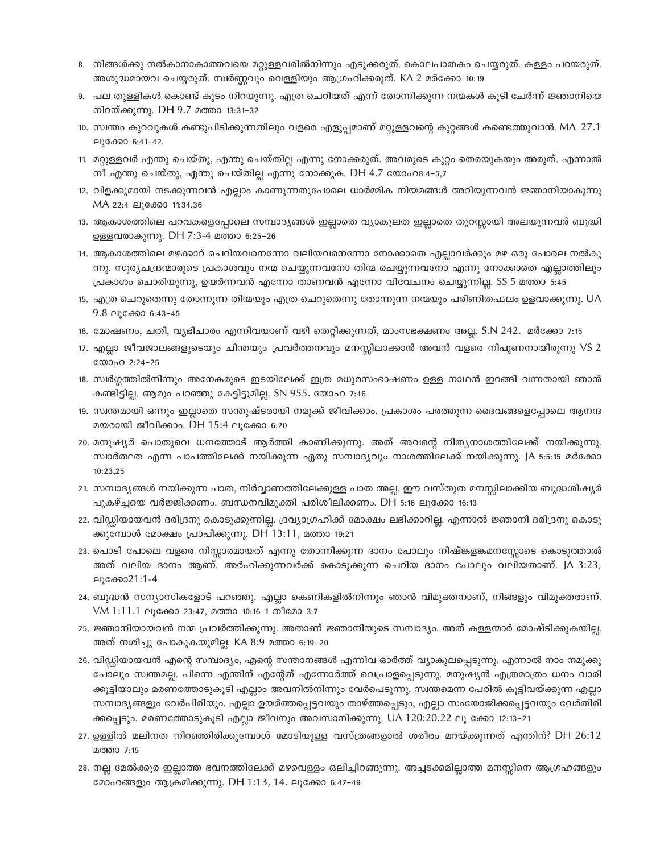- 8. നിങ്ങൾക്കു നൽകാനാകാത്തവയെ മറ്റുള്ളവരിൽനിന്നും എടുക്കരുത്. കൊലപാതകം ചെയ്യരുത്. കള്ളം പറയരുത്. അശുദ്ധമായവ ചെയ്യരുത്. സ്വർണ്ണവും വെള്ളിയും ആഗ്രഹിക്കരുത്. KA 2 മർക്കോ 10:19
- 9. പല തുള്ളികൾ കൊണ്ട് കുടം നിറയുന്നു. എത്ര ചെറിയത് എന്ന് തോന്നിക്കുന്ന നന്മകൾ കൂടി ചേർന്ന് ജ്ഞാനിയെ നിറയ്ക്കുന്നു. DH 9.7 മത്താ 13:31-32
- 10. സ്വന്തം കുറവുകൾ കണ്ടുപിടിക്കുന്നതിലും വളരെ എളുപ്പമാണ് മറ്റുള്ളവന്റെ കുറ്റങ്ങൾ കണ്ടെത്തുവാൻ. MA 27.1 ലുക്കോ 6:41-42.
- 11. മറ്റുള്ളവർ എന്തു ചെയ്തു, എന്തു ചെയ്തില്ല എന്നു നോക്കരുത്. അവരുടെ കുറ്റം തെരയുകയും അരുത്. എന്നാൽ നീ എന്തു ചെയ്തു, എന്തു ചെയ്തില്ല എന്നു നോക്കുക. DH 4.7 യോഹ8:4-5,7
- 12. വിളക്കുമായി നടക്കുന്നവൻ എല്ലാം കാണുന്നതുപോലെ ധാർമ്മിക നിയമങ്ങൾ അറിയുന്നവൻ ജ്ഞാനിയാകുന്നു MA 22:4 ലുക്കോ 11:34,36
- 13. ആകാശത്തിലെ പറവകളെപ്പോലെ സമ്പാദ്യങ്ങൾ ഇല്ലാതെ വ്യാകുലത ഇല്ലാതെ തുറസ്സായി അലയുന്നവർ ബുദ്ധി ഉള്ളവരാകുന്നു. DH 7:3-4 മത്താ 6:25-26
- 14. ആകാശത്തിലെ മഴക്കാറ് ചെറിയവനെന്നോ വലിയവനെന്നോ നോക്കാതെ എല്ലാവർക്കും മഴ ഒരു പോലെ നൽകു ന്നു. സുര്യചന്ദ്രന്മാരുടെ പ്രകാശവും നന്മ ചെയ്യുന്നവനോ തിന്മ ചെയ്യുന്നവനോ എന്നു നോക്കാതെ എല്ലാത്തിലും പ്രകാശം ചൊരിയുന്നു, ഉയർന്നവൻ എന്നോ താണവൻ എന്നോ വിവേചനം ചെയ്യുന്നില്ല. SS 5 മത്താ 5:45
- 15. എത്ര ചെറുതെന്നു തോന്നുന്ന തിന്മയും എത്ര ചെറുതെന്നു തോന്നുന്ന നന്മയും പരിണിതഫലം ഉളവാക്കുന്നു. UA  $9.8 \triangle$ വുക്കോ 6:43-45
- 16. മോഷണം, ചതി, വൃഭിചാരം എന്നിവയാണ് വഴി തെറ്റിക്കുന്നത്, മാംസഭക്ഷണം അല്ല. S.N 242. മർക്കോ 7:15
- 17. എല്ലാ ജീവജാലങ്ങളുടെയും ചിന്തയും പ്രവർത്തനവും മനസ്സിലാക്കാൻ അവൻ വളരെ നിപുണനായിരുന്നു VS 2 യോഹ 2:24-25
- 18. സ്വർഗ്ഗത്തിൽനിന്നും അനേകരുടെ ഇടയിലേക്ക് ഇത്ര മധുരസംഭാഷണം ഉള്ള നാഥൻ ഇറങ്ങി വന്നതായി ഞാൻ കണ്ടിട്ടില്ല. ആരും പറഞ്ഞു കേട്ടിട്ടുമില്ല. SN 955. യോഹ 7:46
- 19. സ്വന്തമായി ഒന്നും ഇല്ലാതെ സന്തുഷ്ടരായി നമുക്ക് ജീവിക്കാം. പ്രകാശം പരത്തുന്ന ദൈവങ്ങളെപ്പോലെ ആനന്ദ മയരായി ജീവിക്കാം. DH 15:4 ലുക്കോ 6:20
- 20. മനുഷ്യർ പൊതുവെ ധനത്തോട് ആർത്തി കാണിക്കുന്നു. അത് അവന്റെ നിത്യനാശത്തിലേക്ക് നയിക്കുന്നു. സ്വാർത്ഥത എന്ന പാപത്തിലേക്ക് നയിക്കുന്ന ഏതു സമ്പാദ്യവും നാശത്തിലേക്ക് നയിക്കുന്നു. JA 5:5:15 മർക്കോ 10:23,25
- 21. സമ്പാദ്യങ്ങൾ നയിക്കുന്ന പാത, നിർവ്വാണത്തിലേക്കുള്ള പാത അല്ല. ഈ വസ്തുത മനസ്സിലാക്കിയ ബുദ്ധശിഷ്യർ പുകഴ്ച്ചയെ വർജ്ജിക്കണം. ബന്ധനവിമുക്തി പരിശീലിക്കണം. DH 5:16 ലൂക്കോ 16:13
- 22. വിഡ്ഢിയായവൻ ദരിദ്രനു കൊടുക്കുന്നില്ല. ദ്രവ്യാഗ്രഹിക്ക് മോക്ഷം ലഭിക്കാറില്ല. എന്നാൽ ജ്ഞാനി ദരിദ്രനു കൊടു ക്കുമ്പോൾ മോക്ഷം പ്രാപിക്കുന്നു. DH 13:11, മത്താ 19:21
- 23. പൊടി പോലെ വളരെ നിസ്സാരമായത് എന്നു തോന്നിക്കുന്ന ദാനം പോലും നിഷ്ങ്കളങ്കമനസ്സോടെ കൊടുത്താൽ അത് വലിയ ദാനം ആണ്. അർഹിക്കുന്നവർക്ക് കൊടുക്കുന്ന ചെറിയ ദാനം പോലും വലിയതാണ്. JA 3:23, ലുക്കോ21:1-4
- 24. ബുദ്ധൻ സന്യാസികളോട് പറഞ്ഞു. എല്ലാ കെണികളിൽനിന്നും ഞാൻ വിമുക്തനാണ്, നിങ്ങളും വിമുക്തരാണ്. VM 1:11.1 ലുക്കോ 23:47, മത്താ 10:16 1 തീമോ 3:7
- 25. ജ്ഞാനിയായവൻ നന്മ പ്രവർത്തിക്കുന്നു. അതാണ് ജ്ഞാനിയുടെ സമ്പാദ്യം. അത് കള്ളന്മാർ മോഷ്ടിക്കുകയില്ല. അത് നശിച്ചു പോകുകയുമില്ല. KA 8:9 മത്താ 6:19–20
- 26. വിഡ്ഡിയായവൻ എന്റെ സമ്പാദ്യം, എന്റെ സന്താനങ്ങൾ എന്നിവ ഓർത്ത് വ്യാകുലപ്പെടുന്നു. എന്നാൽ നാം നമുക്കു പോലും സ്വന്തമല്ല. പിന്നെ എന്തിന് എന്റേത് എന്നോർത്ത് വെപ്രാളപ്പെടുന്നു. മനുഷ്യൻ എത്രമാത്രം ധനം വാരി ക്കൂട്ടിയാലും മരണത്തോടുകൂടി എല്ലാം അവനിൽനിന്നും വേർപെടുന്നു. സ്വന്തമെന്ന പേരിൽ കൂട്ടിവയ്ക്കുന്ന എല്ലാ സമ്പാദ്യങ്ങളും വേർപിരിയും. എല്ലാ ഉയർത്തപ്പെട്ടവയും താഴ്ത്തപ്പെടും, എല്ലാ സംയോജിക്കപ്പെട്ടവയും വേർതിരി ക്കപ്പെടും. മരണത്തോടുകൂടി എല്ലാ ജീവനും അവസാനിക്കുന്നു. UA 120:20.22 ലൂ ക്കോ 12:13-21
- 27. ഉള്ളിൽ മലിനത നിറഞ്ഞിരിക്കുമ്പോൾ മോടിയുള്ള വസ്ത്രങ്ങളാൽ ശരീരം മറയ്ക്കുന്നത് എന്തിന്? DH 26:12 മത്താ 7:15
- 28. നല്ല മേൽക്കുര ഇല്ലാത്ത ഭവനത്തിലേക്ക് മഴവെള്ളം ഒലിച്ചിറങ്ങുന്നു. അച്ചടക്കമില്ലാത്ത മനസ്സിനെ ആഗ്രഹങ്ങളും മോഹങ്ങളും ആക്രമിക്കുന്നു. DH 1:13, 14. ലൂക്കോ 6:47-49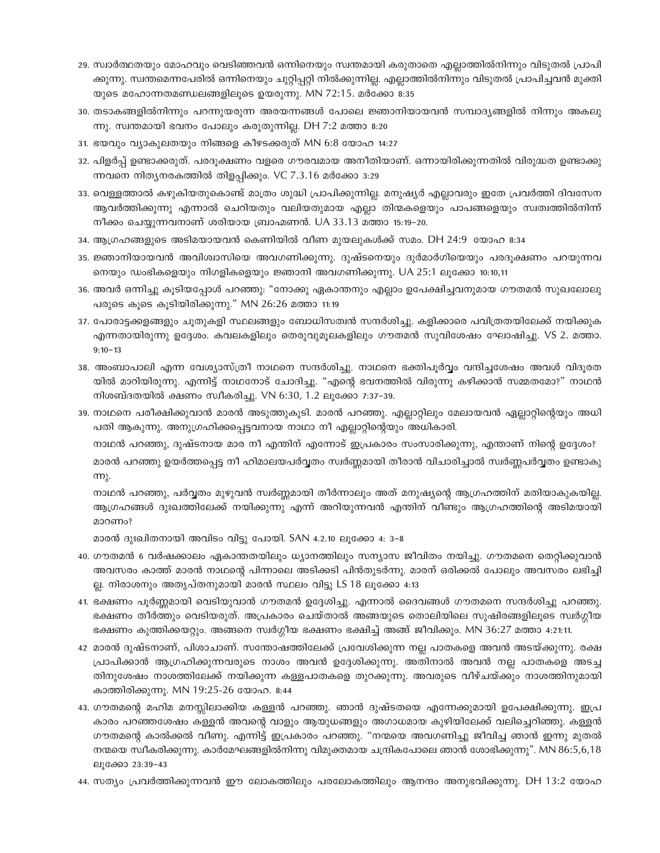- 29. സ്വാർത്ഥതയും മോഹവും വെടിഞ്ഞവൻ ഒന്നിനെയും സ്വന്തമായി കരുതാതെ എല്ലാത്തിൽനിന്നും വിടുതൽ പ്രാപി ക്കുന്നു. സ്വന്തമെന്നപേരിൽ ഒന്നിനെയും ചുറ്റിപ്പറ്റി നിൽക്കുന്നില്ല. എല്ലാത്തിൽനിന്നും വിടുതൽ പ്രാപിച്ചവൻ മുക്തി യുടെ മഹോന്നതമണ്ഡലങ്ങളിലൂടെ ഉയരുന്നു. MN 72:15. മർക്കോ 8:35
- 30. തടാകങ്ങളിൽനിന്നും പറന്നുയരുന്ന അരയന്നങ്ങൾ പോലെ ജ്ഞാനിയായവൻ സമ്പാദൃങ്ങളിൽ നിന്നും അകലു  $m$ ു. സ്വന്തമായി ഭവനം പോലും കരുതുന്നില്ല. DH 7:2 മത്താ 8:20
- 31. ഭയവും വ്യാകുലതയും നിങ്ങളെ കീഴടക്കരുത് MN 6:8 യോഹ 14:27
- 32. പിളർപ്പ് ഉണ്ടാക്കരുത്. പരദുക്ഷണം വളരെ ഗൗരവമായ അനീതിയാണ്. ഒന്നായിരിക്കുന്നതിൽ വിരുദ്ധത ഉണ്ടാക്കു ന്നവനെ നിതൃനരകത്തിൽ തിളപ്പിക്കും. VC 7.3.16 മർക്കോ 3:29
- 33. വെള്ളത്താൽ കഴുകിയതുകൊണ്ട് മാത്രം ശുദ്ധി പ്രാപിക്കുന്നില്ല. മനുഷ്യർ എല്ലാവരും ഇതേ പ്രവർത്തി ദിവസേന ആവർത്തിക്കുന്നു എന്നാൽ ചെറിയതും വലിയതുമായ എല്ലാ തിന്മകളെയും പാപങ്ങളെയും സ്വത്വത്തിൽനിന്ന് നീക്കം ചെയ്യുന്നവനാണ് ശരിയായ ബ്രാഹ്മണൻ. UA 33.13 മത്താ 15:19−20.
- 34. ആഗ്രഹങ്ങളുടെ അടിമയായവൻ കെണിയിൽ വീണ മുയലുകൾക്ക് സമം. DH 24:9 യോഹ 8:34
- 35. ജ്ഞാനിയായവൻ അവിശ്വാസിയെ അവഗണിക്കുന്നു. ദുഷ്ടനെയും ദുർമാർഗിയെയും പരദൂക്ഷണം പറയുന്നവ നെയും ഡംഭികളെയും നിഗളികളെയും ജ്ഞാനി അവഗണിക്കുന്നു. UA 25:1 ലൂക്കോ 10:10,11
- 36. അവർ ഒന്നിച്ചു കൂടിയപ്പോൾ പറഞ്ഞു: "നോക്കു ഏകാന്തനും എല്ലാം ഉപേക്ഷിച്ചവനുമായ ഗൗതമൻ സുഖലോലു പരുടെ കൂടെ കൂടിയിരിക്കുന്നു." MN 26:26 മത്താ 11:19
- 37. പോരാട്ടക്കളങ്ങളും ചൂതുകളി സ്ഥലങ്ങളും ബോധിസത്വൻ സന്ദർശിച്ചു. കളിക്കാരെ പവിത്രതയിലേക്ക് നയിക്കുക  $\alpha$ എന്നതായിരുന്നു ഉദ്ദേശം. കവലകളിലും തെരുവുമുലകളിലും ഗൗതമൻ സുവിശേഷം ഘോഷിച്ചു. VS 2. മത്താ.  $9:10-13$
- 38. അംബാപാലി എന്ന വേശ്യാസ്ത്രീ നാഥനെ സന്ദർശിച്ചു. നാഥനെ ഭക്തിപൂർവ്വം വന്ദിച്ചശേഷം അവൾ വിദുരത യിൽ മാറിയിരുന്നു. എന്നിട്ട് നാഥനോട് ചോദിച്ചു. "എന്റെ ഭവനത്തിൽ വിരുന്നു കഴിക്കാൻ സമ്മതമോ?" നാഥൻ നിശബ്ദതയിൽ ക്ഷണം സ്വീകരിച്ചു. VN 6:30, 1.2 ലൂക്കോ 7:37-39.
- 39. നാഥനെ പരീക്ഷിക്കുവാൻ മാരൻ അടുത്തുകൂടി. മാരൻ പറഞ്ഞു. എല്ലാറ്റിലും മേലായവൻ ഏല്ലാറ്റിന്റെയും അധി പതി ആകുന്നു. അനുഗ്രഹിക്കപ്പെട്ടവനായ നാഥാ നീ എല്ലാറ്റിന്റെയും അധികാരി.

 $\mu$ ാഥൻ പറഞ്ഞു, ദുഷ്ടനായ മാര നീ എന്തിന് എന്നോട് ഇപ്രകാരം സംസാരിക്കുന്നു, എന്താണ് നിന്റെ ഉദ്ദേശം?

മാരൻ പറഞ്ഞു ഉയർത്തപ്പെട്ട നീ ഹിമാലയപർവ്വതം സ്വർണ്ണമായി തീരാൻ വിചാരിച്ചാൽ സ്വർണ്ണപർവ്വതം ഉണ്ടാകു  $<sup>σ</sup>$ .</sup>

 $\mod$  പറഞ്ഞു, പർവ്വതം മുഴുവൻ സ്വർണ്ണമായി തീർന്നാലും അത് മനുഷ്യന്റെ ആഗ്രഹത്തിന് മതിയാകുകയില്ല. ആഗ്രഹങ്ങൾ ദുഃഖത്തിലേക്ക് നയിക്കുന്നു എന്ന് അറിയുന്നവൻ എന്തിന് വീണ്ടും ആഗ്രഹത്തിന്റെ അടിമയായി മാറണം?

മാരൻ ദുഃഖിതനായി അവിടം വിട്ടു പോയി. SAN 4.2.10 ലൂക്കോ 4: 3-8

- 40. ഗൗതമൻ 6 വർഷക്കാലം ഏകാന്തതയിലും ധ്യാനത്തിലും സന്യാസ ജീവിതം നയിച്ചു. ഗൗതമനെ തെറ്റിക്കുവാൻ അവസരം കാത്ത് മാരൻ നാഥന്റെ പിന്നാലെ അടിക്കടി പിൻതുടർന്നു. മാരന് ഒരിക്കൽ പോലും അവസരം ലഭിച്ചി ല്ല. നിരാശനും അതൃപ്തനുമായി മാരൻ സ്ഥലം വിട്ടു LS 18 ലൂക്കോ 4:13
- 41. ഭക്ഷണം പൂർണ്ണമായി വെടിയുവാൻ ഗൗതമൻ ഉദ്ദേശിച്ചു. എന്നാൽ ദൈവങ്ങൾ ഗൗതമനെ സന്ദർശിച്ചു പറഞ്ഞു. ഭക്ഷണം തീർത്തും വെടിയരുത്. അപ്രകാരം ചെയ്താൽ അങ്ങയുടെ തൊലിയിലെ സുഷിരങ്ങളിലൂടെ സ്വർഗ്ഗീയ ഭക്ഷണം കുത്തിക്കയറ്റും. അങ്ങനെ സ്വർഗ്ഗീയ ഭക്ഷണം ഭക്ഷിച്ച് അങ്ങ് ജീവിക്കും. MN 36:27 മത്താ 4:21:11.
- 42 മാരൻ ദുഷ്ടനാണ്, പിശാചാണ്. സന്തോഷത്തിലേക്ക് പ്രവേശിക്കുന്ന നല്ല പാതകളെ അവൻ അടയ്ക്കുന്നു. രക്ഷ ്രപാപിക്കാൻ ആഗ്രഹിക്കുന്നവരുടെ നാശം അവൻ ഉദ്ദേശിക്കുന്നു. അതിനാൽ അവൻ നല്ല പാതകളെ അടച്ച തിനുശേഷം നാശത്തിലേക്ക് നയിക്കുന്ന കള്ളപാതകളെ തുറക്കുന്നു. അവരുടെ വീഴ്ചയ്ക്കും നാശത്തിനുമായി കാത്തിരിക്കുന്നു. MN 19:25-26 യോഹ. 8:44
- 43. ഗൗതമന്റെ മഹിമ മനസ്സിലാക്കിയ കള്ളൻ പറഞ്ഞു. ഞാൻ ദുഷ്ടതയെ എന്നേക്കുമായി ഉപേക്ഷിക്കുന്നു. <u>ഇ</u>പ്ര കാരം പറഞ്ഞശേഷം കള്ളൻ അവന്റെ വാളും ആയുധങ്ങളും അഗാധമായ കുഴിയിലേക്ക് വലിച്ചെറിഞ്ഞു. കള്ളൻ ഗൗതമന്റെ കാൽക്കൽ വീണു. എന്നിട്ട് ഇപ്രകാരം പറഞ്ഞു. "നന്മയെ അവഗണിച്ചു ജീവിച്ച ഞാൻ ഇന്നു മുതൽ  $\overline{0}$ ന്മയെ സ്വീകരിക്കുന്നു. കാർമേഘങ്ങളിൽനിന്നു വിമുക്തമായ ചന്ദ്രികപോലെ ഞാൻ ശോഭിക്കുന്നു". MN 86:5,6,18 ലൂക്കോ 23:39-43
- 44. സത്യം പ്രവർത്തിക്കുന്നവൻ ഈ ലോകത്തിലും പരലോകത്തിലും ആനന്ദം അനുഭവിക്കുന്നു. DH 13:2 യോഹ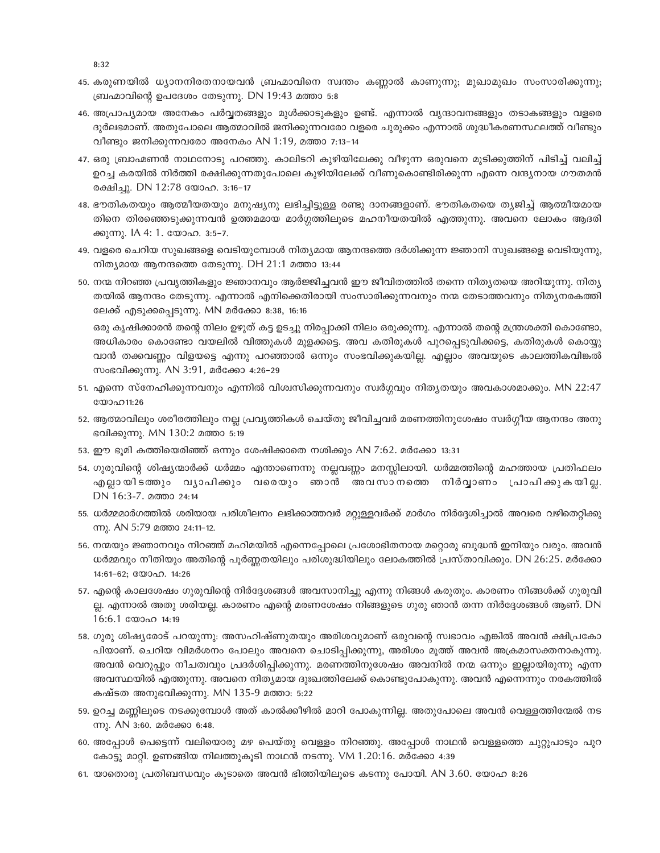8:32

- 45. കരുണയിൽ ധ്യാനനിരതനായവൻ ബ്രഹ്മാവിനെ സ്വന്തം കണ്ണാൽ കാണുന്നു; മുഖാമുഖം സംസാരിക്കുന്നു; ബ്രഹ്മാവിന്റെ ഉപദേശം തേടുന്നു. DN 19:43 മത്താ 5:8
- 46. അപ്രാപ്യമായ അനേകം പർവ്വതങ്ങളും മുൾക്കാടുകളും ഉണ്ട്. എന്നാൽ വൃന്ദാവനങ്ങളും തടാകങ്ങളും വളരെ ദുർലഭമാണ്. അതുപോലെ ആത്മാവിൽ ജനിക്കുന്നവരോ വളരെ ചുരുക്കം എന്നാൽ ശുദ്ധീകരണസ്ഥലത്ത് വീണ്ടും വീണ്ടും ജനിക്കുന്നവരോ അനേകം AN 1:19, മത്താ 7:13-14
- 47. ഒരു ബ്രാഹ്മണൻ നാഥനോടു പറഞ്ഞു. കാലിടറി കുഴിയിലേക്കു വീഴുന്ന ഒരുവനെ മുടിക്കുത്തിന് പിടിച്ച് വലിച്ച് ഉറച്ച കരയിൽ നിർത്തി രക്ഷിക്കുന്നതുപോലെ കുഴിയിലേക്ക് വീണുകൊണ്ടിരിക്കുന്ന എന്നെ വന്ദ്യനായ ഗൗതമൻ രക്ഷിച്ചു. DN 12:78 യോഹ. 3:16-17
- 48. ഭൗതികതയും ആത്മീയതയും മനുഷ്യനു ലഭിച്ചിട്ടുള്ള രണ്ടു ദാനങ്ങളാണ്. ഭൗതികതയെ തൃജിച്ച് ആത്മീയമായ തിനെ തിരഞ്ഞെടുക്കുന്നവൻ ഉത്തമമായ മാർഗ്ഗത്തിലൂടെ മഹനീയതയിൽ എത്തുന്നു. അവനെ ലോകം ആദരി ക്കുന്നു. IA 4: 1. യോഹ. 3:5-7.
- 49. വളരെ ചെറിയ സുഖങ്ങളെ വെടിയുമ്പോൾ നിത്യമായ ആനന്ദത്തെ ദർശിക്കുന്ന ജ്ഞാനി സുഖങ്ങളെ വെടിയുന്നു, നിത്യമായ ആനന്ദത്തെ തേടുന്നു. DH 21:1 മത്താ 13:44
- 50. നന്മ നിറഞ്ഞ പ്രവൃത്തികളും ജ്ഞാനവും ആർജ്ജിച്ചവൻ ഈ ജീവിതത്തിൽ തന്നെ നിതൃതയെ അറിയുന്നു. നിതൃ തയിൽ ആനന്ദം തേടുന്നു. എന്നാൽ എനിക്കെതിരായി സംസാരിക്കുന്നവനും നന്മ തേടാത്തവനും നിത്യനരകത്തി ലേക്ക് എടുക്കപ്പെടുന്നു. MN മർക്കോ 8:38, 16:16

ഒരു കൃഷിക്കാരൻ തന്റെ നിലം ഉഴുത് കട്ട ഉടച്ചു നിരപ്പാക്കി നിലം ഒരുക്കുന്നു. എന്നാൽ തന്റെ മന്ത്രശക്തി കൊണ്ടോ, അധികാരം കൊണ്ടോ വയലിൽ വിത്തുകൾ മുളക്കട്ടെ. അവ കതിരുകൾ പുറപ്പെടുവിക്കട്ടെ, കതിരുകൾ കൊയ്യു വാൻ തക്കവണ്ണം വിളയട്ടെ എന്നു പറഞ്ഞാൽ ഒന്നും സംഭവിക്കുകയില്ല. എല്ലാം അവയുടെ കാലത്തികവിങ്കൽ സംഭവിക്കുന്നു. AN 3:91, മർക്കോ 4:26-29

- 51. എന്നെ സ്നേഹിക്കുന്നവനും എന്നിൽ വിശ്വസിക്കുന്നവനും സ്വർഗ്ഗവും നിത്യതയും അവകാശമാക്കും. MN 22:47 യോഹ11:26
- 52. ആത്മാവിലും ശരീരത്തിലും നല്ല പ്രവൃത്തികൾ ചെയ്തു ജീവിച്ചവർ മരണത്തിനുശേഷം സ്വർഗ്ഗീയ ആനന്ദം അനു ഭവിക്കുന്നു. MN 130:2 മത്താ 5:19
- 53. ഈ ഭൂമി കത്തിയെരിഞ്ഞ് ഒന്നും ശേഷിക്കാതെ നശിക്കും AN 7:62. മർക്കോ 13:31
- 54. ഗുരുവിന്റെ ശിഷ്യന്മാർക്ക് ധർമ്മം എന്താണെന്നു നല്ലവണ്ണം മനസ്സിലായി. ധർമ്മത്തിന്റെ മഹത്തായ പ്രതിഫലം എല്ലായിടത്തും വൃാപിക്കും വരെയും ഞാൻ അവസാനത്തെ നിർവ്വാണം പ്രാപിക്കുകയില്ല. DN 16:3-7. മത്താ 24:14
- 55. ധർമ്മമാർഗത്തിൽ ശരിയായ പരിശീലനം ലഭിക്കാത്തവർ മറ്റുള്ളവർക്ക് മാർഗം നിർദ്ദേശിച്ചാൽ അവരെ വഴിതെറ്റിക്കു m). AN 5:79 മത്താ 24:11-12.
- 56. നന്മയും ജ്ഞാനവും നിറഞ്ഞ് മഹിമയിൽ എന്നെപ്പോലെ പ്രശോഭിതനായ മറ്റൊരു ബുദ്ധൻ ഇനിയും വരും. അവൻ ധർമ്മവും നീതിയും അതിന്റെ പൂർണ്ണതയിലും പരിശുദ്ധിയിലും ലോകത്തിൽ പ്രസ്താവിക്കും. DN 26:25. മർക്കോ 14:61-62; 000aO. 14:26
- 57. എന്റെ കാലശേഷം ഗുരുവിന്റെ നിർദ്ദേശങ്ങൾ അവസാനിച്ചു എന്നു നിങ്ങൾ കരുതും. കാരണം നിങ്ങൾക്ക് ഗുരുവി ല്ല. എന്നാൽ അതു ശരിയല്ല. കാരണം എന്റെ മരണശേഷം നിങ്ങളുടെ ഗുരു ഞാൻ തന്ന നിർദ്ദേശങ്ങൾ ആണ്. DN 16:6.1 യോഹ 14:19
- 58. ഗുരു ശിഷ്യരോട് പറയുന്നു: അസഹിഷ്ണുതയും അരിശവുമാണ് ഒരുവന്റെ സ്വഭാവം എങ്കിൽ അവൻ ക്ഷിപ്രകോ പിയാണ്. ചെറിയ വിമർശനം പോലും അവനെ ചൊടിപ്പിക്കുന്നു, അരിശം മൂത്ത് അവൻ അക്രമാസക്തനാകുന്നു. അവൻ വെറുപ്പും നീചത്വവും പ്രദർശിപ്പിക്കുന്നു. മരണത്തിനുശേഷം അവനിൽ നന്മ ഒന്നും ഇല്ലായിരുന്നു എന്ന അവസ്ഥയിൽ എത്തുന്നു. അവനെ നിത്യമായ ദുഃഖത്തിലേക്ക് കൊണ്ടുപോകുന്നു. അവൻ എന്നെന്നും നരകത്തിൽ കഷ്ടത അനുഭവിക്കുന്നു. MN 135-9 മത്താ: 5:22
- 59. ഉറച്ച മണ്ണിലൂടെ നടക്കുമ്പോൾ അത് കാൽക്കീഴിൽ മാറി പോകുന്നില്ല. അതുപോലെ അവൻ വെള്ളത്തിന്മേൽ നട ന്നു. AN 3:60. മർക്കോ 6:48.
- 60. അപ്പോൾ പെട്ടെന്ന് വലിയൊരു മഴ പെയ്തു വെള്ളം നിറഞ്ഞു. അപ്പോൾ നാഥൻ വെള്ളത്തെ ചുറ്റുപാടും പുറ കോട്ടു മാറ്റി. ഉണങ്ങിയ നിലത്തുകൂടി നാഥൻ നടന്നു. VM 1.20:16. മർക്കോ 4:39
- 61. യാതൊരു പ്രതിബന്ധവും കൂടാതെ അവൻ ഭിത്തിയിലൂടെ കടന്നു പോയി. AN 3.60. യോഹ 8:26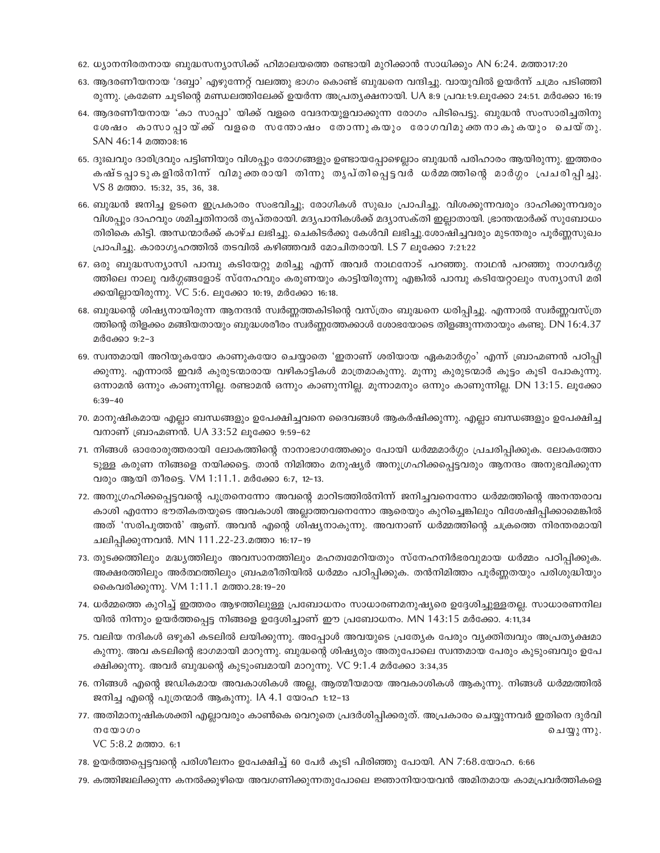- 62. ധ്യാനനിരതനായ ബുദ്ധസന്യാസിക്ക് ഹിമാലയത്തെ രണ്ടായി മുറിക്കാൻ സാധിക്കും AN 6:24. മത്താ17:20
- 63. ആദരണീയനായ 'ദബ്ബാ' എഴുന്നേറ്റ് വലത്തു ഭാഗം കൊണ്ട് ബുദ്ധനെ വന്ദിച്ചു. വായുവിൽ ഉയർന്ന് ചമ്രം പടിഞ്ഞി രുന്നു. ക്രമേണ ചൂടിന്റെ മണ്ഡലത്തിലേക്ക് ഉയർന്ന അപ്രതൃക്ഷനായി. UA 8:9 പ്രവ:1:9.ലൂക്കോ 24:51. മർക്കോ 16:19
- 64. ആദരണീയനായ 'കാ സാപ്പാ' യിക്ക് വളരെ വേദനയുളവാക്കുന്ന രോഗം പിടിപെട്ടു. ബുദ്ധൻ സംസാരിച്ചതിനു ശേഷം കാസാപ്പായ്ക്ക് വളരെ സന്തോഷം തോന്നുകയും രോഗവിമുക്തനാകുകയും ചെയ്തു. SAN 46:14 മത്താ8:16
- 65. ദുഃഖവും ദാരിദ്രവും പട്ടിണിയും വിശപ്പും രോഗങ്ങളും ഉണ്ടായപ്പോഴെല്ലാം ബുദ്ധൻ പരിഹാരം ആയിരുന്നു. ഇത്തരം കഷ്ടപ്പാടുകളിൽനിന്ന് വിമുക്തരായി തിന്നു തൃപ്തിപ്പെട്ടവർ ധർമ്മത്തിന്റെ മാർഗ്ഗം പ്രചരിപ്പിച്ചു. VS 8 മത്താ. 15:32, 35, 36, 38.
- 66. ബുദ്ധൻ ജനിച്ച ഉടനെ ഇപ്രകാരം സംഭവിച്ചു; രോഗികൾ സുഖം പ്രാപിച്ചു. വിശക്കുന്നവരും ദാഹിക്കുന്നവരും വിശപ്പും ദാഹവും ശമിച്ചതിനാൽ തൃപ്തരായി. മദ്യപാനികൾക്ക് മദ്യാസക്തി ഇല്ലാതായി. ഭ്രാന്തന്മാർക്ക് സുബോധം തിരികെ കിട്ടി. അന്ധന്മാർക്ക് കാഴ്ച ലഭിച്ചു. ചെകിടർക്കു കേൾവി ലഭിച്ചു.ശോഷിച്ചവരും മുടന്തരും പുർണ്ണസുഖം പ്രാപിച്ചു. കാരാഗൃഹത്തിൽ തടവിൽ കഴിഞ്ഞവർ മോചിതരായി. LS 7 ലൂക്കോ 7:21:22
- 67. ഒരു ബുദ്ധസന്യാസി പാമ്പു കടിയേറ്റു മരിച്ചു എന്ന് അവർ നാഥനോട് പറഞ്ഞു. നാഥൻ പറഞ്ഞു നാഗവർഗ്ഗ ത്തിലെ നാലു വർഗ്ഗങ്ങളോട് സ്നേഹവും കരുണയും കാട്ടിയിരുന്നു എങ്കിൽ പാമ്പു കടിയേറ്റാലും സന്യാസി മരി ക്കയില്ലായിരുന്നു. VC 5:6. ലൂക്കോ 10:19, മർക്കോ 16:18.
- 68. ബുദ്ധന്റെ ശിഷ്യനായിരുന്ന ആനന്ദൻ സ്വർണ്ണത്തകിടിന്റെ വസ്ത്രം ബുദ്ധനെ ധരിപ്പിച്ചു. എന്നാൽ സ്വർണ്ണവസ്ത്ര ത്തിന്റെ തിളക്കം മങ്ങിയതായും ബുദ്ധശരീരം സ്വർണ്ണത്തേക്കാൾ ശോഭയോടെ തിളങ്ങുന്നതായും കണ്ടു. DN 16:4.37 മർക്കോ 9:2-3
- 69. സ്വന്തമായി അറിയുകയോ കാണുകയോ ചെയ്യാതെ 'ഇതാണ് ശരിയായ ഏകമാർഗ്ഗം' എന്ന് ബ്രാഹ്മണൻ പഠിപ്പി ക്കുന്നു. എന്നാൽ ഇവർ കുരുടന്മാരായ വഴികാട്ടികൾ മാത്രമാകുന്നു. മുന്നു കുരുടന്മാർ കുട്ടം കുടി പോകുന്നു. ഒന്നാമൻ ഒന്നും കാണുന്നില്ല. രണ്ടാമൻ ഒന്നും കാണുന്നില്ല. മുന്നാമനും ഒന്നും കാണുന്നില്ല. DN 13:15. ലുക്കോ  $6:39-40$
- 70. മാനുഷികമായ എല്ലാ ബന്ധങ്ങളും ഉപേക്ഷിച്ചവനെ ദൈവങ്ങൾ ആകർഷിക്കുന്നു. എല്ലാ ബന്ധങ്ങളും ഉപേക്ഷിച്ച വനാണ് ബ്രാഹ്മണൻ. UA 33:52 ലൂക്കോ 9:59-62
- 71. നിങ്ങൾ ഓരോരുത്തരായി ലോകത്തിന്റെ നാനാഭാഗത്തേക്കും പോയി ധർമ്മമാർഗ്ഗം പ്രചരിപ്പിക്കുക. ലോകത്തോ ടുള്ള കരുണ നിങ്ങളെ നയിക്കട്ടെ. താൻ നിമിത്തം മനുഷ്യർ അനുഗ്രഹിക്കപ്പെട്ടവരും ആനന്ദം അനുഭവിക്കുന്ന വരും ആയി തീരട്ടെ. VM 1:11.1. മർക്കോ 6:7, 12-13.
- 72. അനുഗ്രഹിക്കപ്പെട്ടവന്റെ പുത്രനെന്നോ അവന്റെ മാറിടത്തിൽനിന്ന് ജനിച്ചവനെന്നോ ധർമ്മത്തിന്റെ അനന്തരാവ കാശി എന്നോ ഭൗതികതയുടെ അവകാശി അല്ലാത്തവനെന്നോ ആരെയും കുറിച്ചെങ്കിലും വിശേഷിപ്പിക്കാമെങ്കിൽ അത് 'സരിപുത്തൻ' ആണ്. അവൻ എന്റെ ശിഷ്യനാകുന്നു. അവനാണ് ധർമ്മത്തിന്റെ ചക്രത്തെ നിരന്തരമായി ചലിപ്പിക്കുന്നവൻ. MN 111.22-23.മത്താ 16:17-19
- 73. തുടക്കത്തിലും മദ്ധ്യത്തിലും അവസാനത്തിലും മഹത്വമേറിയതും സ്നേഹനിർഭരവുമായ ധർമ്മം പഠിപ്പിക്കുക. അക്ഷരത്തിലും അർത്ഥത്തിലും ബ്രഹ്മരീതിയിൽ ധർമ്മം പഠിപ്പിക്കുക. തൻനിമിത്തം പൂർണ്ണതയും പരിശുദ്ധിയും കൈവരിക്കുന്നു. VM 1:11.1 മത്താ.28:19–20
- 74. ധർമ്മത്തെ കുറിച്ച് ഇത്തരം ആഴത്തിലുള്ള പ്രബോധനം സാധാരണമനുഷ്യരെ ഉദ്ദേശിച്ചുള്ളതല്ല. സാധാരണനില യിൽ നിന്നും ഉയർത്തപ്പെട്ട നിങ്ങളെ ഉദ്ദേശിച്ചാണ് ഈ പ്രബോധനം. MN 143:15 മർക്കോ. 4:11,34
- 75. വലിയ നദികൾ ഒഴുകി കടലിൽ ലയിക്കുന്നു. അപ്പോൾ അവയുടെ പ്രത്യേക പേരും വ്യക്തിത്വവും അപ്രത്യക്ഷമാ കുന്നു. അവ കടലിന്റെ ഭാഗമായി മാറുന്നു. ബുദ്ധന്റെ ശിഷ്യരും അതുപോലെ സ്വന്തമായ പേരും കുടുംബവും ഉപേ ക്ഷിക്കുന്നു. അവർ ബുദ്ധന്റെ കുടുംബമായി മാറുന്നു. VC 9:1.4 മർക്കോ 3:34,35
- 76. നിങ്ങൾ എന്റെ ജഡികമായ അവകാശികൾ അല്ല, ആത്മീയമായ അവകാശികൾ ആകുന്നു. നിങ്ങൾ ധർമ്മത്തിൽ ജനിച്ച എന്റെ പുത്രന്മാർ ആകുന്നു. IA 4.1 യോഹ 1:12–13
- 77. അതിമാനുഷികശക്തി എല്ലാവരും കാൺകെ വെറുതെ പ്രദർശിപ്പിക്കരുത്. അപ്രകാരം ചെയ്യുന്നവർ ഇതിനെ ദുർവി  $m$ യോഗം ചെയ്യുന്നു.
	- VC 5:8.2 മത്താ. 6:1
- 78. ഉയർത്തപ്പെട്ടവന്റെ പരിശീലനം ഉപേക്ഷിച്ച് 60 പേർ കൂടി പിരിഞ്ഞു പോയി. AN 7:68.യോഹ. 6:66
- 79. കത്തിജ്വലിക്കുന്ന കനൽക്കുഴിയെ അവഗണിക്കുന്നതുപോലെ ജ്ഞാനിയായവൻ അമിതമായ കാമപ്രവർത്തികളെ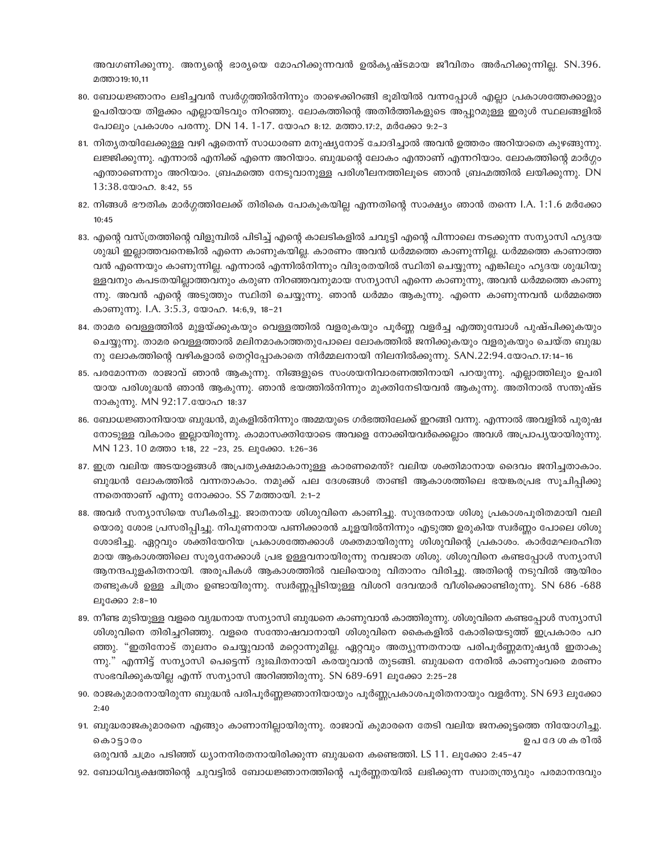അവഗണിക്കുന്നു. അന്യന്റെ ഭാര്യയെ മോഹിക്കുന്നവൻ ഉൽകൃഷ്ടമായ ജീവിതം അർഹിക്കുന്നില്ല. SN.396. മത്താ19:10,11

- 80. ബോധജ്ഞാനം ലഭിച്ചവൻ സ്വർഗ്ഗത്തിൽനിന്നും താഴെക്കിറങ്ങി ഭൂമിയിൽ വന്നപ്പോൾ എല്ലാ പ്രകാശത്തേക്കാളും ഉപരിയായ തിളക്കം എല്ലായിടവും നിറഞ്ഞു. ലോകത്തിന്റെ അതിർത്തികളുടെ അപ്പുറമുള്ള ഇരുൾ സ്ഥലങ്ങളിൽ പോലും പ്രകാശം പരന്നു. DN 14. 1-17. യോഹ 8:12. മത്താ.17:2, മർക്കോ 9:2-3
- 81. നിതൃതയിലേക്കുള്ള വഴി ഏതെന്ന് സാധാരണ മനുഷ്യനോട് ചോദിച്ചാൽ അവൻ ഉത്തരം അറിയാതെ കുഴങ്ങുന്നു. ലജ്ജിക്കുന്നു. എന്നാൽ എനിക്ക് എന്നെ അറിയാം. ബുദ്ധന്റെ ലോകം എന്താണ് എന്നറിയാം. ലോകത്തിന്റെ മാർഗ്ഗം എന്താണെന്നും അറിയാം. ബ്രഹ്മത്തെ നേടുവാനുള്ള പരിശീലനത്തിലൂടെ ഞാൻ ബ്രഹ്മത്തിൽ ലയിക്കുന്നു. DN  $13:38$ . WOO $\Omega$ , 8:42, 55
- 82. നിങ്ങൾ ഭൗതിക മാർഗ്ഗത്തിലേക്ക് തിരികെ പോകുകയില്ല എന്നതിന്റെ സാക്ഷ്യം ഞാൻ തന്നെ I.A. 1:1.6 മർക്കോ  $10:45$
- 83. എന്റെ വസ്ത്രത്തിന്റെ വിളുമ്പിൽ പിടിച്ച് എന്റെ കാലടികളിൽ ചവുട്ടി എന്റെ പിന്നാലെ നടക്കുന്ന സന്യാസി ഹൃദയ ശുദ്ധി ഇല്ലാത്തവനെങ്കിൽ എന്നെ കാണുകയില്ല. കാരണം അവൻ ധർമ്മത്തെ കാണുന്നില്ല. ധർമ്മത്തെ കാണാത്ത വൻ എന്നെയും കാണുന്നില്ല. എന്നാൽ എന്നിൽനിന്നും വിദുരതയിൽ സ്ഥിതി ചെയ്യുന്നു എങ്കിലും ഹൃദയ ശുദ്ധിയു ള്ളവനും കപടതയില്ലാത്തവനും കരുണ നിറഞ്ഞവനുമായ സന്യാസി എന്നെ കാണുന്നു, അവൻ ധർമ്മത്തെ കാണു ന്നു. അവൻ എന്റെ അടുത്തും സ്ഥിതി ചെയ്യുന്നു. ഞാൻ ധർമ്മം ആകുന്നു. എന്നെ കാണുന്നവൻ ധർമ്മത്തെ കാണുന്നു. I.A. 3:5.3, യോഹ. 14:6,9, 18-21
- 84. താമര വെള്ളത്തിൽ മുളയ്ക്കുകയും വെള്ളത്തിൽ വളരുകയും പൂർണ്ണ വളർച്ച എത്തുമ്പോൾ പുഷ്പിക്കുകയും ചെയ്യുന്നു. താമര വെള്ളത്താൽ മലിനമാകാത്തതുപോലെ ലോകത്തിൽ ജനിക്കുകയും വളരുകയും ചെയ്ത ബുദ്ധ നു ലോകത്തിന്റെ വഴികളാൽ തെറ്റിപ്പോകാതെ നിർമ്മലനായി നിലനിൽക്കുന്നു. SAN.22:94.യോഹ.17:14-16
- 85. പരമോന്നത രാജാവ് ഞാൻ ആകുന്നു. നിങ്ങളുടെ സംശയനിവാരണത്തിനായി പറയുന്നു. എല്ലാത്തിലും ഉപരി യായ പരിശുദ്ധൻ ഞാൻ ആകുന്നു. ഞാൻ ഭയത്തിൽനിന്നും മുക്തിനേടിയവൻ ആകുന്നു. അതിനാൽ സന്തുഷ്ട നാകുന്നു. MN 92:17.യോഹ 18:37
- 86. ബോധജ്ഞാനിയായ ബുദ്ധൻ, മുകളിൽനിന്നും അമ്മയുടെ ഗർഭത്തിലേക്ക് ഇറങ്ങി വന്നു. എന്നാൽ അവളിൽ പുരുഷ നോടുള്ള വികാരം ഇല്ലായിരുന്നു. കാമാസക്തിയോടെ അവളെ നോക്കിയവർക്കെല്ലാം അവൾ അപ്രാപൃയായിരുന്നു. MN 123.10 മത്താ 1:18, 22 -23, 25. ലുക്കോ. 1:26-36
- 87. ഇത്ര വലിയ അടയാളങ്ങൾ അപ്രത്യക്ഷമാകാനുള്ള കാരണമെന്ത്? വലിയ ശക്തിമാനായ ദൈവം ജനിച്ചതാകാം. ബുദ്ധൻ ലോകത്തിൽ വന്നതാകാം. നമുക്ക് പല ദേശങ്ങൾ താണ്ടി ആകാശത്തിലെ ഭയങ്കരപ്രഭ സൂചിപ്പിക്കു ന്നതെന്താണ് എന്നു നോക്കാം. SS 7മത്തായി. 2:1-2
- 88. അവർ സന്യാസിയെ സ്വീകരിച്ചു. ജാതനായ ശിശുവിനെ കാണിച്ചു. സുന്ദരനായ ശിശു പ്രകാശപൂരിതമായി വലി യൊരു ശോഭ പ്രസരിപ്പിച്ചു. നിപുണനായ പണിക്കാരൻ ചൂളയിൽനിന്നും എടുത്ത ഉരുകിയ സ്വർണ്ണം പോലെ ശിശു ശോഭിച്ചു. ഏറ്റവും ശക്തിയേറിയ പ്രകാശത്തേക്കാൾ ശക്തമായിരുന്നു ശിശുവിന്റെ പ്രകാശം. കാർമേഘരഹിത മായ ആകാശത്തിലെ സൂര്യനേക്കാൾ പ്രഭ ഉള്ളവനായിരുന്നു നവജാത ശിശു. ശിശുവിനെ കണ്ടപ്പോൾ സന്യാസി ആനന്ദപുളകിതനായി. അരൂപികൾ ആകാശത്തിൽ വലിയൊരു വിതാനം വിരിച്ചു. അതിന്റെ നടുവിൽ ആയിരം തണ്ടുകൾ ഉള്ള ചിത്രം ഉണ്ടായിരുന്നു. സ്വർണ്ണപ്പിടിയുള്ള വിശറി ദേവന്മാർ വീശിക്കൊണ്ടിരുന്നു. SN 686 -688 ലുക്കോ 2:8-10
- 89. നീണ്ട മുടിയുള്ള വളരെ വൃദ്ധനായ സന്യാസി ബുദ്ധനെ കാണുവാൻ കാത്തിരുന്നു. ശിശുവിനെ കണ്ടപ്പോൾ സന്യാസി ശിശുവിനെ തിരിച്ചറിഞ്ഞു. വളരെ സന്തോഷവാനായി ശിശുവിനെ കൈകളിൽ കോരിയെടുത്ത് ഇപ്രകാരം പറ ഞ്ഞു. "ഇതിനോട് തുലനം ചെയ്യുവാൻ മറ്റൊന്നുമില്ല. ഏറ്റവും അത്യുന്നതനായ പരിപൂർണ്ണമനുഷ്യൻ ഇതാകു . ന്നു." എന്നിട്ട് സന്യാസി പെട്ടെന്ന് ദുഃഖിതനായി കരയുവാൻ തുടങ്ങി. ബുദ്ധനെ നേരിൽ കാണുംവരെ മരണം സംഭവിക്കുകയില്ല എന്ന് സന്യാസി അറിഞ്ഞിരുന്നു. SN 689-691 ലൂക്കോ 2:25-28
- 90. രാജകുമാരനായിരുന്ന ബുദ്ധൻ പരിപൂർണ്ണജ്ഞാനിയായും പൂർണ്ണപ്രകാശപൂരിതനായും വളർന്നു. SN 693 ലൂക്കോ  $2:40$
- 91. ബുദ്ധരാജകുമാരനെ എങ്ങും കാണാനില്ലായിരുന്നു. രാജാവ് കുമാരനെ തേടി വലിയ ജനക്കുട്ടത്തെ നിയോഗിച്ചു. ഉപദേശകരിൽ കൊട്ടാരം

ഒരുവൻ ചമ്രം പടിഞ്ഞ് ധ്യാനനിരതനായിരിക്കുന്ന ബുദ്ധനെ കണ്ടെത്തി. LS 11. ലൂക്കോ 2:45-47

92. ബോധിവൃക്ഷത്തിന്റെ ചുവട്ടിൽ ബോധജ്ഞാനത്തിന്റെ പൂർണ്ണതയിൽ ലഭിക്കുന്ന സ്വാതന്ത്ര്യവും പരമാനന്ദവും